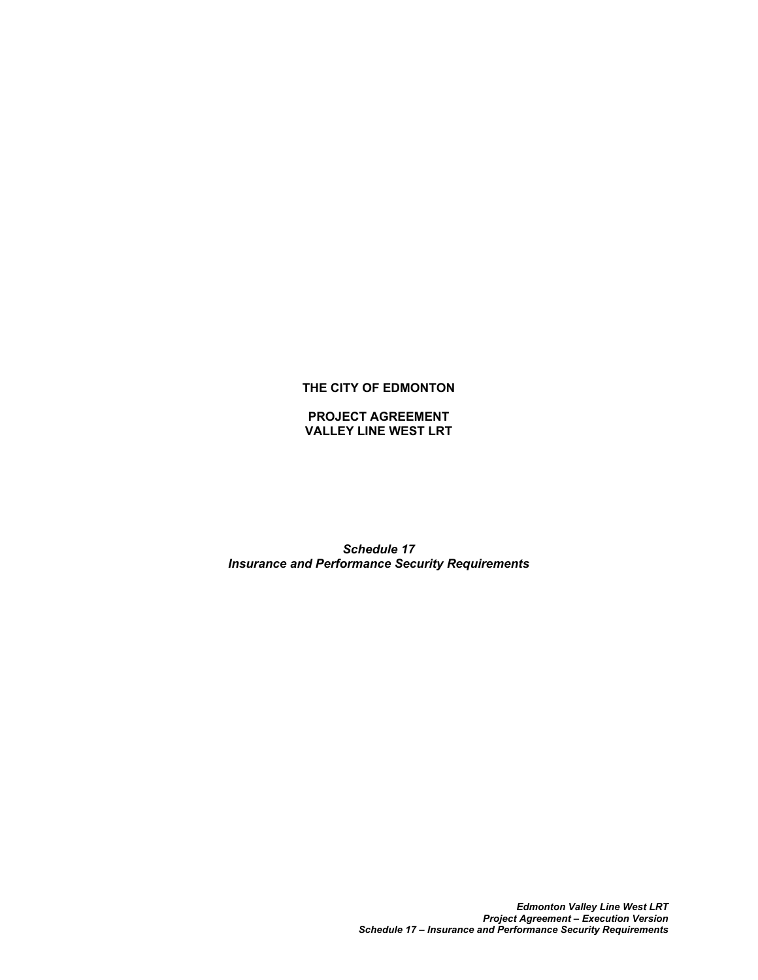## **THE CITY OF EDMONTON**

**PROJECT AGREEMENT VALLEY LINE WEST LRT**

*Schedule 17 Insurance and Performance Security Requirements*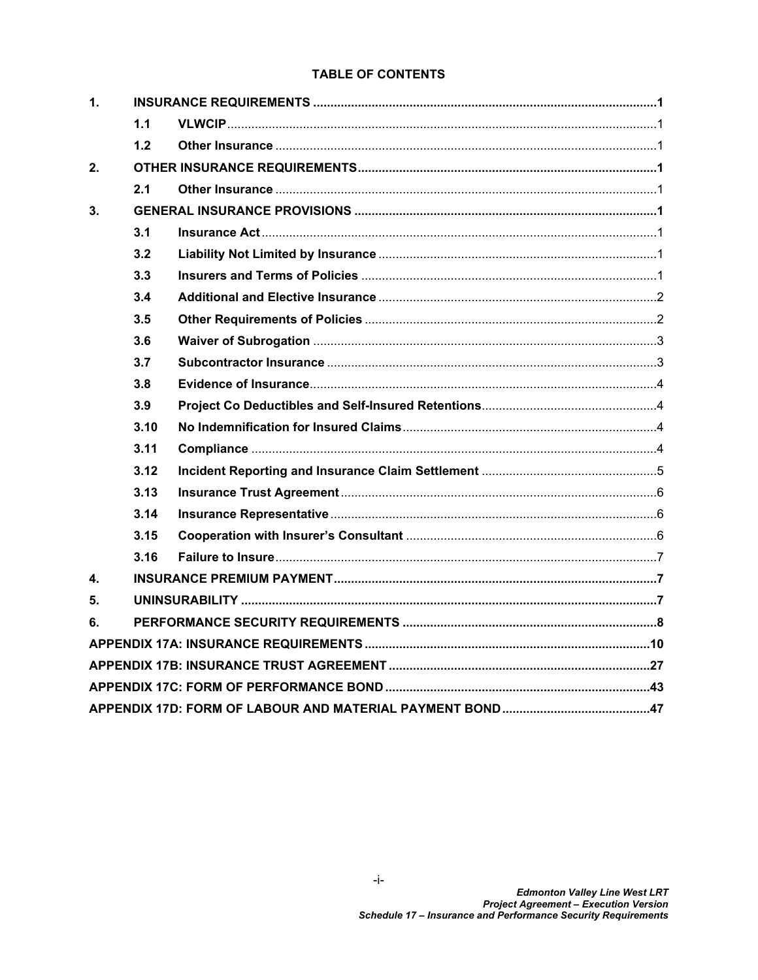## **TABLE OF CONTENTS**

| $\mathbf{1}$ . |      |  |
|----------------|------|--|
|                | 1.1  |  |
|                | 1.2  |  |
| 2.             |      |  |
|                | 2.1  |  |
| 3.             |      |  |
|                | 3.1  |  |
|                | 3.2  |  |
|                | 3.3  |  |
|                | 3.4  |  |
|                | 3.5  |  |
|                | 3.6  |  |
|                | 3.7  |  |
|                | 3.8  |  |
|                | 3.9  |  |
|                | 3.10 |  |
|                | 3.11 |  |
|                | 3.12 |  |
|                | 3.13 |  |
|                | 3.14 |  |
|                | 3.15 |  |
|                | 3.16 |  |
| 4.             |      |  |
| 5.             |      |  |
| 6.             |      |  |
|                |      |  |
|                |      |  |
|                |      |  |
|                |      |  |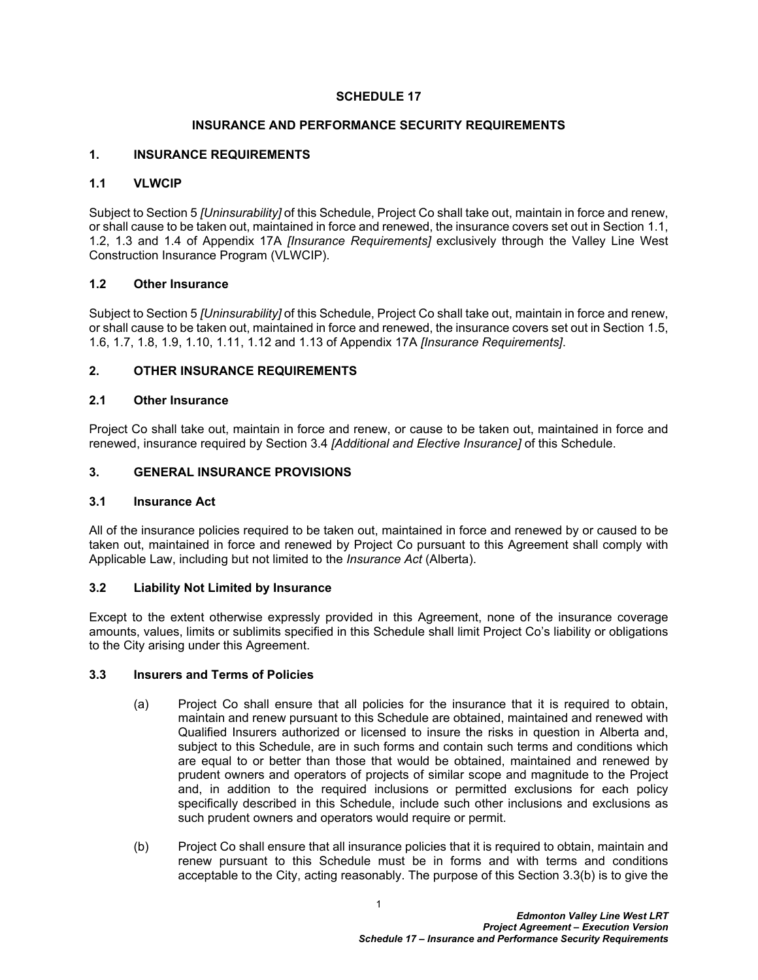### **SCHEDULE 17**

### **INSURANCE AND PERFORMANCE SECURITY REQUIREMENTS**

### <span id="page-2-0"></span>**1. INSURANCE REQUIREMENTS**

#### <span id="page-2-1"></span>**1.1 VLWCIP**

Subject to Section 5 *[Uninsurability]* of this Schedule, Project Co shall take out, maintain in force and renew, or shall cause to be taken out, maintained in force and renewed, the insurance covers set out in Section 1.1, 1.2, 1.3 and 1.4 of Appendix 17A *[Insurance Requirements]* exclusively through the Valley Line West Construction Insurance Program (VLWCIP).

### <span id="page-2-2"></span>**1.2 Other Insurance**

Subject to Section 5 *[Uninsurability]* of this Schedule, Project Co shall take out, maintain in force and renew, or shall cause to be taken out, maintained in force and renewed, the insurance covers set out in Section 1.5, 1.6, 1.7, 1.8, 1.9, 1.10, 1.11, 1.12 and 1.13 of Appendix 17A *[Insurance Requirements]*.

### <span id="page-2-3"></span>**2. OTHER INSURANCE REQUIREMENTS**

### <span id="page-2-4"></span>**2.1 Other Insurance**

Project Co shall take out, maintain in force and renew, or cause to be taken out, maintained in force and renewed, insurance required by Section 3.4 *[Additional and Elective Insurance]* of this Schedule.

### <span id="page-2-5"></span>**3. GENERAL INSURANCE PROVISIONS**

#### <span id="page-2-6"></span>**3.1 Insurance Act**

All of the insurance policies required to be taken out, maintained in force and renewed by or caused to be taken out, maintained in force and renewed by Project Co pursuant to this Agreement shall comply with Applicable Law, including but not limited to the *Insurance Act* (Alberta).

#### <span id="page-2-7"></span>**3.2 Liability Not Limited by Insurance**

Except to the extent otherwise expressly provided in this Agreement, none of the insurance coverage amounts, values, limits or sublimits specified in this Schedule shall limit Project Co's liability or obligations to the City arising under this Agreement.

#### <span id="page-2-8"></span>**3.3 Insurers and Terms of Policies**

- (a) Project Co shall ensure that all policies for the insurance that it is required to obtain, maintain and renew pursuant to this Schedule are obtained, maintained and renewed with Qualified Insurers authorized or licensed to insure the risks in question in Alberta and, subject to this Schedule, are in such forms and contain such terms and conditions which are equal to or better than those that would be obtained, maintained and renewed by prudent owners and operators of projects of similar scope and magnitude to the Project and, in addition to the required inclusions or permitted exclusions for each policy specifically described in this Schedule, include such other inclusions and exclusions as such prudent owners and operators would require or permit.
- (b) Project Co shall ensure that all insurance policies that it is required to obtain, maintain and renew pursuant to this Schedule must be in forms and with terms and conditions acceptable to the City, acting reasonably. The purpose of this Section 3.3(b) is to give the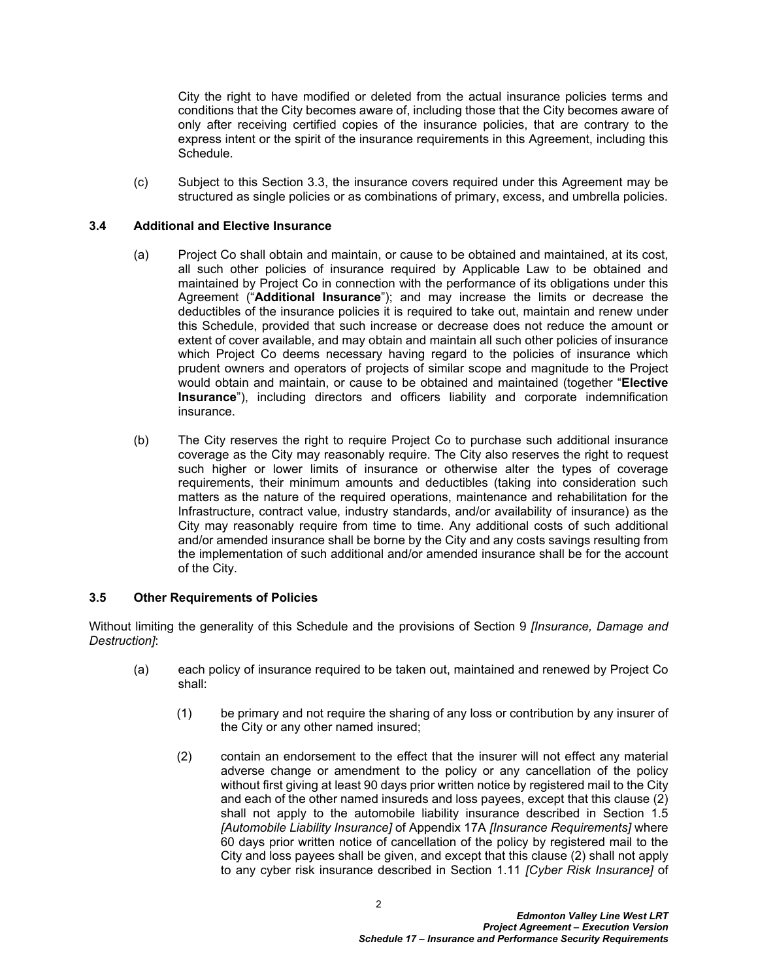City the right to have modified or deleted from the actual insurance policies terms and conditions that the City becomes aware of, including those that the City becomes aware of only after receiving certified copies of the insurance policies, that are contrary to the express intent or the spirit of the insurance requirements in this Agreement, including this Schedule.

(c) Subject to this Section 3.3, the insurance covers required under this Agreement may be structured as single policies or as combinations of primary, excess, and umbrella policies.

#### <span id="page-3-0"></span>**3.4 Additional and Elective Insurance**

- (a) Project Co shall obtain and maintain, or cause to be obtained and maintained, at its cost, all such other policies of insurance required by Applicable Law to be obtained and maintained by Project Co in connection with the performance of its obligations under this Agreement ("**Additional Insurance**"); and may increase the limits or decrease the deductibles of the insurance policies it is required to take out, maintain and renew under this Schedule, provided that such increase or decrease does not reduce the amount or extent of cover available, and may obtain and maintain all such other policies of insurance which Project Co deems necessary having regard to the policies of insurance which prudent owners and operators of projects of similar scope and magnitude to the Project would obtain and maintain, or cause to be obtained and maintained (together "**Elective Insurance**"), including directors and officers liability and corporate indemnification insurance.
- (b) The City reserves the right to require Project Co to purchase such additional insurance coverage as the City may reasonably require. The City also reserves the right to request such higher or lower limits of insurance or otherwise alter the types of coverage requirements, their minimum amounts and deductibles (taking into consideration such matters as the nature of the required operations, maintenance and rehabilitation for the Infrastructure, contract value, industry standards, and/or availability of insurance) as the City may reasonably require from time to time. Any additional costs of such additional and/or amended insurance shall be borne by the City and any costs savings resulting from the implementation of such additional and/or amended insurance shall be for the account of the City.

#### <span id="page-3-1"></span>**3.5 Other Requirements of Policies**

Without limiting the generality of this Schedule and the provisions of Section 9 *[Insurance, Damage and Destruction]*:

- (a) each policy of insurance required to be taken out, maintained and renewed by Project Co shall:
	- (1) be primary and not require the sharing of any loss or contribution by any insurer of the City or any other named insured;
	- (2) contain an endorsement to the effect that the insurer will not effect any material adverse change or amendment to the policy or any cancellation of the policy without first giving at least 90 days prior written notice by registered mail to the City and each of the other named insureds and loss payees, except that this clause (2) shall not apply to the automobile liability insurance described in Section 1.5 *[Automobile Liability Insurance]* of Appendix 17A *[Insurance Requirements]* where 60 days prior written notice of cancellation of the policy by registered mail to the City and loss payees shall be given, and except that this clause (2) shall not apply to any cyber risk insurance described in Section 1.11 *[Cyber Risk Insurance]* of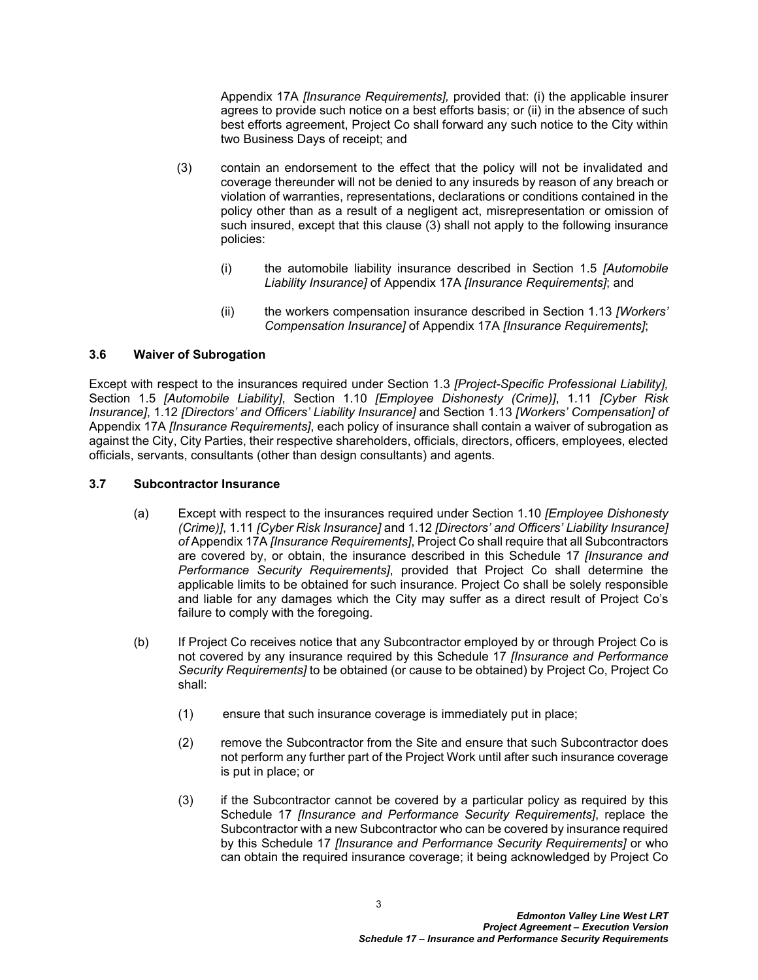Appendix 17A *[Insurance Requirements],* provided that: (i) the applicable insurer agrees to provide such notice on a best efforts basis; or (ii) in the absence of such best efforts agreement, Project Co shall forward any such notice to the City within two Business Days of receipt; and

- (3) contain an endorsement to the effect that the policy will not be invalidated and coverage thereunder will not be denied to any insureds by reason of any breach or violation of warranties, representations, declarations or conditions contained in the policy other than as a result of a negligent act, misrepresentation or omission of such insured, except that this clause (3) shall not apply to the following insurance policies:
	- (i) the automobile liability insurance described in Section 1.5 *[Automobile Liability Insurance]* of Appendix 17A *[Insurance Requirements]*; and
	- (ii) the workers compensation insurance described in Section 1.13 *[Workers' Compensation Insurance]* of Appendix 17A *[Insurance Requirements]*;

### <span id="page-4-0"></span>**3.6 Waiver of Subrogation**

Except with respect to the insurances required under Section 1.3 *[Project-Specific Professional Liability],*  Section 1.5 *[Automobile Liability]*, Section 1.10 *[Employee Dishonesty (Crime)]*, 1.11 *[Cyber Risk Insurance]*, 1.12 *[Directors' and Officers' Liability Insurance]* and Section 1.13 *[Workers' Compensation] of* Appendix 17A *[Insurance Requirements]*, each policy of insurance shall contain a waiver of subrogation as against the City, City Parties, their respective shareholders, officials, directors, officers, employees, elected officials, servants, consultants (other than design consultants) and agents.

#### <span id="page-4-1"></span>**3.7 Subcontractor Insurance**

- (a) Except with respect to the insurances required under Section 1.10 *[Employee Dishonesty (Crime)]*, 1.11 *[Cyber Risk Insurance]* and 1.12 *[Directors' and Officers' Liability Insurance] of* Appendix 17A *[Insurance Requirements]*, Project Co shall require that all Subcontractors are covered by, or obtain, the insurance described in this Schedule 17 *[Insurance and Performance Security Requirements]*, provided that Project Co shall determine the applicable limits to be obtained for such insurance. Project Co shall be solely responsible and liable for any damages which the City may suffer as a direct result of Project Co's failure to comply with the foregoing.
- (b) If Project Co receives notice that any Subcontractor employed by or through Project Co is not covered by any insurance required by this Schedule 17 *[Insurance and Performance Security Requirements]* to be obtained (or cause to be obtained) by Project Co, Project Co shall:
	- (1) ensure that such insurance coverage is immediately put in place;
	- (2) remove the Subcontractor from the Site and ensure that such Subcontractor does not perform any further part of the Project Work until after such insurance coverage is put in place; or
	- (3) if the Subcontractor cannot be covered by a particular policy as required by this Schedule 17 *[Insurance and Performance Security Requirements]*, replace the Subcontractor with a new Subcontractor who can be covered by insurance required by this Schedule 17 *[Insurance and Performance Security Requirements]* or who can obtain the required insurance coverage; it being acknowledged by Project Co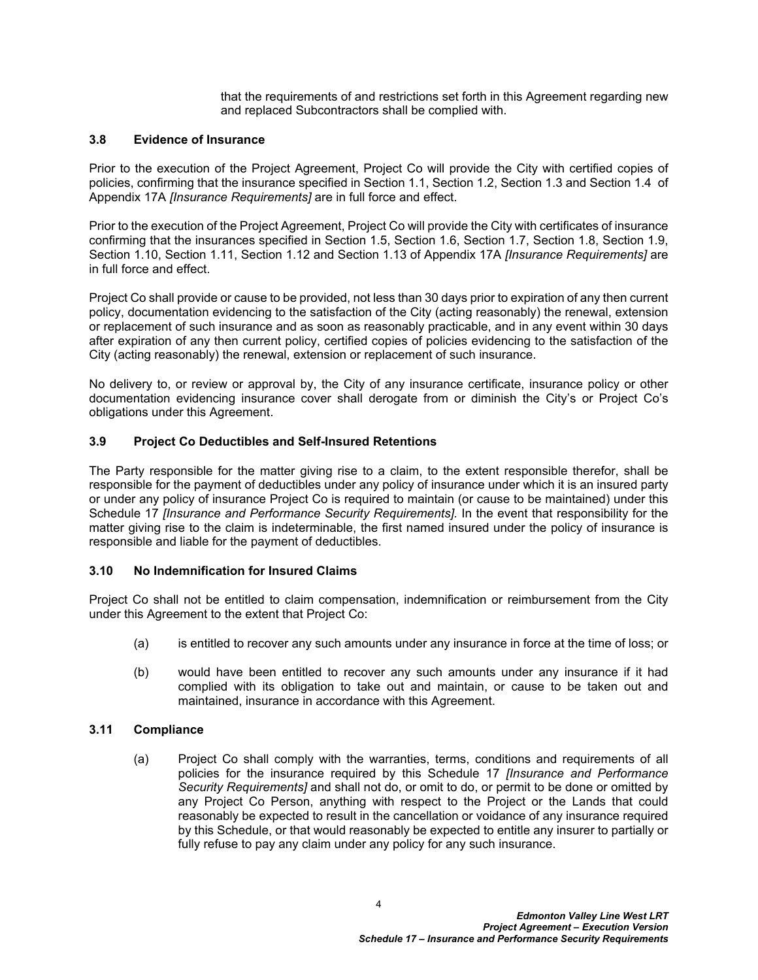that the requirements of and restrictions set forth in this Agreement regarding new and replaced Subcontractors shall be complied with.

#### <span id="page-5-0"></span>**3.8 Evidence of Insurance**

Prior to the execution of the Project Agreement, Project Co will provide the City with certified copies of policies, confirming that the insurance specified in Section 1.1, Section 1.2, Section 1.3 and Section 1.4 of Appendix 17A *[Insurance Requirements]* are in full force and effect.

Prior to the execution of the Project Agreement, Project Co will provide the City with certificates of insurance confirming that the insurances specified in Section 1.5, Section 1.6, Section 1.7, Section 1.8, Section 1.9, Section 1.10, Section 1.11, Section 1.12 and Section 1.13 of Appendix 17A *[Insurance Requirements]* are in full force and effect.

Project Co shall provide or cause to be provided, not less than 30 days prior to expiration of any then current policy, documentation evidencing to the satisfaction of the City (acting reasonably) the renewal, extension or replacement of such insurance and as soon as reasonably practicable, and in any event within 30 days after expiration of any then current policy, certified copies of policies evidencing to the satisfaction of the City (acting reasonably) the renewal, extension or replacement of such insurance.

No delivery to, or review or approval by, the City of any insurance certificate, insurance policy or other documentation evidencing insurance cover shall derogate from or diminish the City's or Project Co's obligations under this Agreement.

### <span id="page-5-1"></span>**3.9 Project Co Deductibles and Self-Insured Retentions**

The Party responsible for the matter giving rise to a claim, to the extent responsible therefor, shall be responsible for the payment of deductibles under any policy of insurance under which it is an insured party or under any policy of insurance Project Co is required to maintain (or cause to be maintained) under this Schedule 17 *[Insurance and Performance Security Requirements].* In the event that responsibility for the matter giving rise to the claim is indeterminable, the first named insured under the policy of insurance is responsible and liable for the payment of deductibles.

#### <span id="page-5-2"></span>**3.10 No Indemnification for Insured Claims**

Project Co shall not be entitled to claim compensation, indemnification or reimbursement from the City under this Agreement to the extent that Project Co:

- (a) is entitled to recover any such amounts under any insurance in force at the time of loss; or
- (b) would have been entitled to recover any such amounts under any insurance if it had complied with its obligation to take out and maintain, or cause to be taken out and maintained, insurance in accordance with this Agreement.

#### <span id="page-5-3"></span>**3.11 Compliance**

(a) Project Co shall comply with the warranties, terms, conditions and requirements of all policies for the insurance required by this Schedule 17 *[Insurance and Performance Security Requirements]* and shall not do, or omit to do, or permit to be done or omitted by any Project Co Person, anything with respect to the Project or the Lands that could reasonably be expected to result in the cancellation or voidance of any insurance required by this Schedule, or that would reasonably be expected to entitle any insurer to partially or fully refuse to pay any claim under any policy for any such insurance.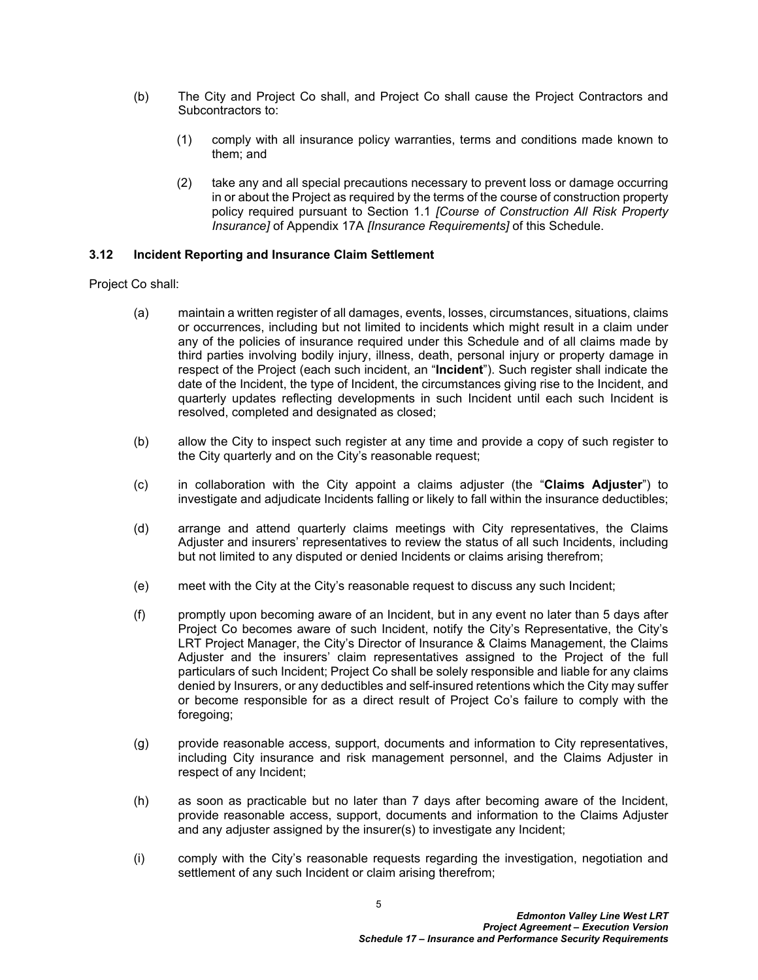- (b) The City and Project Co shall, and Project Co shall cause the Project Contractors and Subcontractors to:
	- (1) comply with all insurance policy warranties, terms and conditions made known to them; and
	- (2) take any and all special precautions necessary to prevent loss or damage occurring in or about the Project as required by the terms of the course of construction property policy required pursuant to Section 1.1 *[Course of Construction All Risk Property Insurance]* of Appendix 17A *[Insurance Requirements]* of this Schedule.

#### <span id="page-6-0"></span>**3.12 Incident Reporting and Insurance Claim Settlement**

Project Co shall:

- (a) maintain a written register of all damages, events, losses, circumstances, situations, claims or occurrences, including but not limited to incidents which might result in a claim under any of the policies of insurance required under this Schedule and of all claims made by third parties involving bodily injury, illness, death, personal injury or property damage in respect of the Project (each such incident, an "**Incident**"). Such register shall indicate the date of the Incident, the type of Incident, the circumstances giving rise to the Incident, and quarterly updates reflecting developments in such Incident until each such Incident is resolved, completed and designated as closed;
- (b) allow the City to inspect such register at any time and provide a copy of such register to the City quarterly and on the City's reasonable request;
- (c) in collaboration with the City appoint a claims adjuster (the "**Claims Adjuster**") to investigate and adjudicate Incidents falling or likely to fall within the insurance deductibles;
- (d) arrange and attend quarterly claims meetings with City representatives, the Claims Adjuster and insurers' representatives to review the status of all such Incidents, including but not limited to any disputed or denied Incidents or claims arising therefrom;
- (e) meet with the City at the City's reasonable request to discuss any such Incident;
- (f) promptly upon becoming aware of an Incident, but in any event no later than 5 days after Project Co becomes aware of such Incident, notify the City's Representative, the City's LRT Project Manager, the City's Director of Insurance & Claims Management, the Claims Adjuster and the insurers' claim representatives assigned to the Project of the full particulars of such Incident; Project Co shall be solely responsible and liable for any claims denied by Insurers, or any deductibles and self-insured retentions which the City may suffer or become responsible for as a direct result of Project Co's failure to comply with the foregoing;
- (g) provide reasonable access, support, documents and information to City representatives, including City insurance and risk management personnel, and the Claims Adjuster in respect of any Incident;
- (h) as soon as practicable but no later than 7 days after becoming aware of the Incident, provide reasonable access, support, documents and information to the Claims Adjuster and any adjuster assigned by the insurer(s) to investigate any Incident;
- (i) comply with the City's reasonable requests regarding the investigation, negotiation and settlement of any such Incident or claim arising therefrom;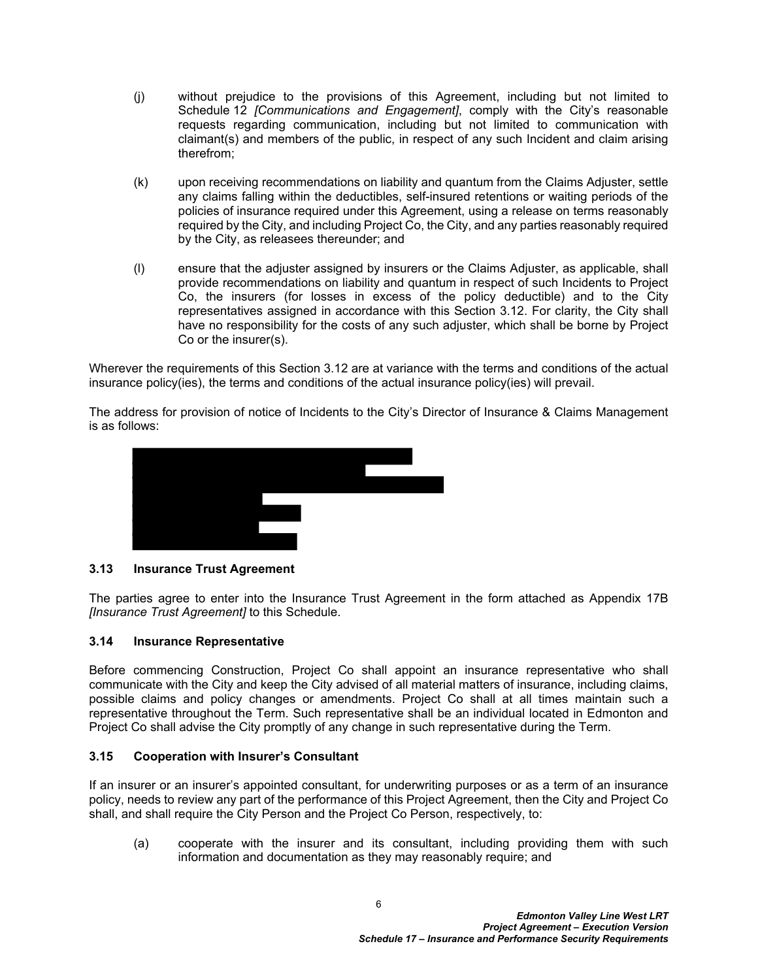- (j) without prejudice to the provisions of this Agreement, including but not limited to Schedule 12 *[Communications and Engagement]*, comply with the City's reasonable requests regarding communication, including but not limited to communication with claimant(s) and members of the public, in respect of any such Incident and claim arising therefrom;
- (k) upon receiving recommendations on liability and quantum from the Claims Adjuster, settle any claims falling within the deductibles, self-insured retentions or waiting periods of the policies of insurance required under this Agreement, using a release on terms reasonably required by the City, and including Project Co, the City, and any parties reasonably required by the City, as releasees thereunder; and
- (l) ensure that the adjuster assigned by insurers or the Claims Adjuster, as applicable, shall provide recommendations on liability and quantum in respect of such Incidents to Project Co, the insurers (for losses in excess of the policy deductible) and to the City representatives assigned in accordance with this Section 3.12. For clarity, the City shall have no responsibility for the costs of any such adjuster, which shall be borne by Project Co or the insurer(s).

Wherever the requirements of this Section 3.12 are at variance with the terms and conditions of the actual insurance policy(ies), the terms and conditions of the actual insurance policy(ies) will prevail.

The address for provision of notice of Incidents to the City's Director of Insurance & Claims Management is as follows:



#### <span id="page-7-0"></span>**3.13 Insurance Trust Agreement**

The parties agree to enter into the Insurance Trust Agreement in the form attached as Appendix 17B *[Insurance Trust Agreement]* to this Schedule.

#### <span id="page-7-1"></span>**3.14 Insurance Representative**

Before commencing Construction, Project Co shall appoint an insurance representative who shall communicate with the City and keep the City advised of all material matters of insurance, including claims, possible claims and policy changes or amendments. Project Co shall at all times maintain such a representative throughout the Term. Such representative shall be an individual located in Edmonton and Project Co shall advise the City promptly of any change in such representative during the Term.

#### <span id="page-7-2"></span>**3.15 Cooperation with Insurer's Consultant**

If an insurer or an insurer's appointed consultant, for underwriting purposes or as a term of an insurance policy, needs to review any part of the performance of this Project Agreement, then the City and Project Co shall, and shall require the City Person and the Project Co Person, respectively, to:

(a) cooperate with the insurer and its consultant, including providing them with such information and documentation as they may reasonably require; and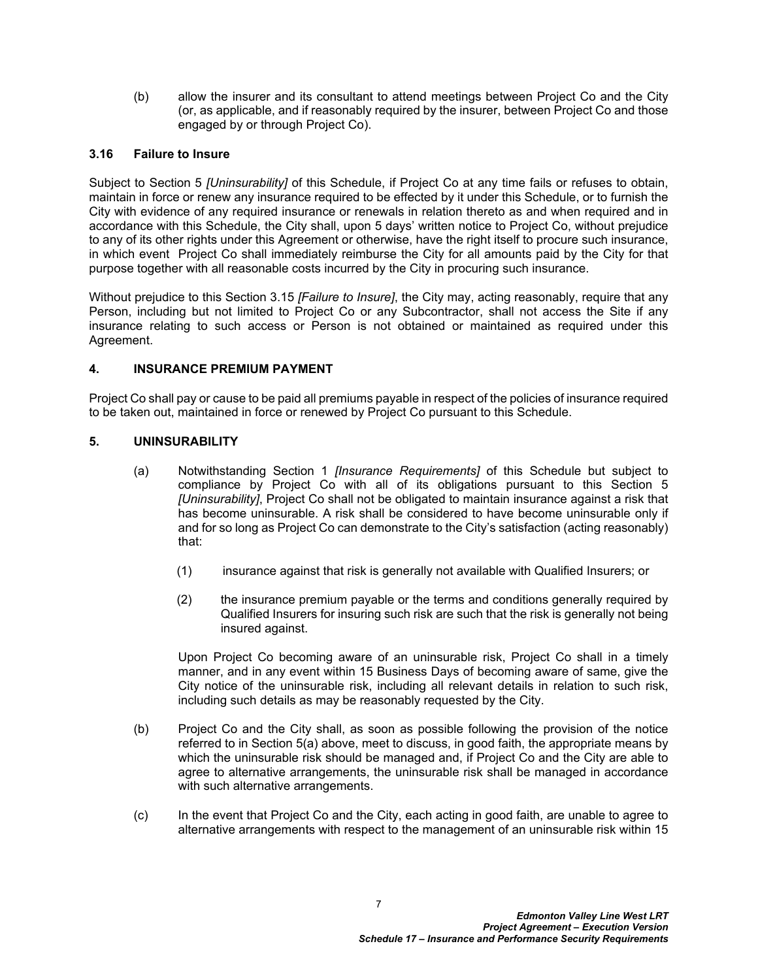(b) allow the insurer and its consultant to attend meetings between Project Co and the City (or, as applicable, and if reasonably required by the insurer, between Project Co and those engaged by or through Project Co).

### <span id="page-8-0"></span>**3.16 Failure to Insure**

Subject to Section 5 *[Uninsurability]* of this Schedule, if Project Co at any time fails or refuses to obtain, maintain in force or renew any insurance required to be effected by it under this Schedule, or to furnish the City with evidence of any required insurance or renewals in relation thereto as and when required and in accordance with this Schedule, the City shall, upon 5 days' written notice to Project Co, without prejudice to any of its other rights under this Agreement or otherwise, have the right itself to procure such insurance, in which event Project Co shall immediately reimburse the City for all amounts paid by the City for that purpose together with all reasonable costs incurred by the City in procuring such insurance.

Without prejudice to this Section 3.15 *[Failure to Insure]*, the City may, acting reasonably, require that any Person, including but not limited to Project Co or any Subcontractor, shall not access the Site if any insurance relating to such access or Person is not obtained or maintained as required under this Agreement.

### <span id="page-8-1"></span>**4. INSURANCE PREMIUM PAYMENT**

Project Co shall pay or cause to be paid all premiums payable in respect of the policies of insurance required to be taken out, maintained in force or renewed by Project Co pursuant to this Schedule.

### <span id="page-8-2"></span>**5. UNINSURABILITY**

- (a) Notwithstanding Section 1 *[Insurance Requirements]* of this Schedule but subject to compliance by Project Co with all of its obligations pursuant to this Section 5 *[Uninsurability]*, Project Co shall not be obligated to maintain insurance against a risk that has become uninsurable. A risk shall be considered to have become uninsurable only if and for so long as Project Co can demonstrate to the City's satisfaction (acting reasonably) that:
	- (1) insurance against that risk is generally not available with Qualified Insurers; or
	- (2) the insurance premium payable or the terms and conditions generally required by Qualified Insurers for insuring such risk are such that the risk is generally not being insured against.

Upon Project Co becoming aware of an uninsurable risk, Project Co shall in a timely manner, and in any event within 15 Business Days of becoming aware of same, give the City notice of the uninsurable risk, including all relevant details in relation to such risk, including such details as may be reasonably requested by the City.

- (b) Project Co and the City shall, as soon as possible following the provision of the notice referred to in Section 5(a) above, meet to discuss, in good faith, the appropriate means by which the uninsurable risk should be managed and, if Project Co and the City are able to agree to alternative arrangements, the uninsurable risk shall be managed in accordance with such alternative arrangements.
- (c) In the event that Project Co and the City, each acting in good faith, are unable to agree to alternative arrangements with respect to the management of an uninsurable risk within 15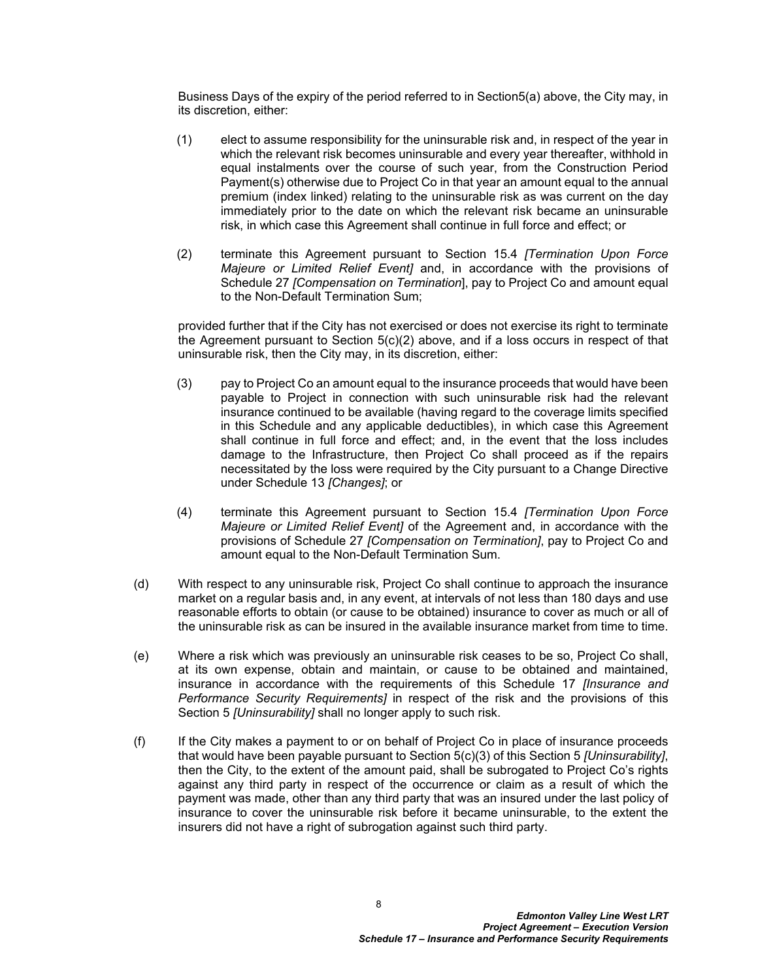Business Days of the expiry of the period referred to in Section5(a) above, the City may, in its discretion, either:

- (1) elect to assume responsibility for the uninsurable risk and, in respect of the year in which the relevant risk becomes uninsurable and every year thereafter, withhold in equal instalments over the course of such year, from the Construction Period Payment(s) otherwise due to Project Co in that year an amount equal to the annual premium (index linked) relating to the uninsurable risk as was current on the day immediately prior to the date on which the relevant risk became an uninsurable risk, in which case this Agreement shall continue in full force and effect; or
- (2) terminate this Agreement pursuant to Section 15.4 *[Termination Upon Force Majeure or Limited Relief Event]* and, in accordance with the provisions of Schedule 27 *[Compensation on Termination*], pay to Project Co and amount equal to the Non-Default Termination Sum;

provided further that if the City has not exercised or does not exercise its right to terminate the Agreement pursuant to Section  $5(c)(2)$  above, and if a loss occurs in respect of that uninsurable risk, then the City may, in its discretion, either:

- (3) pay to Project Co an amount equal to the insurance proceeds that would have been payable to Project in connection with such uninsurable risk had the relevant insurance continued to be available (having regard to the coverage limits specified in this Schedule and any applicable deductibles), in which case this Agreement shall continue in full force and effect; and, in the event that the loss includes damage to the Infrastructure, then Project Co shall proceed as if the repairs necessitated by the loss were required by the City pursuant to a Change Directive under Schedule 13 *[Changes]*; or
- (4) terminate this Agreement pursuant to Section 15.4 *[Termination Upon Force Majeure or Limited Relief Event]* of the Agreement and, in accordance with the provisions of Schedule 27 *[Compensation on Termination]*, pay to Project Co and amount equal to the Non-Default Termination Sum.
- (d) With respect to any uninsurable risk, Project Co shall continue to approach the insurance market on a regular basis and, in any event, at intervals of not less than 180 days and use reasonable efforts to obtain (or cause to be obtained) insurance to cover as much or all of the uninsurable risk as can be insured in the available insurance market from time to time.
- (e) Where a risk which was previously an uninsurable risk ceases to be so, Project Co shall, at its own expense, obtain and maintain, or cause to be obtained and maintained, insurance in accordance with the requirements of this Schedule 17 *[Insurance and Performance Security Requirements]* in respect of the risk and the provisions of this Section 5 *[Uninsurability]* shall no longer apply to such risk.
- (f) If the City makes a payment to or on behalf of Project Co in place of insurance proceeds that would have been payable pursuant to Section 5(c)(3) of this Section 5 *[Uninsurability]*, then the City, to the extent of the amount paid, shall be subrogated to Project Co's rights against any third party in respect of the occurrence or claim as a result of which the payment was made, other than any third party that was an insured under the last policy of insurance to cover the uninsurable risk before it became uninsurable, to the extent the insurers did not have a right of subrogation against such third party.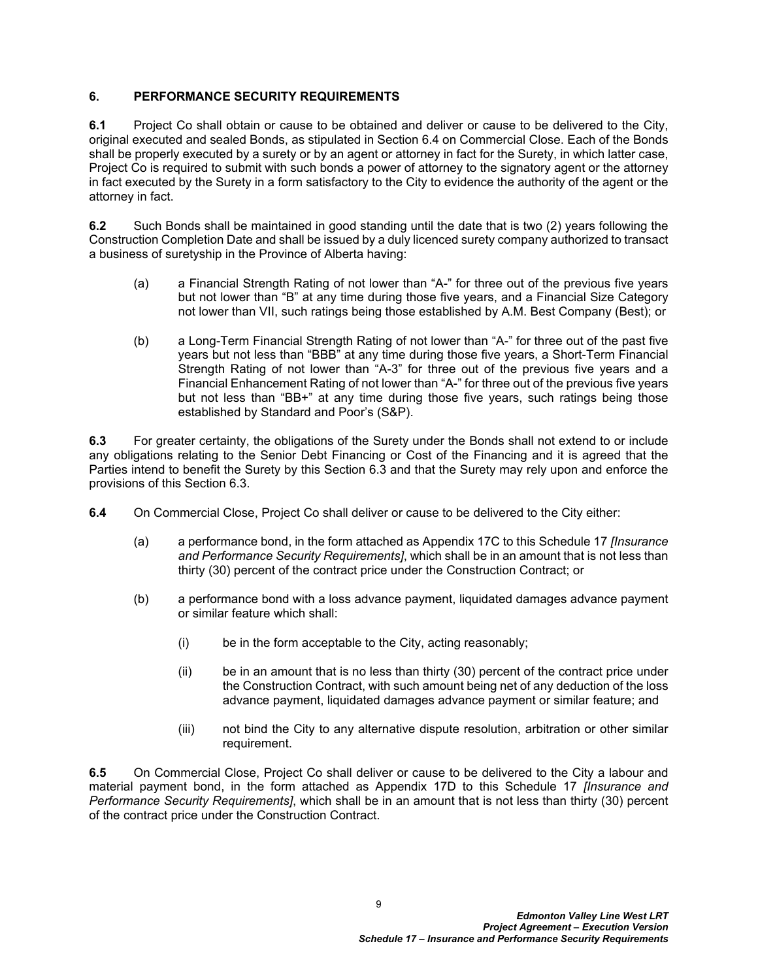### <span id="page-10-0"></span>**6. PERFORMANCE SECURITY REQUIREMENTS**

**6.1** Project Co shall obtain or cause to be obtained and deliver or cause to be delivered to the City, original executed and sealed Bonds, as stipulated in Section 6.4 on Commercial Close. Each of the Bonds shall be properly executed by a surety or by an agent or attorney in fact for the Surety, in which latter case, Project Co is required to submit with such bonds a power of attorney to the signatory agent or the attorney in fact executed by the Surety in a form satisfactory to the City to evidence the authority of the agent or the attorney in fact.

**6.2** Such Bonds shall be maintained in good standing until the date that is two (2) years following the Construction Completion Date and shall be issued by a duly licenced surety company authorized to transact a business of suretyship in the Province of Alberta having:

- (a) a Financial Strength Rating of not lower than "A-" for three out of the previous five years but not lower than "B" at any time during those five years, and a Financial Size Category not lower than VII, such ratings being those established by A.M. Best Company (Best); or
- (b) a Long-Term Financial Strength Rating of not lower than "A-" for three out of the past five years but not less than "BBB" at any time during those five years, a Short-Term Financial Strength Rating of not lower than "A-3" for three out of the previous five years and a Financial Enhancement Rating of not lower than "A-" for three out of the previous five years but not less than "BB+" at any time during those five years, such ratings being those established by Standard and Poor's (S&P).

**6.3** For greater certainty, the obligations of the Surety under the Bonds shall not extend to or include any obligations relating to the Senior Debt Financing or Cost of the Financing and it is agreed that the Parties intend to benefit the Surety by this Section 6.3 and that the Surety may rely upon and enforce the provisions of this Section 6.3.

- **6.4** On Commercial Close, Project Co shall deliver or cause to be delivered to the City either:
	- (a) a performance bond, in the form attached as Appendix 17C to this Schedule 17 *[Insurance and Performance Security Requirements]*, which shall be in an amount that is not less than thirty (30) percent of the contract price under the Construction Contract; or
	- (b) a performance bond with a loss advance payment, liquidated damages advance payment or similar feature which shall:
		- (i) be in the form acceptable to the City, acting reasonably;
		- (ii) be in an amount that is no less than thirty (30) percent of the contract price under the Construction Contract, with such amount being net of any deduction of the loss advance payment, liquidated damages advance payment or similar feature; and
		- (iii) not bind the City to any alternative dispute resolution, arbitration or other similar requirement.

**6.5** On Commercial Close, Project Co shall deliver or cause to be delivered to the City a labour and material payment bond, in the form attached as Appendix 17D to this Schedule 17 *[Insurance and Performance Security Requirements]*, which shall be in an amount that is not less than thirty (30) percent of the contract price under the Construction Contract.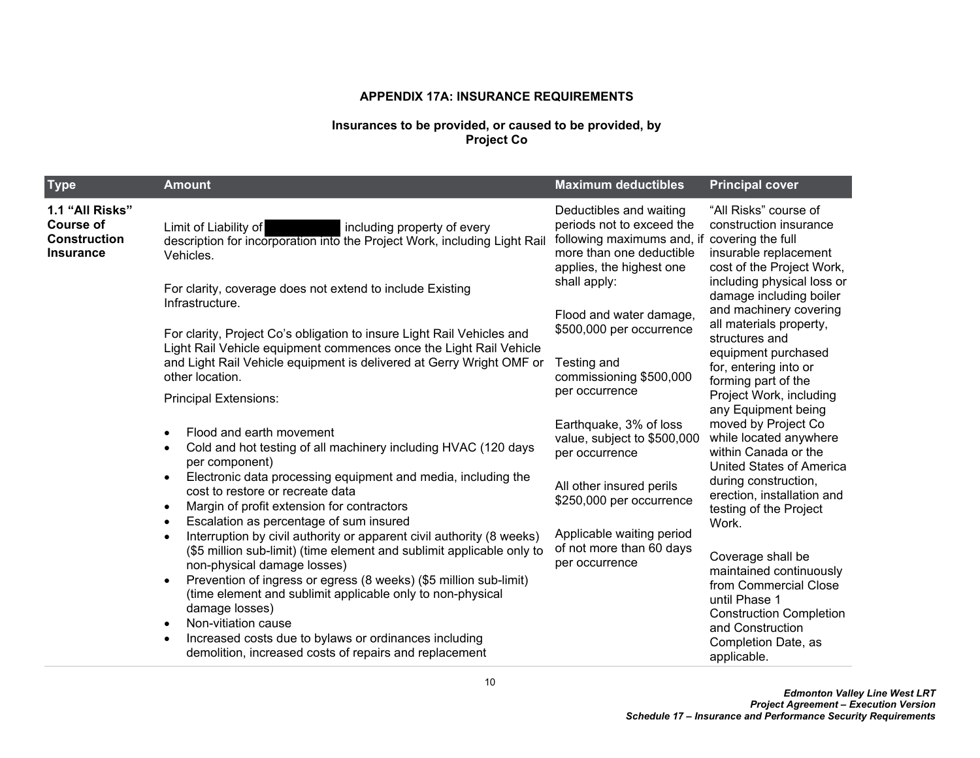## **APPENDIX 17A: INSURANCE REQUIREMENTS**

<span id="page-11-0"></span>**Insurances to be provided, or caused to be provided, by Project Co**

| <b>Type</b>                                                             | <b>Amount</b>                                                                                                                                                                                                                                                                                                                                                                                                                                                                                                                    | <b>Maximum deductibles</b>                                                                                                                                                   | <b>Principal cover</b>                                                                                                                                                                                                                                                                                                                                                                                                                                                                                           |
|-------------------------------------------------------------------------|----------------------------------------------------------------------------------------------------------------------------------------------------------------------------------------------------------------------------------------------------------------------------------------------------------------------------------------------------------------------------------------------------------------------------------------------------------------------------------------------------------------------------------|------------------------------------------------------------------------------------------------------------------------------------------------------------------------------|------------------------------------------------------------------------------------------------------------------------------------------------------------------------------------------------------------------------------------------------------------------------------------------------------------------------------------------------------------------------------------------------------------------------------------------------------------------------------------------------------------------|
| 1.1 "All Risks"<br><b>Course of</b><br>Construction<br><b>Insurance</b> | Limit of Liability of<br>including property of every<br>description for incorporation into the Project Work, including Light Rail<br>Vehicles.<br>For clarity, coverage does not extend to include Existing                                                                                                                                                                                                                                                                                                                      | Deductibles and waiting<br>periods not to exceed the<br>following maximums and, if covering the full<br>more than one deductible<br>applies, the highest one<br>shall apply: | "All Risks" course of<br>construction insurance<br>insurable replacement<br>cost of the Project Work,<br>including physical loss or                                                                                                                                                                                                                                                                                                                                                                              |
|                                                                         | Infrastructure.<br>For clarity, Project Co's obligation to insure Light Rail Vehicles and                                                                                                                                                                                                                                                                                                                                                                                                                                        | Flood and water damage,<br>\$500,000 per occurrence                                                                                                                          | damage including boiler<br>and machinery covering<br>all materials property,<br>structures and                                                                                                                                                                                                                                                                                                                                                                                                                   |
|                                                                         | Light Rail Vehicle equipment commences once the Light Rail Vehicle<br>and Light Rail Vehicle equipment is delivered at Gerry Wright OMF or<br>other location.<br><b>Principal Extensions:</b>                                                                                                                                                                                                                                                                                                                                    | Testing and<br>commissioning \$500,000<br>per occurrence                                                                                                                     | equipment purchased<br>for, entering into or<br>forming part of the<br>Project Work, including<br>any Equipment being<br>moved by Project Co<br>while located anywhere<br>within Canada or the<br><b>United States of America</b><br>during construction,<br>erection, installation and<br>testing of the Project<br>Work.<br>Coverage shall be<br>maintained continuously<br>from Commercial Close<br>until Phase 1<br><b>Construction Completion</b><br>and Construction<br>Completion Date, as<br>applicable. |
|                                                                         | Flood and earth movement<br>$\bullet$<br>Cold and hot testing of all machinery including HVAC (120 days<br>$\bullet$<br>per component)<br>Electronic data processing equipment and media, including the<br>$\bullet$<br>cost to restore or recreate data<br>Margin of profit extension for contractors<br>$\bullet$<br>Escalation as percentage of sum insured<br>$\bullet$                                                                                                                                                      | Earthquake, 3% of loss<br>value, subject to \$500,000<br>per occurrence<br>All other insured perils<br>\$250,000 per occurrence                                              |                                                                                                                                                                                                                                                                                                                                                                                                                                                                                                                  |
|                                                                         | Interruption by civil authority or apparent civil authority (8 weeks)<br>$\bullet$<br>(\$5 million sub-limit) (time element and sublimit applicable only to<br>non-physical damage losses)<br>Prevention of ingress or egress (8 weeks) (\$5 million sub-limit)<br>$\bullet$<br>(time element and sublimit applicable only to non-physical<br>damage losses)<br>Non-vitiation cause<br>$\bullet$<br>Increased costs due to bylaws or ordinances including<br>$\bullet$<br>demolition, increased costs of repairs and replacement | Applicable waiting period<br>of not more than 60 days<br>per occurrence                                                                                                      |                                                                                                                                                                                                                                                                                                                                                                                                                                                                                                                  |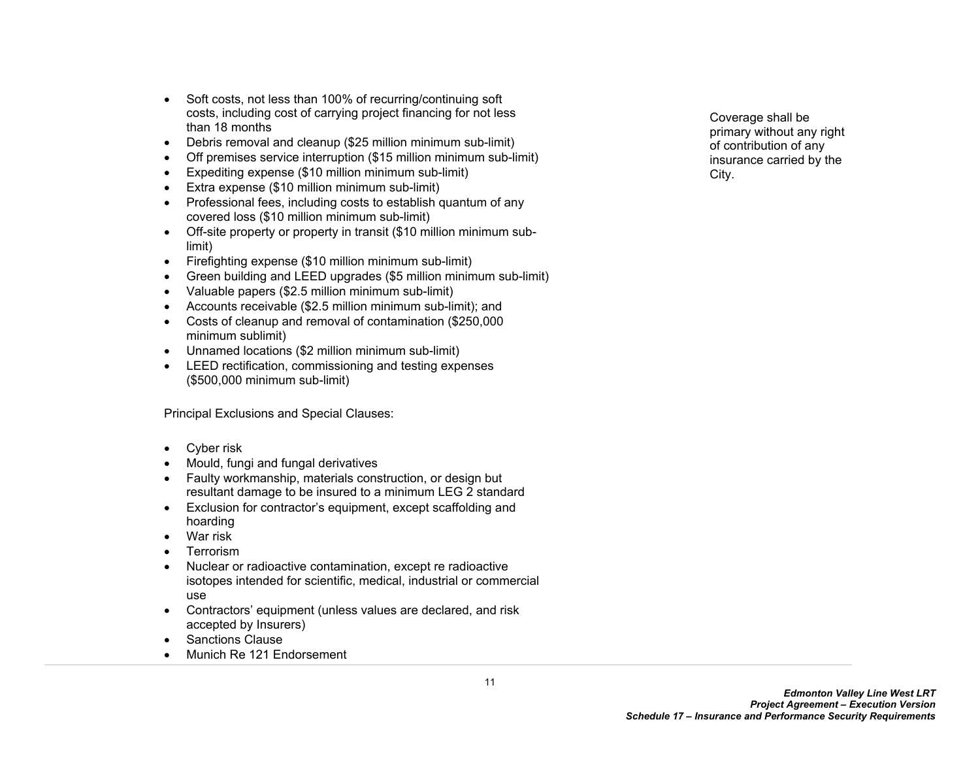- Soft costs, not less than 100% of recurring/continuing soft costs, including cost of carrying project financing for not less than 18 months
- Debris removal and cleanup (\$25 million minimum sub-limit)
- Off premises service interruption (\$15 million minimum sub-limit)
- Expediting expense (\$10 million minimum sub-limit)
- Extra expense (\$10 million minimum sub-limit)
- Professional fees, including costs to establish quantum of any covered loss (\$10 million minimum sub-limit)
- Off-site property or property in transit (\$10 million minimum sublimit)
- Firefighting expense (\$10 million minimum sub-limit)
- Green building and LEED upgrades (\$5 million minimum sub-limit)
- Valuable papers (\$2.5 million minimum sub-limit)
- Accounts receivable (\$2.5 million minimum sub-limit); and
- Costs of cleanup and removal of contamination (\$250,000 minimum sublimit)
- Unnamed locations (\$2 million minimum sub-limit)
- LEED rectification, commissioning and testing expenses (\$500,000 minimum sub-limit)

Principal Exclusions and Special Clauses:

- Cyber risk
- Mould, fungi and fungal derivatives
- Faulty workmanship, materials construction, or design but resultant damage to be insured to a minimum LEG 2 standard
- Exclusion for contractor's equipment, except scaffolding and hoarding
- War risk
- **Terrorism**
- Nuclear or radioactive contamination, except re radioactive isotopes intended for scientific, medical, industrial or commercial use
- Contractors' equipment (unless values are declared, and risk accepted by Insurers)
- Sanctions Clause
- Munich Re 121 Endorsement

Coverage shall be primary without any right of contribution of any insurance carried by the City.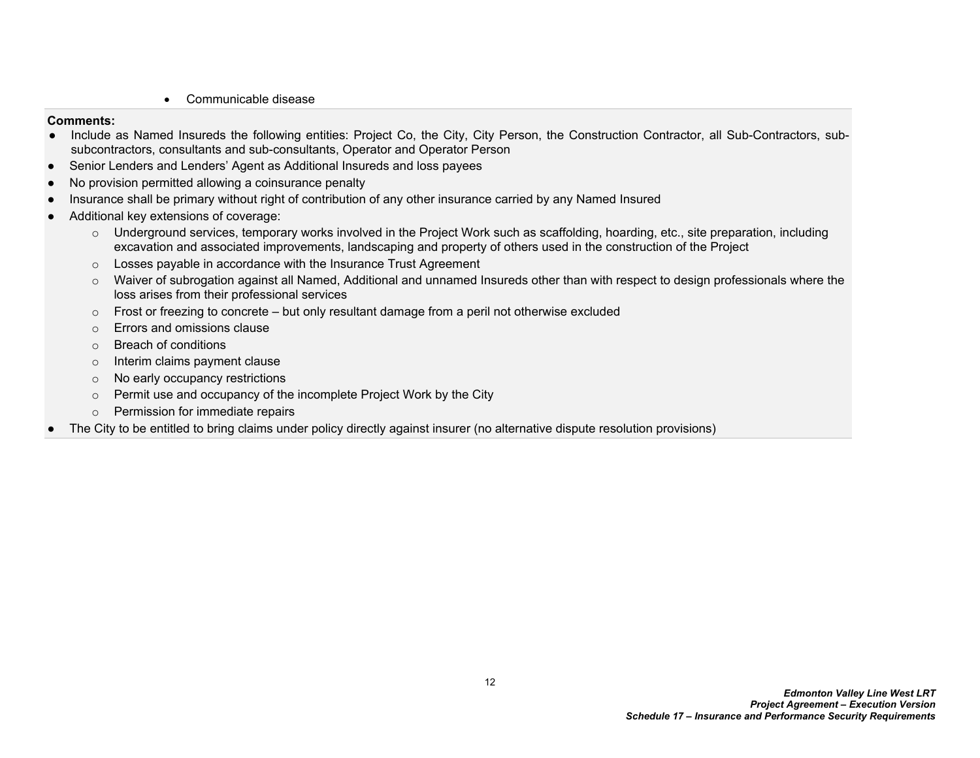#### Communicable disease

#### **Comments:**

- Include as Named Insureds the following entities: Project Co, the City, City Person, the Construction Contractor, all Sub-Contractors, subsubcontractors, consultants and sub-consultants, Operator and Operator Person
- Senior Lenders and Lenders' Agent as Additional Insureds and loss payees
- No provision permitted allowing a coinsurance penalty
- Insurance shall be primary without right of contribution of any other insurance carried by any Named Insured
- Additional key extensions of coverage:
	- o Underground services, temporary works involved in the Project Work such as scaffolding, hoarding, etc., site preparation, including excavation and associated improvements, landscaping and property of others used in the construction of the Project
	- o Losses payable in accordance with the Insurance Trust Agreement
	- o Waiver of subrogation against all Named, Additional and unnamed Insureds other than with respect to design professionals where the loss arises from their professional services
	- $\circ$  Frost or freezing to concrete but only resultant damage from a peril not otherwise excluded
	- o Errors and omissions clause
	- o Breach of conditions
	- o Interim claims payment clause
	- o No early occupancy restrictions
	- o Permit use and occupancy of the incomplete Project Work by the City
	- o Permission for immediate repairs
- The City to be entitled to bring claims under policy directly against insurer (no alternative dispute resolution provisions)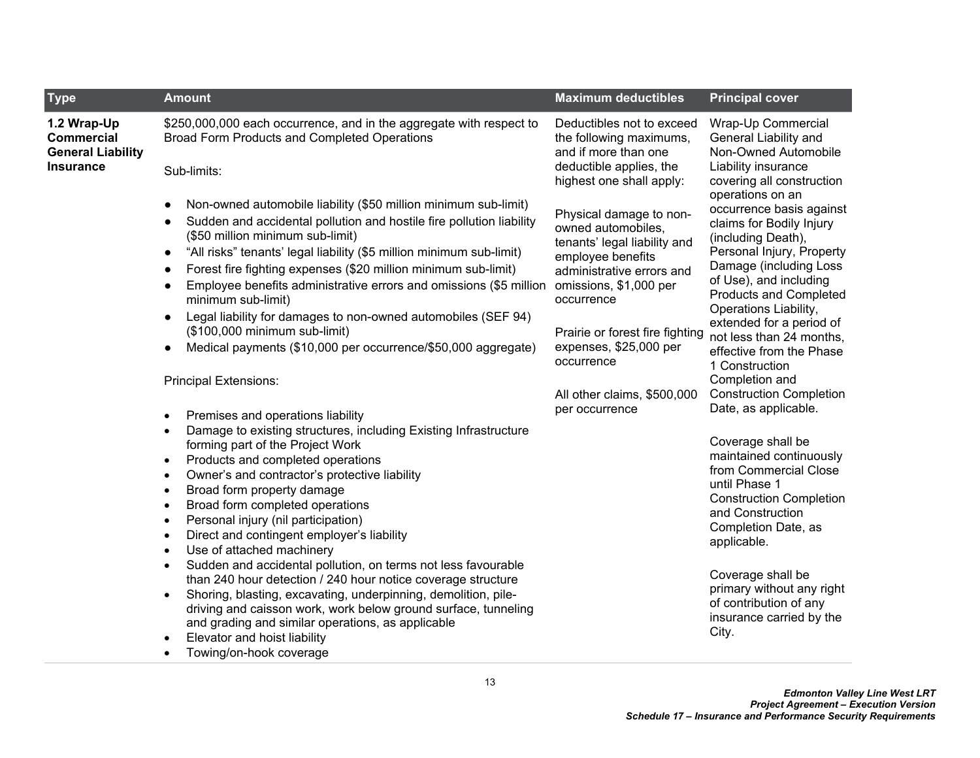| <b>Type</b>                                                                      | <b>Amount</b>                                                                                                                                                                                                                                                                                                                                                                                                                                                                                                                                                                                                                                                                                                                                                                                                                                                                                                                                                                                                                                                                                                                                                                                                                                                                                   | <b>Maximum deductibles</b>                                                                                                                                                                                                                                                                                                                                                                                                                 | <b>Principal cover</b>                                                                                                                                                                                                                                                                                                                                                                                                                                                                                                                                                                                                                                                                                                                       |
|----------------------------------------------------------------------------------|-------------------------------------------------------------------------------------------------------------------------------------------------------------------------------------------------------------------------------------------------------------------------------------------------------------------------------------------------------------------------------------------------------------------------------------------------------------------------------------------------------------------------------------------------------------------------------------------------------------------------------------------------------------------------------------------------------------------------------------------------------------------------------------------------------------------------------------------------------------------------------------------------------------------------------------------------------------------------------------------------------------------------------------------------------------------------------------------------------------------------------------------------------------------------------------------------------------------------------------------------------------------------------------------------|--------------------------------------------------------------------------------------------------------------------------------------------------------------------------------------------------------------------------------------------------------------------------------------------------------------------------------------------------------------------------------------------------------------------------------------------|----------------------------------------------------------------------------------------------------------------------------------------------------------------------------------------------------------------------------------------------------------------------------------------------------------------------------------------------------------------------------------------------------------------------------------------------------------------------------------------------------------------------------------------------------------------------------------------------------------------------------------------------------------------------------------------------------------------------------------------------|
| 1.2 Wrap-Up<br><b>Commercial</b><br><b>General Liability</b><br><b>Insurance</b> | \$250,000,000 each occurrence, and in the aggregate with respect to<br><b>Broad Form Products and Completed Operations</b><br>Sub-limits:<br>Non-owned automobile liability (\$50 million minimum sub-limit)<br>Sudden and accidental pollution and hostile fire pollution liability<br>(\$50 million minimum sub-limit)<br>"All risks" tenants' legal liability (\$5 million minimum sub-limit)<br>$\bullet$<br>Forest fire fighting expenses (\$20 million minimum sub-limit)<br>Employee benefits administrative errors and omissions (\$5 million<br>minimum sub-limit)<br>Legal liability for damages to non-owned automobiles (SEF 94)<br>(\$100,000 minimum sub-limit)<br>Medical payments (\$10,000 per occurrence/\$50,000 aggregate)<br><b>Principal Extensions:</b><br>Premises and operations liability<br>Damage to existing structures, including Existing Infrastructure<br>forming part of the Project Work<br>Products and completed operations<br>$\bullet$<br>Owner's and contractor's protective liability<br>$\bullet$<br>Broad form property damage<br>$\bullet$<br>Broad form completed operations<br>$\bullet$<br>Personal injury (nil participation)<br>$\bullet$<br>Direct and contingent employer's liability<br>$\bullet$<br>Use of attached machinery<br>$\bullet$ | Deductibles not to exceed<br>the following maximums,<br>and if more than one<br>deductible applies, the<br>highest one shall apply:<br>Physical damage to non-<br>owned automobiles,<br>tenants' legal liability and<br>employee benefits<br>administrative errors and<br>omissions, \$1,000 per<br>occurrence<br>Prairie or forest fire fighting<br>expenses, \$25,000 per<br>occurrence<br>All other claims, \$500,000<br>per occurrence | Wrap-Up Commercial<br>General Liability and<br>Non-Owned Automobile<br>Liability insurance<br>covering all construction<br>operations on an<br>occurrence basis against<br>claims for Bodily Injury<br>(including Death),<br>Personal Injury, Property<br>Damage (including Loss<br>of Use), and including<br><b>Products and Completed</b><br>Operations Liability,<br>extended for a period of<br>not less than 24 months.<br>effective from the Phase<br>1 Construction<br>Completion and<br><b>Construction Completion</b><br>Date, as applicable.<br>Coverage shall be<br>maintained continuously<br>from Commercial Close<br>until Phase 1<br><b>Construction Completion</b><br>and Construction<br>Completion Date, as<br>applicable. |
|                                                                                  | Sudden and accidental pollution, on terms not less favourable<br>$\bullet$<br>than 240 hour detection / 240 hour notice coverage structure<br>Shoring, blasting, excavating, underpinning, demolition, pile-<br>$\bullet$<br>driving and caisson work, work below ground surface, tunneling<br>and grading and similar operations, as applicable<br>Elevator and hoist liability<br>Towing/on-hook coverage<br>$\bullet$                                                                                                                                                                                                                                                                                                                                                                                                                                                                                                                                                                                                                                                                                                                                                                                                                                                                        |                                                                                                                                                                                                                                                                                                                                                                                                                                            | Coverage shall be<br>primary without any right<br>of contribution of any<br>insurance carried by the<br>City.                                                                                                                                                                                                                                                                                                                                                                                                                                                                                                                                                                                                                                |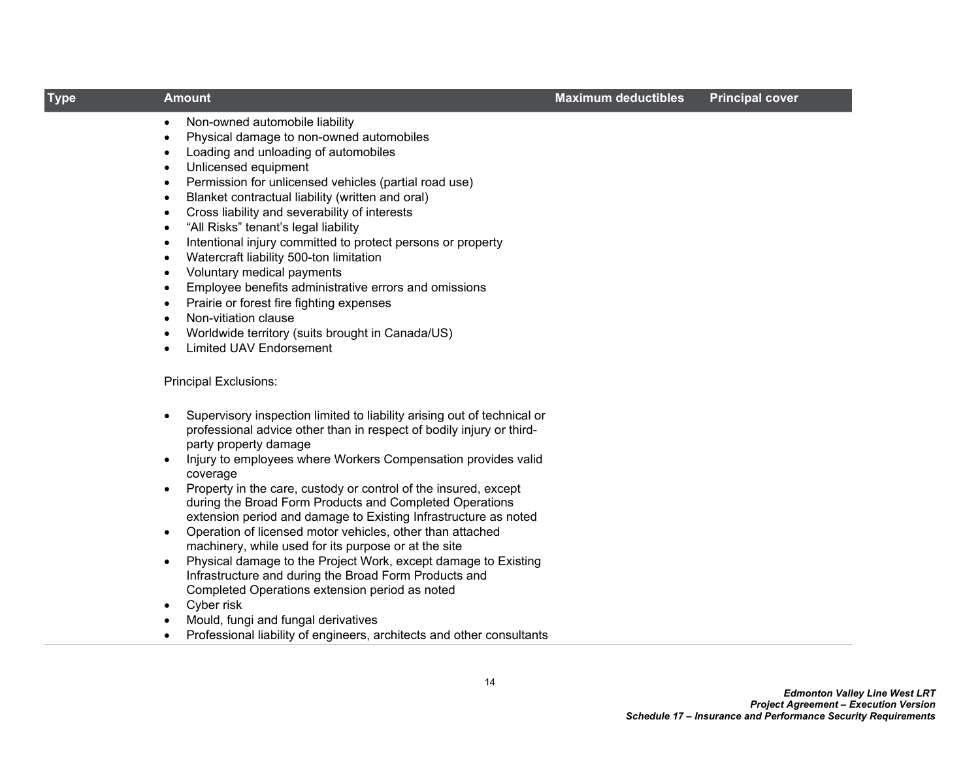| $\bullet$<br>Loading and unloading of automobiles<br>$\bullet$<br>Unlicensed equipment<br>$\bullet$<br>Permission for unlicensed vehicles (partial road use)<br>$\bullet$<br>Blanket contractual liability (written and oral)<br>$\bullet$<br>Cross liability and severability of interests<br>$\bullet$<br>"All Risks" tenant's legal liability<br>$\bullet$<br>Intentional injury committed to protect persons or property<br>$\bullet$<br>Watercraft liability 500-ton limitation<br>$\bullet$<br>Voluntary medical payments<br>$\bullet$<br>Employee benefits administrative errors and omissions<br>$\bullet$<br>Prairie or forest fire fighting expenses<br>$\bullet$<br>Non-vitiation clause<br>$\bullet$<br>Worldwide territory (suits brought in Canada/US)<br>$\bullet$<br><b>Limited UAV Endorsement</b><br><b>Principal Exclusions:</b><br>Supervisory inspection limited to liability arising out of technical or<br>$\bullet$<br>professional advice other than in respect of bodily injury or third-<br>party property damage<br>Injury to employees where Workers Compensation provides valid<br>$\bullet$<br>coverage<br>Property in the care, custody or control of the insured, except<br>$\bullet$<br>during the Broad Form Products and Completed Operations<br>extension period and damage to Existing Infrastructure as noted<br>Operation of licensed motor vehicles, other than attached<br>$\bullet$<br>machinery, while used for its purpose or at the site<br>Physical damage to the Project Work, except damage to Existing<br>$\bullet$<br>Infrastructure and during the Broad Form Products and<br>Completed Operations extension period as noted<br>Cyber risk<br>$\bullet$<br>Mould, fungi and fungal derivatives<br>$\bullet$<br>Professional liability of engineers, architects and other consultants | $\bullet$ | Non-owned automobile liability           |
|------------------------------------------------------------------------------------------------------------------------------------------------------------------------------------------------------------------------------------------------------------------------------------------------------------------------------------------------------------------------------------------------------------------------------------------------------------------------------------------------------------------------------------------------------------------------------------------------------------------------------------------------------------------------------------------------------------------------------------------------------------------------------------------------------------------------------------------------------------------------------------------------------------------------------------------------------------------------------------------------------------------------------------------------------------------------------------------------------------------------------------------------------------------------------------------------------------------------------------------------------------------------------------------------------------------------------------------------------------------------------------------------------------------------------------------------------------------------------------------------------------------------------------------------------------------------------------------------------------------------------------------------------------------------------------------------------------------------------------------------------------------------------------------------------------------------------------------|-----------|------------------------------------------|
|                                                                                                                                                                                                                                                                                                                                                                                                                                                                                                                                                                                                                                                                                                                                                                                                                                                                                                                                                                                                                                                                                                                                                                                                                                                                                                                                                                                                                                                                                                                                                                                                                                                                                                                                                                                                                                          |           | Physical damage to non-owned automobiles |
|                                                                                                                                                                                                                                                                                                                                                                                                                                                                                                                                                                                                                                                                                                                                                                                                                                                                                                                                                                                                                                                                                                                                                                                                                                                                                                                                                                                                                                                                                                                                                                                                                                                                                                                                                                                                                                          |           |                                          |
|                                                                                                                                                                                                                                                                                                                                                                                                                                                                                                                                                                                                                                                                                                                                                                                                                                                                                                                                                                                                                                                                                                                                                                                                                                                                                                                                                                                                                                                                                                                                                                                                                                                                                                                                                                                                                                          |           |                                          |
|                                                                                                                                                                                                                                                                                                                                                                                                                                                                                                                                                                                                                                                                                                                                                                                                                                                                                                                                                                                                                                                                                                                                                                                                                                                                                                                                                                                                                                                                                                                                                                                                                                                                                                                                                                                                                                          |           |                                          |
|                                                                                                                                                                                                                                                                                                                                                                                                                                                                                                                                                                                                                                                                                                                                                                                                                                                                                                                                                                                                                                                                                                                                                                                                                                                                                                                                                                                                                                                                                                                                                                                                                                                                                                                                                                                                                                          |           |                                          |
|                                                                                                                                                                                                                                                                                                                                                                                                                                                                                                                                                                                                                                                                                                                                                                                                                                                                                                                                                                                                                                                                                                                                                                                                                                                                                                                                                                                                                                                                                                                                                                                                                                                                                                                                                                                                                                          |           |                                          |
|                                                                                                                                                                                                                                                                                                                                                                                                                                                                                                                                                                                                                                                                                                                                                                                                                                                                                                                                                                                                                                                                                                                                                                                                                                                                                                                                                                                                                                                                                                                                                                                                                                                                                                                                                                                                                                          |           |                                          |
|                                                                                                                                                                                                                                                                                                                                                                                                                                                                                                                                                                                                                                                                                                                                                                                                                                                                                                                                                                                                                                                                                                                                                                                                                                                                                                                                                                                                                                                                                                                                                                                                                                                                                                                                                                                                                                          |           |                                          |
|                                                                                                                                                                                                                                                                                                                                                                                                                                                                                                                                                                                                                                                                                                                                                                                                                                                                                                                                                                                                                                                                                                                                                                                                                                                                                                                                                                                                                                                                                                                                                                                                                                                                                                                                                                                                                                          |           |                                          |
|                                                                                                                                                                                                                                                                                                                                                                                                                                                                                                                                                                                                                                                                                                                                                                                                                                                                                                                                                                                                                                                                                                                                                                                                                                                                                                                                                                                                                                                                                                                                                                                                                                                                                                                                                                                                                                          |           |                                          |
|                                                                                                                                                                                                                                                                                                                                                                                                                                                                                                                                                                                                                                                                                                                                                                                                                                                                                                                                                                                                                                                                                                                                                                                                                                                                                                                                                                                                                                                                                                                                                                                                                                                                                                                                                                                                                                          |           |                                          |
|                                                                                                                                                                                                                                                                                                                                                                                                                                                                                                                                                                                                                                                                                                                                                                                                                                                                                                                                                                                                                                                                                                                                                                                                                                                                                                                                                                                                                                                                                                                                                                                                                                                                                                                                                                                                                                          |           |                                          |
|                                                                                                                                                                                                                                                                                                                                                                                                                                                                                                                                                                                                                                                                                                                                                                                                                                                                                                                                                                                                                                                                                                                                                                                                                                                                                                                                                                                                                                                                                                                                                                                                                                                                                                                                                                                                                                          |           |                                          |
|                                                                                                                                                                                                                                                                                                                                                                                                                                                                                                                                                                                                                                                                                                                                                                                                                                                                                                                                                                                                                                                                                                                                                                                                                                                                                                                                                                                                                                                                                                                                                                                                                                                                                                                                                                                                                                          |           |                                          |
|                                                                                                                                                                                                                                                                                                                                                                                                                                                                                                                                                                                                                                                                                                                                                                                                                                                                                                                                                                                                                                                                                                                                                                                                                                                                                                                                                                                                                                                                                                                                                                                                                                                                                                                                                                                                                                          |           |                                          |
|                                                                                                                                                                                                                                                                                                                                                                                                                                                                                                                                                                                                                                                                                                                                                                                                                                                                                                                                                                                                                                                                                                                                                                                                                                                                                                                                                                                                                                                                                                                                                                                                                                                                                                                                                                                                                                          |           |                                          |
|                                                                                                                                                                                                                                                                                                                                                                                                                                                                                                                                                                                                                                                                                                                                                                                                                                                                                                                                                                                                                                                                                                                                                                                                                                                                                                                                                                                                                                                                                                                                                                                                                                                                                                                                                                                                                                          |           |                                          |
|                                                                                                                                                                                                                                                                                                                                                                                                                                                                                                                                                                                                                                                                                                                                                                                                                                                                                                                                                                                                                                                                                                                                                                                                                                                                                                                                                                                                                                                                                                                                                                                                                                                                                                                                                                                                                                          |           |                                          |
|                                                                                                                                                                                                                                                                                                                                                                                                                                                                                                                                                                                                                                                                                                                                                                                                                                                                                                                                                                                                                                                                                                                                                                                                                                                                                                                                                                                                                                                                                                                                                                                                                                                                                                                                                                                                                                          |           |                                          |
|                                                                                                                                                                                                                                                                                                                                                                                                                                                                                                                                                                                                                                                                                                                                                                                                                                                                                                                                                                                                                                                                                                                                                                                                                                                                                                                                                                                                                                                                                                                                                                                                                                                                                                                                                                                                                                          |           |                                          |
|                                                                                                                                                                                                                                                                                                                                                                                                                                                                                                                                                                                                                                                                                                                                                                                                                                                                                                                                                                                                                                                                                                                                                                                                                                                                                                                                                                                                                                                                                                                                                                                                                                                                                                                                                                                                                                          |           |                                          |
|                                                                                                                                                                                                                                                                                                                                                                                                                                                                                                                                                                                                                                                                                                                                                                                                                                                                                                                                                                                                                                                                                                                                                                                                                                                                                                                                                                                                                                                                                                                                                                                                                                                                                                                                                                                                                                          |           |                                          |
|                                                                                                                                                                                                                                                                                                                                                                                                                                                                                                                                                                                                                                                                                                                                                                                                                                                                                                                                                                                                                                                                                                                                                                                                                                                                                                                                                                                                                                                                                                                                                                                                                                                                                                                                                                                                                                          |           |                                          |
|                                                                                                                                                                                                                                                                                                                                                                                                                                                                                                                                                                                                                                                                                                                                                                                                                                                                                                                                                                                                                                                                                                                                                                                                                                                                                                                                                                                                                                                                                                                                                                                                                                                                                                                                                                                                                                          |           |                                          |
|                                                                                                                                                                                                                                                                                                                                                                                                                                                                                                                                                                                                                                                                                                                                                                                                                                                                                                                                                                                                                                                                                                                                                                                                                                                                                                                                                                                                                                                                                                                                                                                                                                                                                                                                                                                                                                          |           |                                          |
|                                                                                                                                                                                                                                                                                                                                                                                                                                                                                                                                                                                                                                                                                                                                                                                                                                                                                                                                                                                                                                                                                                                                                                                                                                                                                                                                                                                                                                                                                                                                                                                                                                                                                                                                                                                                                                          |           |                                          |
|                                                                                                                                                                                                                                                                                                                                                                                                                                                                                                                                                                                                                                                                                                                                                                                                                                                                                                                                                                                                                                                                                                                                                                                                                                                                                                                                                                                                                                                                                                                                                                                                                                                                                                                                                                                                                                          |           |                                          |
|                                                                                                                                                                                                                                                                                                                                                                                                                                                                                                                                                                                                                                                                                                                                                                                                                                                                                                                                                                                                                                                                                                                                                                                                                                                                                                                                                                                                                                                                                                                                                                                                                                                                                                                                                                                                                                          |           |                                          |
|                                                                                                                                                                                                                                                                                                                                                                                                                                                                                                                                                                                                                                                                                                                                                                                                                                                                                                                                                                                                                                                                                                                                                                                                                                                                                                                                                                                                                                                                                                                                                                                                                                                                                                                                                                                                                                          |           |                                          |
|                                                                                                                                                                                                                                                                                                                                                                                                                                                                                                                                                                                                                                                                                                                                                                                                                                                                                                                                                                                                                                                                                                                                                                                                                                                                                                                                                                                                                                                                                                                                                                                                                                                                                                                                                                                                                                          |           |                                          |
|                                                                                                                                                                                                                                                                                                                                                                                                                                                                                                                                                                                                                                                                                                                                                                                                                                                                                                                                                                                                                                                                                                                                                                                                                                                                                                                                                                                                                                                                                                                                                                                                                                                                                                                                                                                                                                          |           |                                          |
|                                                                                                                                                                                                                                                                                                                                                                                                                                                                                                                                                                                                                                                                                                                                                                                                                                                                                                                                                                                                                                                                                                                                                                                                                                                                                                                                                                                                                                                                                                                                                                                                                                                                                                                                                                                                                                          |           |                                          |
|                                                                                                                                                                                                                                                                                                                                                                                                                                                                                                                                                                                                                                                                                                                                                                                                                                                                                                                                                                                                                                                                                                                                                                                                                                                                                                                                                                                                                                                                                                                                                                                                                                                                                                                                                                                                                                          |           |                                          |

**Type Amount Amount Amount Maximum deductibles Principal cover**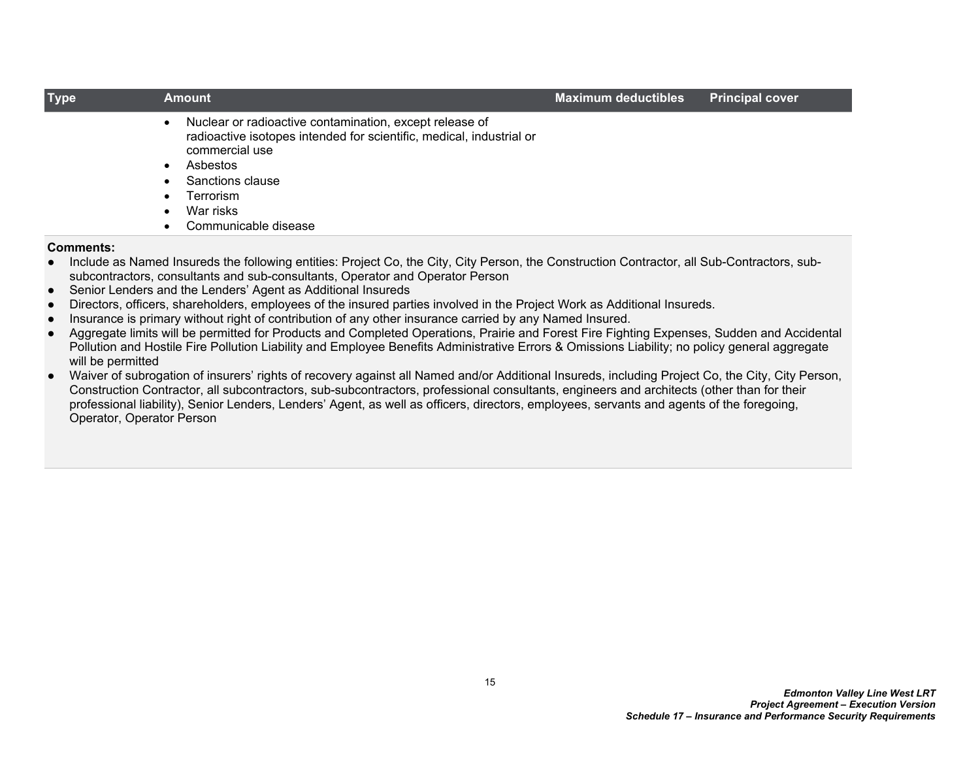| <b>Type</b> | <b>Amount</b>                                                                                                                                                                                                      | <b>Maximum deductibles</b> | <b>Principal cover</b> |
|-------------|--------------------------------------------------------------------------------------------------------------------------------------------------------------------------------------------------------------------|----------------------------|------------------------|
|             | Nuclear or radioactive contamination, except release of<br>radioactive isotopes intended for scientific, medical, industrial or<br>commercial use<br>Asbestos<br><b>Sanctions clause</b><br>Terrorism<br>War risks |                            |                        |
|             |                                                                                                                                                                                                                    |                            |                        |

Communicable disease

#### **Comments:**

- Include as Named Insureds the following entities: Project Co, the City, City Person, the Construction Contractor, all Sub-Contractors, subsubcontractors, consultants and sub-consultants, Operator and Operator Person
- Senior Lenders and the Lenders' Agent as Additional Insureds
- Directors, officers, shareholders, employees of the insured parties involved in the Project Work as Additional Insureds.
- Insurance is primary without right of contribution of any other insurance carried by any Named Insured.
- Aggregate limits will be permitted for Products and Completed Operations, Prairie and Forest Fire Fighting Expenses, Sudden and Accidental Pollution and Hostile Fire Pollution Liability and Employee Benefits Administrative Errors & Omissions Liability; no policy general aggregate will be permitted
- Waiver of subrogation of insurers' rights of recovery against all Named and/or Additional Insureds, including Project Co, the City, City Person, Construction Contractor, all subcontractors, sub-subcontractors, professional consultants, engineers and architects (other than for their professional liability), Senior Lenders, Lenders' Agent, as well as officers, directors, employees, servants and agents of the foregoing, Operator, Operator Person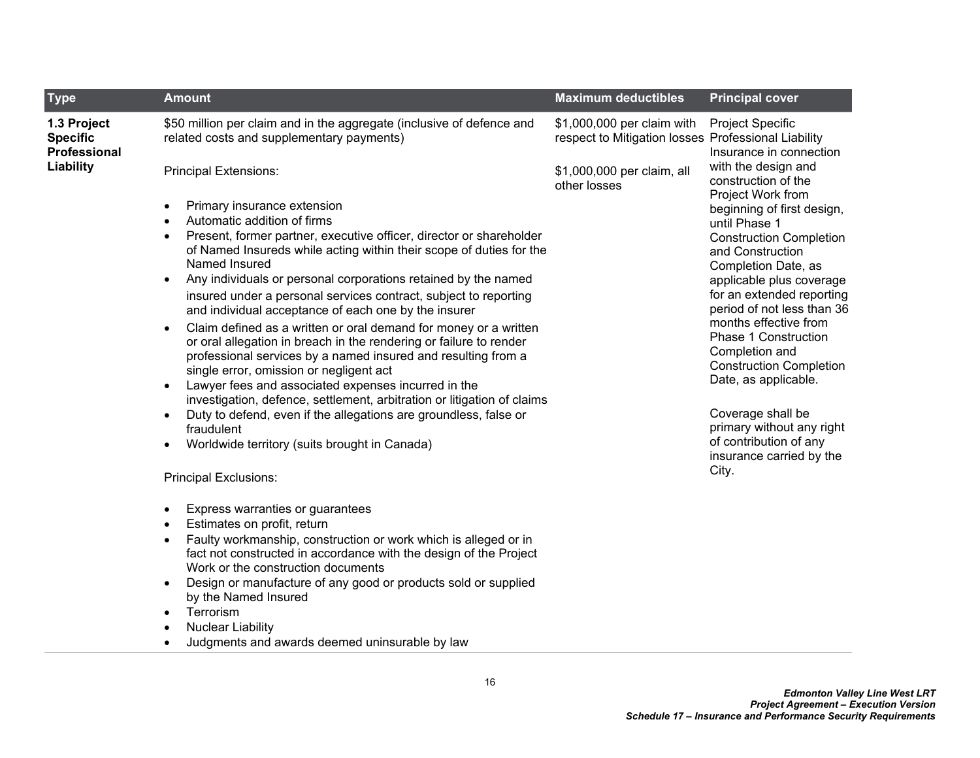| <b>Type</b>                                                 | <b>Amount</b>                                                                                                                                                                                                                                                   | <b>Maximum deductibles</b>                                                        | <b>Principal cover</b>                                                                            |
|-------------------------------------------------------------|-----------------------------------------------------------------------------------------------------------------------------------------------------------------------------------------------------------------------------------------------------------------|-----------------------------------------------------------------------------------|---------------------------------------------------------------------------------------------------|
| 1.3 Project<br><b>Specific</b><br>Professional<br>Liability | \$50 million per claim and in the aggregate (inclusive of defence and<br>related costs and supplementary payments)                                                                                                                                              | \$1,000,000 per claim with<br>respect to Mitigation losses Professional Liability | <b>Project Specific</b><br>Insurance in connection                                                |
|                                                             | <b>Principal Extensions:</b>                                                                                                                                                                                                                                    | \$1,000,000 per claim, all<br>other losses                                        | with the design and<br>construction of the<br>Project Work from                                   |
|                                                             | Primary insurance extension<br>Automatic addition of firms                                                                                                                                                                                                      |                                                                                   | beginning of first design,<br>until Phase 1                                                       |
|                                                             | Present, former partner, executive officer, director or shareholder<br>of Named Insureds while acting within their scope of duties for the<br>Named Insured                                                                                                     |                                                                                   | <b>Construction Completion</b><br>and Construction<br>Completion Date, as                         |
|                                                             | Any individuals or personal corporations retained by the named<br>$\bullet$<br>insured under a personal services contract, subject to reporting<br>and individual acceptance of each one by the insurer                                                         |                                                                                   | applicable plus coverage<br>for an extended reporting<br>period of not less than 36               |
|                                                             | Claim defined as a written or oral demand for money or a written<br>$\bullet$<br>or oral allegation in breach in the rendering or failure to render<br>professional services by a named insured and resulting from a<br>single error, omission or negligent act |                                                                                   | months effective from<br>Phase 1 Construction<br>Completion and<br><b>Construction Completion</b> |
|                                                             | Lawyer fees and associated expenses incurred in the<br>investigation, defence, settlement, arbitration or litigation of claims                                                                                                                                  |                                                                                   | Date, as applicable.                                                                              |
|                                                             | Duty to defend, even if the allegations are groundless, false or<br>fraudulent                                                                                                                                                                                  |                                                                                   | Coverage shall be<br>primary without any right                                                    |
|                                                             | Worldwide territory (suits brought in Canada)                                                                                                                                                                                                                   |                                                                                   | of contribution of any<br>insurance carried by the                                                |
|                                                             | Principal Exclusions:                                                                                                                                                                                                                                           |                                                                                   | City.                                                                                             |
|                                                             | Express warranties or guarantees<br>$\bullet$                                                                                                                                                                                                                   |                                                                                   |                                                                                                   |
|                                                             | Estimates on profit, return                                                                                                                                                                                                                                     |                                                                                   |                                                                                                   |
|                                                             | Faulty workmanship, construction or work which is alleged or in<br>$\bullet$<br>fact not constructed in accordance with the design of the Project                                                                                                               |                                                                                   |                                                                                                   |
|                                                             | Work or the construction documents<br>Design or manufacture of any good or products sold or supplied<br>$\bullet$<br>by the Named Insured                                                                                                                       |                                                                                   |                                                                                                   |
|                                                             | Terrorism<br>$\bullet$                                                                                                                                                                                                                                          |                                                                                   |                                                                                                   |
|                                                             | <b>Nuclear Liability</b>                                                                                                                                                                                                                                        |                                                                                   |                                                                                                   |
|                                                             | Judgments and awards deemed uninsurable by law                                                                                                                                                                                                                  |                                                                                   |                                                                                                   |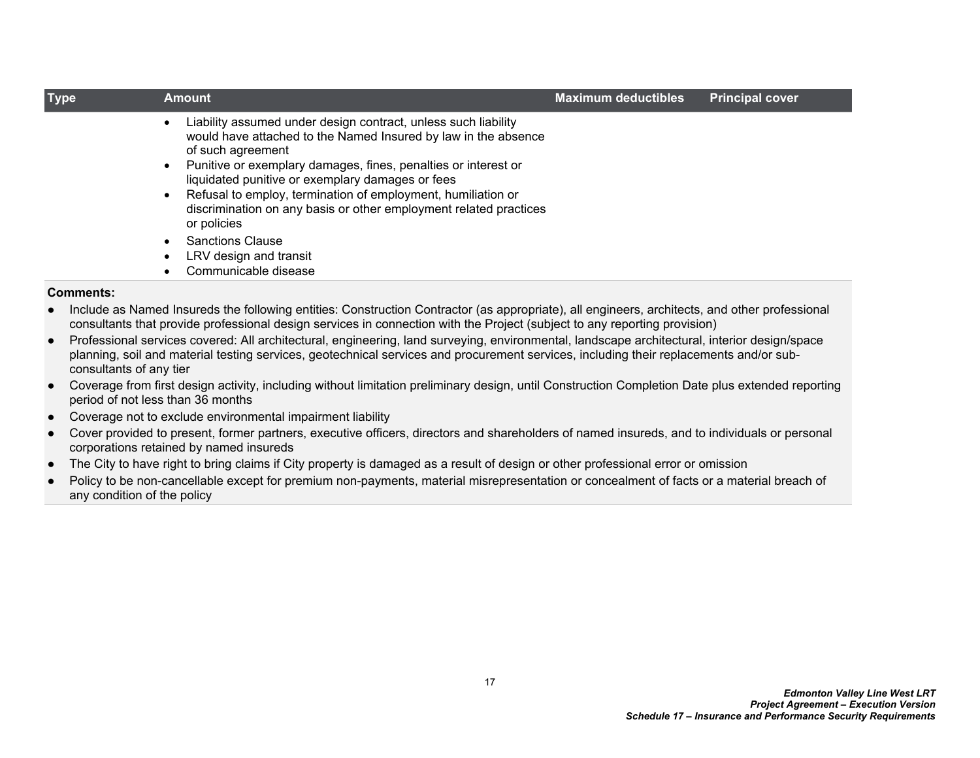| <b>Type</b>      | <b>Amount</b>                                                                                                                                                                                                                                                                                                                                                                                                                                                                                                | <b>Maximum deductibles</b> | <b>Principal cover</b> |
|------------------|--------------------------------------------------------------------------------------------------------------------------------------------------------------------------------------------------------------------------------------------------------------------------------------------------------------------------------------------------------------------------------------------------------------------------------------------------------------------------------------------------------------|----------------------------|------------------------|
|                  | Liability assumed under design contract, unless such liability<br>would have attached to the Named Insured by law in the absence<br>of such agreement<br>Punitive or exemplary damages, fines, penalties or interest or<br>liquidated punitive or exemplary damages or fees<br>Refusal to employ, termination of employment, humiliation or<br>discrimination on any basis or other employment related practices<br>or policies<br><b>Sanctions Clause</b><br>LRV design and transit<br>Communicable disease |                            |                        |
| <b>Comments:</b> | • Include as Named Insureds the following entities: Construction Contractor (as appropriate), all engineers, architects, and other professional<br>consultants that provide professional design services in connection with the Project (subject to any reporting provision)<br>Professional senvices covered: All architectural engineering Jand surveying environmental Jandscane architectural interior design/space                                                                                      |                            |                        |

- d: All architectural, engineering, land surveying, environmental, landscape architectural, interior design/space planning, soil and material testing services, geotechnical services and procurement services, including their replacements and/or subconsultants of any tier
- Coverage from first design activity, including without limitation preliminary design, until Construction Completion Date plus extended reporting period of not less than 36 months
- Coverage not to exclude environmental impairment liability
- Cover provided to present, former partners, executive officers, directors and shareholders of named insureds, and to individuals or personal corporations retained by named insureds
- The City to have right to bring claims if City property is damaged as a result of design or other professional error or omission
- Policy to be non-cancellable except for premium non-payments, material misrepresentation or concealment of facts or a material breach of any condition of the policy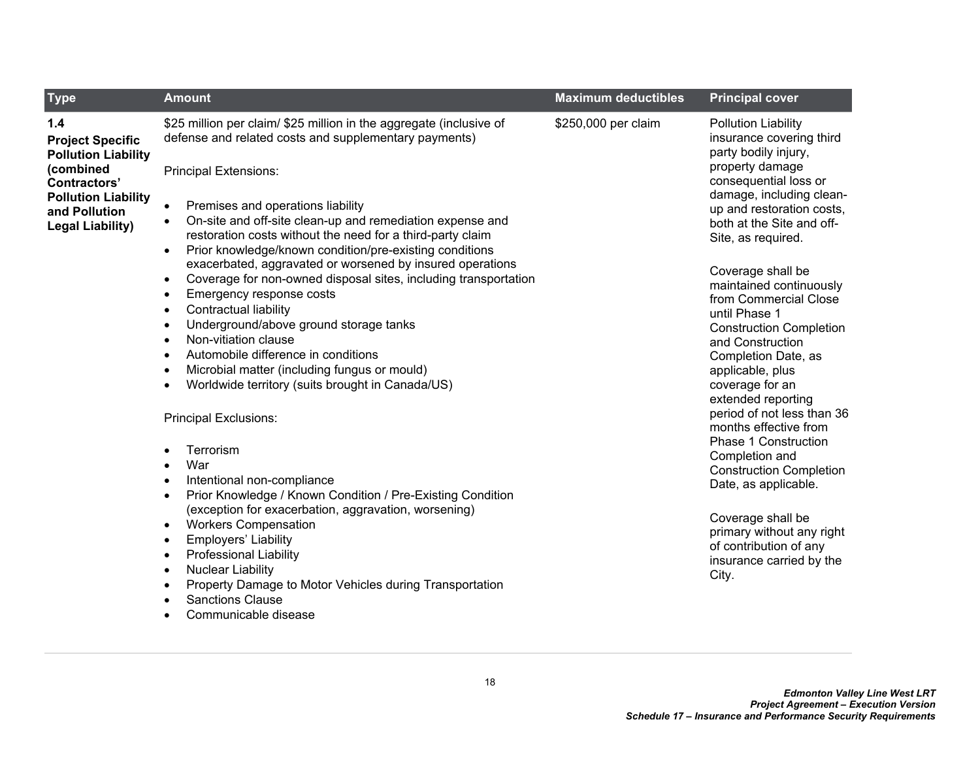| <b>Type</b>                                                                                                                                                         | <b>Amount</b>                                                                                                                                                                                                                                                                                                                                                                                   | <b>Maximum deductibles</b> | <b>Principal cover</b>                                                                                                                                                                                                                                                                                                                                                                                                                                                                                                                                                                                                                       |
|---------------------------------------------------------------------------------------------------------------------------------------------------------------------|-------------------------------------------------------------------------------------------------------------------------------------------------------------------------------------------------------------------------------------------------------------------------------------------------------------------------------------------------------------------------------------------------|----------------------------|----------------------------------------------------------------------------------------------------------------------------------------------------------------------------------------------------------------------------------------------------------------------------------------------------------------------------------------------------------------------------------------------------------------------------------------------------------------------------------------------------------------------------------------------------------------------------------------------------------------------------------------------|
| 1.4<br><b>Project Specific</b><br><b>Pollution Liability</b><br>(combined<br>Contractors'<br><b>Pollution Liability</b><br>and Pollution<br><b>Legal Liability)</b> | \$25 million per claim/ \$25 million in the aggregate (inclusive of<br>defense and related costs and supplementary payments)                                                                                                                                                                                                                                                                    | \$250,000 per claim        | <b>Pollution Liability</b><br>insurance covering third<br>party bodily injury,<br>property damage<br>consequential loss or<br>damage, including clean-<br>up and restoration costs,<br>both at the Site and off-<br>Site, as required.<br>Coverage shall be<br>maintained continuously<br>from Commercial Close<br>until Phase 1<br><b>Construction Completion</b><br>and Construction<br>Completion Date, as<br>applicable, plus<br>coverage for an<br>extended reporting<br>period of not less than 36<br>months effective from<br><b>Phase 1 Construction</b><br>Completion and<br><b>Construction Completion</b><br>Date, as applicable. |
|                                                                                                                                                                     | <b>Principal Extensions:</b><br>Premises and operations liability<br>On-site and off-site clean-up and remediation expense and<br>$\bullet$<br>restoration costs without the need for a third-party claim<br>Prior knowledge/known condition/pre-existing conditions<br>$\bullet$<br>exacerbated, aggravated or worsened by insured operations                                                  |                            |                                                                                                                                                                                                                                                                                                                                                                                                                                                                                                                                                                                                                                              |
|                                                                                                                                                                     | Coverage for non-owned disposal sites, including transportation<br>$\bullet$<br>Emergency response costs<br>٠<br>Contractual liability<br>٠<br>Underground/above ground storage tanks<br>$\bullet$<br>Non-vitiation clause<br>$\bullet$<br>Automobile difference in conditions<br>$\bullet$<br>Microbial matter (including fungus or mould)<br>Worldwide territory (suits brought in Canada/US) |                            |                                                                                                                                                                                                                                                                                                                                                                                                                                                                                                                                                                                                                                              |
|                                                                                                                                                                     | Principal Exclusions:                                                                                                                                                                                                                                                                                                                                                                           |                            |                                                                                                                                                                                                                                                                                                                                                                                                                                                                                                                                                                                                                                              |
|                                                                                                                                                                     | Terrorism<br>$\bullet$<br>War<br>Intentional non-compliance<br>Prior Knowledge / Known Condition / Pre-Existing Condition<br>$\bullet$                                                                                                                                                                                                                                                          |                            |                                                                                                                                                                                                                                                                                                                                                                                                                                                                                                                                                                                                                                              |
|                                                                                                                                                                     | (exception for exacerbation, aggravation, worsening)<br><b>Workers Compensation</b><br>$\bullet$<br>Employers' Liability<br>$\bullet$<br><b>Professional Liability</b><br>٠<br><b>Nuclear Liability</b><br>$\bullet$<br>Property Damage to Motor Vehicles during Transportation<br><b>Sanctions Clause</b><br>Communicable disease                                                              |                            | Coverage shall be<br>primary without any right<br>of contribution of any<br>insurance carried by the<br>City.                                                                                                                                                                                                                                                                                                                                                                                                                                                                                                                                |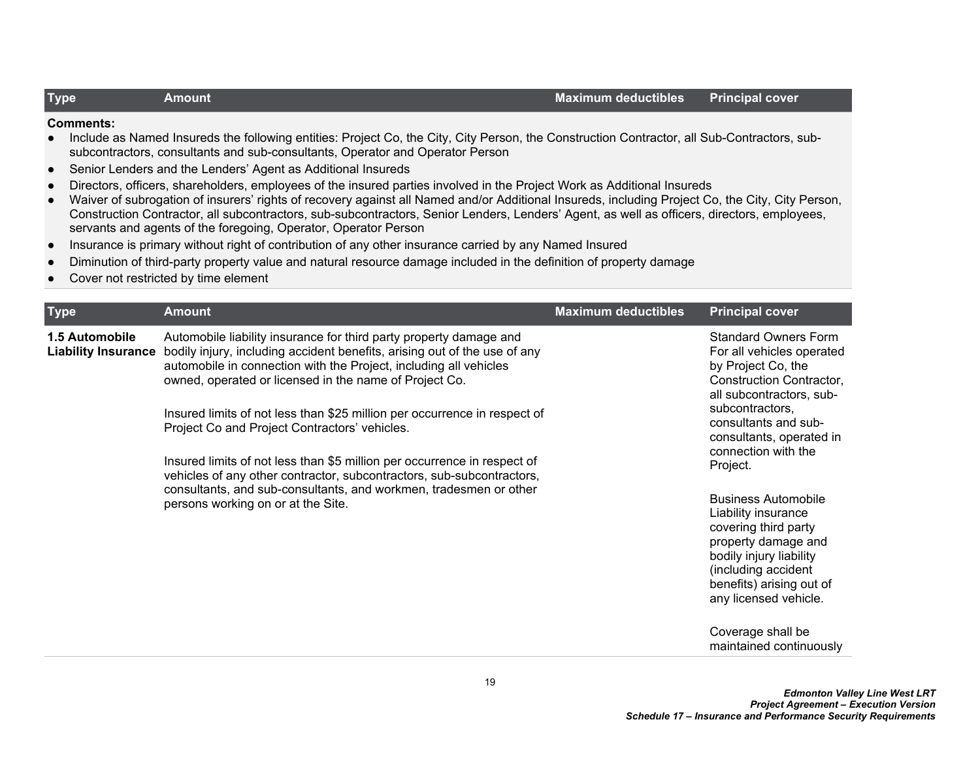| Type | Amou |
|------|------|
|      |      |

#### **Comments:**

- Include as Named Insureds the following entities: Project Co, the City, City Person, the Construction Contractor, all Sub-Contractors, subsubcontractors, consultants and sub-consultants, Operator and Operator Person
- Senior Lenders and the Lenders' Agent as Additional Insureds
- Directors, officers, shareholders, employees of the insured parties involved in the Project Work as Additional Insureds
- Waiver of subrogation of insurers' rights of recovery against all Named and/or Additional Insureds, including Project Co, the City, City Person, Construction Contractor, all subcontractors, sub-subcontractors, Senior Lenders, Lenders' Agent, as well as officers, directors, employees, servants and agents of the foregoing, Operator, Operator Person
- Insurance is primary without right of contribution of any other insurance carried by any Named Insured
- Diminution of third-party property value and natural resource damage included in the definition of property damage
- Cover not restricted by time element

| <b>Type</b>                                         | <b>Amount</b>                                                                                                                                                                                                                                                                                                                                                                                                                                                                                                                                                                                                                                                                | <b>Maximum deductibles</b> | <b>Principal cover</b>                                                                                                                                                                                                                                                                                                                                                                                                             |
|-----------------------------------------------------|------------------------------------------------------------------------------------------------------------------------------------------------------------------------------------------------------------------------------------------------------------------------------------------------------------------------------------------------------------------------------------------------------------------------------------------------------------------------------------------------------------------------------------------------------------------------------------------------------------------------------------------------------------------------------|----------------------------|------------------------------------------------------------------------------------------------------------------------------------------------------------------------------------------------------------------------------------------------------------------------------------------------------------------------------------------------------------------------------------------------------------------------------------|
| <b>1.5 Automobile</b><br><b>Liability Insurance</b> | Automobile liability insurance for third party property damage and<br>bodily injury, including accident benefits, arising out of the use of any<br>automobile in connection with the Project, including all vehicles<br>owned, operated or licensed in the name of Project Co.<br>Insured limits of not less than \$25 million per occurrence in respect of<br>Project Co and Project Contractors' vehicles.<br>Insured limits of not less than \$5 million per occurrence in respect of<br>vehicles of any other contractor, subcontractors, sub-subcontractors,<br>consultants, and sub-consultants, and workmen, tradesmen or other<br>persons working on or at the Site. |                            | <b>Standard Owners Form</b><br>For all vehicles operated<br>by Project Co, the<br>Construction Contractor,<br>all subcontractors, sub-<br>subcontractors,<br>consultants and sub-<br>consultants, operated in<br>connection with the<br>Project.<br><b>Business Automobile</b><br>Liability insurance<br>covering third party<br>property damage and<br>bodily injury liability<br>(including accident<br>benefits) arising out of |
|                                                     |                                                                                                                                                                                                                                                                                                                                                                                                                                                                                                                                                                                                                                                                              |                            | any licensed vehicle.<br>Coverage shall be<br>maintained continuously                                                                                                                                                                                                                                                                                                                                                              |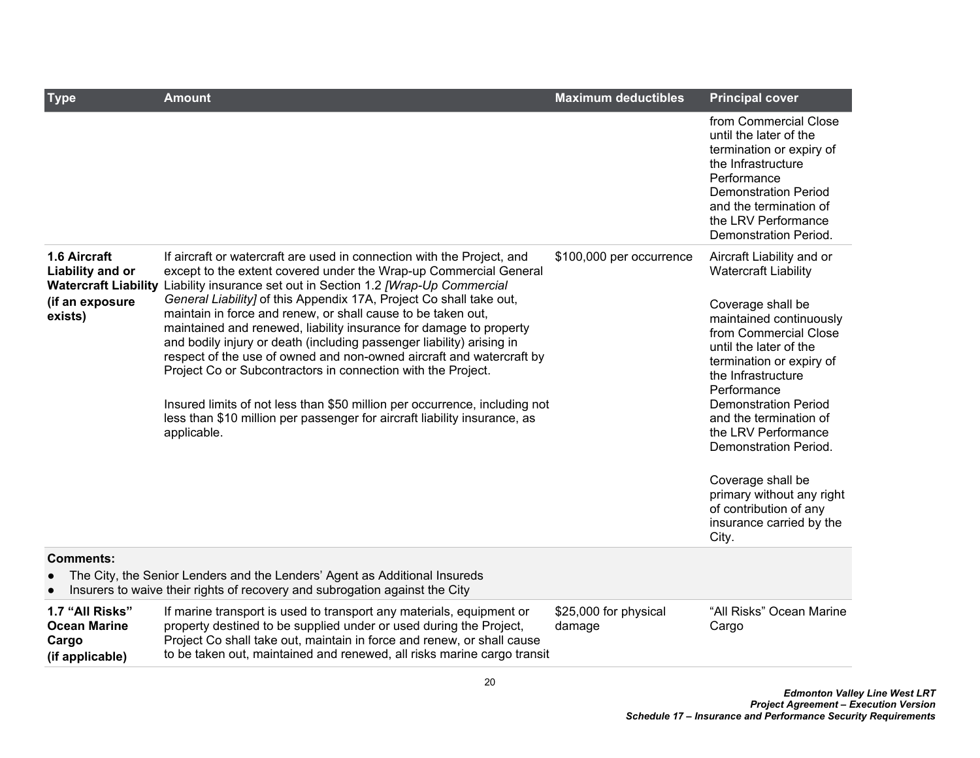| <b>Type</b>                                                        | <b>Amount</b>                                                                                                                                                                                                                                                                                                                                                                                                                                                                                                                                                                                        | <b>Maximum deductibles</b>      | <b>Principal cover</b>                                                                                                                                                                                                                                                                                                                                                                     |
|--------------------------------------------------------------------|------------------------------------------------------------------------------------------------------------------------------------------------------------------------------------------------------------------------------------------------------------------------------------------------------------------------------------------------------------------------------------------------------------------------------------------------------------------------------------------------------------------------------------------------------------------------------------------------------|---------------------------------|--------------------------------------------------------------------------------------------------------------------------------------------------------------------------------------------------------------------------------------------------------------------------------------------------------------------------------------------------------------------------------------------|
|                                                                    |                                                                                                                                                                                                                                                                                                                                                                                                                                                                                                                                                                                                      |                                 | from Commercial Close<br>until the later of the<br>termination or expiry of<br>the Infrastructure<br>Performance<br><b>Demonstration Period</b><br>and the termination of<br>the LRV Performance<br>Demonstration Period.                                                                                                                                                                  |
| 1.6 Aircraft<br>Liability and or                                   | If aircraft or watercraft are used in connection with the Project, and<br>except to the extent covered under the Wrap-up Commercial General<br>Watercraft Liability Liability insurance set out in Section 1.2 [Wrap-Up Commercial                                                                                                                                                                                                                                                                                                                                                                   | \$100,000 per occurrence        | Aircraft Liability and or<br><b>Watercraft Liability</b>                                                                                                                                                                                                                                                                                                                                   |
| (if an exposure<br>exists)                                         | General Liability] of this Appendix 17A, Project Co shall take out,<br>maintain in force and renew, or shall cause to be taken out,<br>maintained and renewed, liability insurance for damage to property<br>and bodily injury or death (including passenger liability) arising in<br>respect of the use of owned and non-owned aircraft and watercraft by<br>Project Co or Subcontractors in connection with the Project.<br>Insured limits of not less than \$50 million per occurrence, including not<br>less than \$10 million per passenger for aircraft liability insurance, as<br>applicable. |                                 | Coverage shall be<br>maintained continuously<br>from Commercial Close<br>until the later of the<br>termination or expiry of<br>the Infrastructure<br>Performance<br><b>Demonstration Period</b><br>and the termination of<br>the LRV Performance<br>Demonstration Period.<br>Coverage shall be<br>primary without any right<br>of contribution of any<br>insurance carried by the<br>City. |
| <b>Comments:</b>                                                   | The City, the Senior Lenders and the Lenders' Agent as Additional Insureds<br>Insurers to waive their rights of recovery and subrogation against the City                                                                                                                                                                                                                                                                                                                                                                                                                                            |                                 |                                                                                                                                                                                                                                                                                                                                                                                            |
| 1.7 "All Risks"<br><b>Ocean Marine</b><br>Cargo<br>(if applicable) | If marine transport is used to transport any materials, equipment or<br>property destined to be supplied under or used during the Project,<br>Project Co shall take out, maintain in force and renew, or shall cause<br>to be taken out, maintained and renewed, all risks marine cargo transit                                                                                                                                                                                                                                                                                                      | \$25,000 for physical<br>damage | "All Risks" Ocean Marine<br>Cargo                                                                                                                                                                                                                                                                                                                                                          |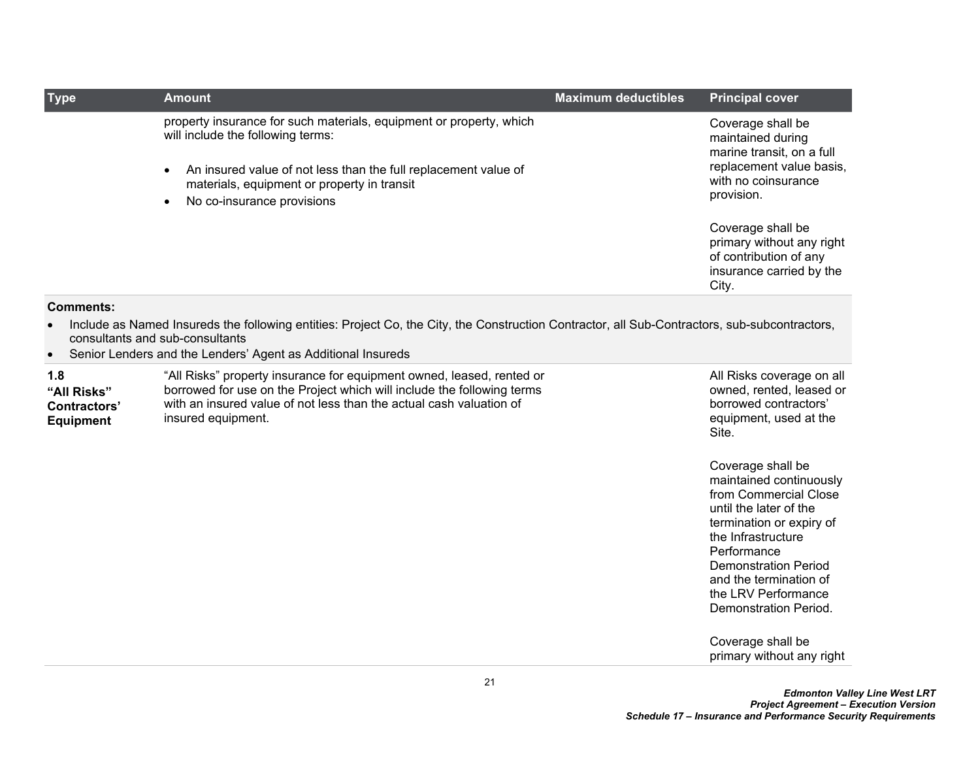| <b>Type</b>                                                   | <b>Amount</b>                                                                                                                                                                                                                                            | <b>Maximum deductibles</b> | <b>Principal cover</b>                                                                                                                                                                                                                                                    |
|---------------------------------------------------------------|----------------------------------------------------------------------------------------------------------------------------------------------------------------------------------------------------------------------------------------------------------|----------------------------|---------------------------------------------------------------------------------------------------------------------------------------------------------------------------------------------------------------------------------------------------------------------------|
|                                                               | property insurance for such materials, equipment or property, which<br>will include the following terms:<br>An insured value of not less than the full replacement value of<br>materials, equipment or property in transit<br>No co-insurance provisions |                            | Coverage shall be<br>maintained during<br>marine transit, on a full<br>replacement value basis,<br>with no coinsurance<br>provision.                                                                                                                                      |
|                                                               |                                                                                                                                                                                                                                                          |                            | Coverage shall be<br>primary without any right<br>of contribution of any<br>insurance carried by the<br>City.                                                                                                                                                             |
| <b>Comments:</b>                                              |                                                                                                                                                                                                                                                          |                            |                                                                                                                                                                                                                                                                           |
| $\bullet$<br>$\bullet$                                        | Include as Named Insureds the following entities: Project Co, the City, the Construction Contractor, all Sub-Contractors, sub-subcontractors,<br>consultants and sub-consultants<br>Senior Lenders and the Lenders' Agent as Additional Insureds         |                            |                                                                                                                                                                                                                                                                           |
| 1.8<br>"All Risks"<br><b>Contractors'</b><br><b>Equipment</b> | "All Risks" property insurance for equipment owned, leased, rented or<br>borrowed for use on the Project which will include the following terms<br>with an insured value of not less than the actual cash valuation of<br>insured equipment.             |                            | All Risks coverage on all<br>owned, rented, leased or<br>borrowed contractors'<br>equipment, used at the<br>Site.                                                                                                                                                         |
|                                                               |                                                                                                                                                                                                                                                          |                            | Coverage shall be<br>maintained continuously<br>from Commercial Close<br>until the later of the<br>termination or expiry of<br>the Infrastructure<br>Performance<br><b>Demonstration Period</b><br>and the termination of<br>the LRV Performance<br>Demonstration Period. |
|                                                               |                                                                                                                                                                                                                                                          |                            | Coverage shall be<br>primary without any right                                                                                                                                                                                                                            |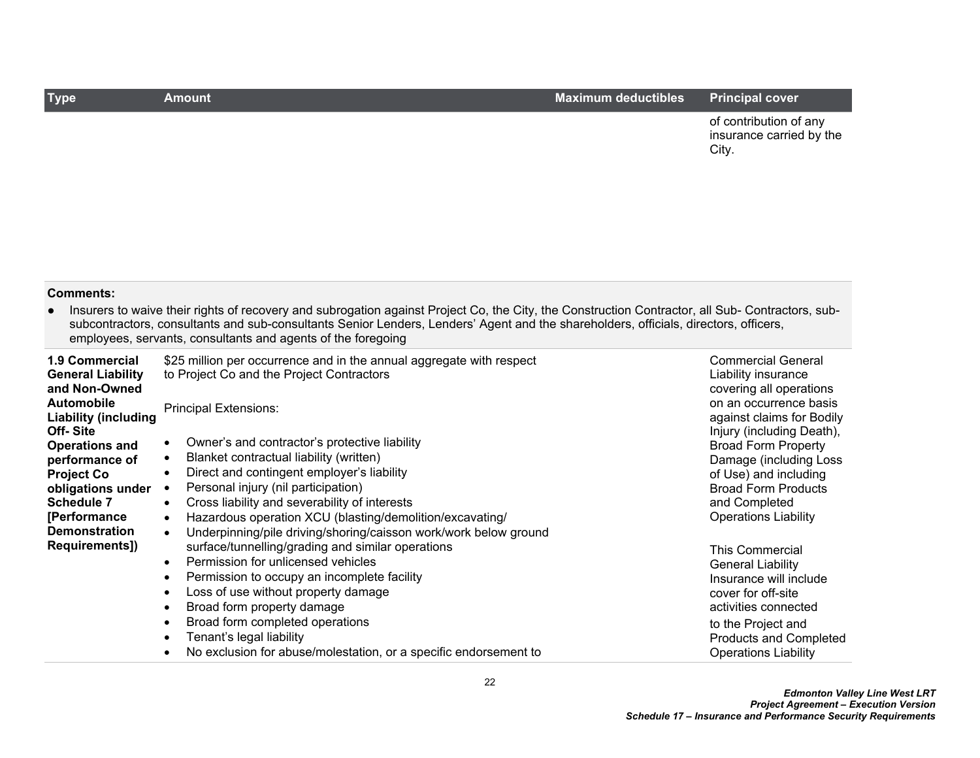of contribution of any insurance carried by the City.

#### **Comments:**

● Insurers to waive their rights of recovery and subrogation against Project Co, the City, the Construction Contractor, all Sub- Contractors, subsubcontractors, consultants and sub-consultants Senior Lenders, Lenders' Agent and the shareholders, officials, directors, officers, employees, servants, consultants and agents of the foregoing

| <b>1.9 Commercial</b><br><b>General Liability</b><br>and Non-Owned                                                                             | \$25 million per occurrence and in the annual aggregate with respect<br>to Project Co and the Project Contractors                                                                                                                                                                                                                                              | <b>Commercial General</b><br>Liability insurance<br>covering all operations                                                                                                                               |  |
|------------------------------------------------------------------------------------------------------------------------------------------------|----------------------------------------------------------------------------------------------------------------------------------------------------------------------------------------------------------------------------------------------------------------------------------------------------------------------------------------------------------------|-----------------------------------------------------------------------------------------------------------------------------------------------------------------------------------------------------------|--|
| <b>Automobile</b><br><b>Liability (including</b><br>Off-Site                                                                                   | <b>Principal Extensions:</b>                                                                                                                                                                                                                                                                                                                                   | on an occurrence basis<br>against claims for Bodily<br>Injury (including Death),                                                                                                                          |  |
| <b>Operations and</b><br>performance of<br><b>Project Co</b><br>obligations under<br><b>Schedule 7</b><br>[Performance<br><b>Demonstration</b> | Owner's and contractor's protective liability<br>Blanket contractual liability (written)<br>Direct and contingent employer's liability<br>Personal injury (nil participation)<br>Cross liability and severability of interests<br>Hazardous operation XCU (blasting/demolition/excavating/<br>Underpinning/pile driving/shoring/caisson work/work below ground | <b>Broad Form Property</b><br>Damage (including Loss<br>of Use) and including<br><b>Broad Form Products</b><br>and Completed<br><b>Operations Liability</b>                                               |  |
| Requirements])                                                                                                                                 | surface/tunnelling/grading and similar operations<br>Permission for unlicensed vehicles<br>Permission to occupy an incomplete facility<br>Loss of use without property damage<br>Broad form property damage<br>Broad form completed operations<br>Tenant's legal liability<br>No exclusion for abuse/molestation, or a specific endorsement to                 | <b>This Commercial</b><br><b>General Liability</b><br>Insurance will include<br>cover for off-site<br>activities connected<br>to the Project and<br>Products and Completed<br><b>Operations Liability</b> |  |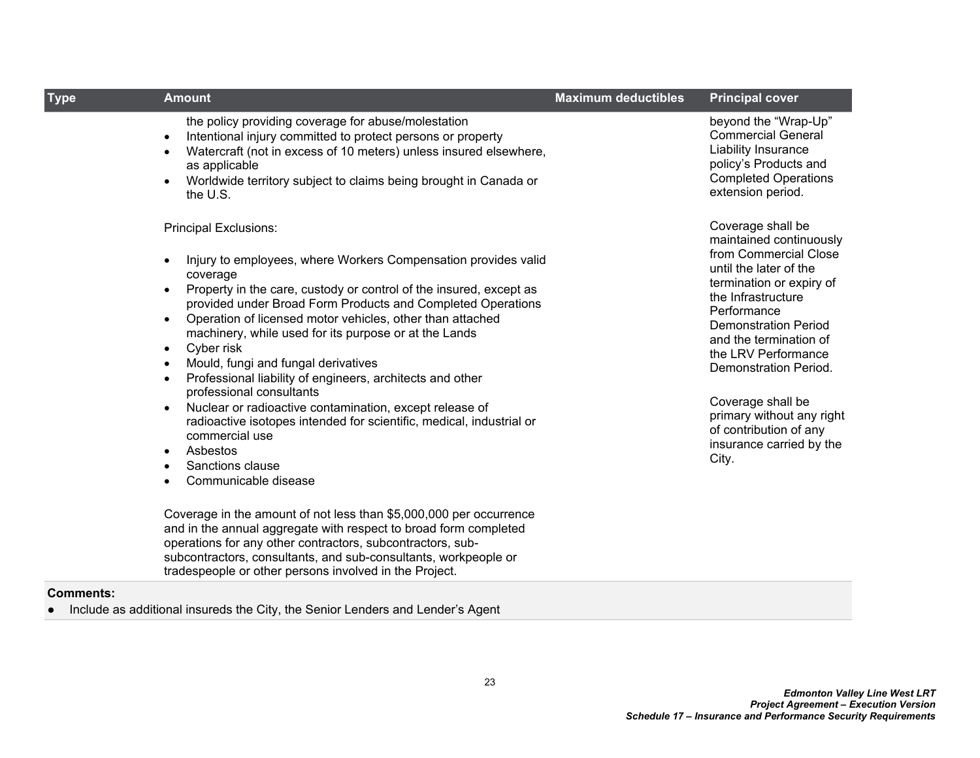| <b>Type</b> | <b>Amount</b>                                                                                                                                                                                                                                                                                                                                                                                                                                                                                                                                                                                                                                                                                                                                 | <b>Maximum deductibles</b><br><b>Principal cover</b> |                                                                                                                                                                                                                                                                                                                                                                                            |
|-------------|-----------------------------------------------------------------------------------------------------------------------------------------------------------------------------------------------------------------------------------------------------------------------------------------------------------------------------------------------------------------------------------------------------------------------------------------------------------------------------------------------------------------------------------------------------------------------------------------------------------------------------------------------------------------------------------------------------------------------------------------------|------------------------------------------------------|--------------------------------------------------------------------------------------------------------------------------------------------------------------------------------------------------------------------------------------------------------------------------------------------------------------------------------------------------------------------------------------------|
|             | the policy providing coverage for abuse/molestation<br>Intentional injury committed to protect persons or property<br>Watercraft (not in excess of 10 meters) unless insured elsewhere,<br>as applicable<br>Worldwide territory subject to claims being brought in Canada or<br>the U.S.                                                                                                                                                                                                                                                                                                                                                                                                                                                      |                                                      | beyond the "Wrap-Up"<br><b>Commercial General</b><br>Liability Insurance<br>policy's Products and<br><b>Completed Operations</b><br>extension period.                                                                                                                                                                                                                                      |
|             | <b>Principal Exclusions:</b><br>Injury to employees, where Workers Compensation provides valid<br>coverage<br>Property in the care, custody or control of the insured, except as<br>provided under Broad Form Products and Completed Operations<br>Operation of licensed motor vehicles, other than attached<br>machinery, while used for its purpose or at the Lands<br>Cyber risk<br>Mould, fungi and fungal derivatives<br>Professional liability of engineers, architects and other<br>professional consultants<br>Nuclear or radioactive contamination, except release of<br>radioactive isotopes intended for scientific, medical, industrial or<br>commercial use<br>Asbestos<br>$\bullet$<br>Sanctions clause<br>Communicable disease |                                                      | Coverage shall be<br>maintained continuously<br>from Commercial Close<br>until the later of the<br>termination or expiry of<br>the Infrastructure<br>Performance<br><b>Demonstration Period</b><br>and the termination of<br>the LRV Performance<br>Demonstration Period.<br>Coverage shall be<br>primary without any right<br>of contribution of any<br>insurance carried by the<br>City. |
|             | Coverage in the amount of not less than \$5,000,000 per occurrence<br>and in the annual aggregate with respect to broad form completed<br>operations for any other contractors, subcontractors, sub-<br>subcontractors, consultants, and sub-consultants, workpeople or<br>tradespeople or other persons involved in the Project.                                                                                                                                                                                                                                                                                                                                                                                                             |                                                      |                                                                                                                                                                                                                                                                                                                                                                                            |

**Comments:**

● Include as additional insureds the City, the Senior Lenders and Lender's Agent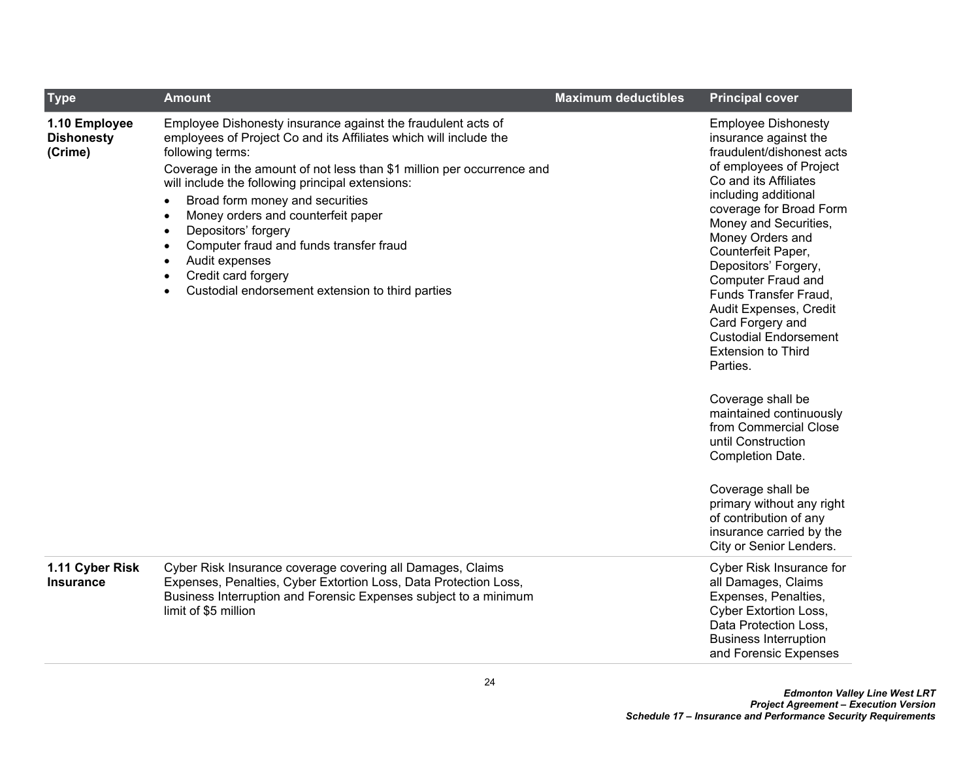| <b>Type</b>                                   | <b>Amount</b>                                                                                                                                                                                                                                                                                                                                                                                                                                                                                                                                                                   | <b>Maximum deductibles</b> | <b>Principal cover</b>                                                                                                                                                                                                                                                                                                                                                                                                                                                                                                                                                                                                                                                                                                |
|-----------------------------------------------|---------------------------------------------------------------------------------------------------------------------------------------------------------------------------------------------------------------------------------------------------------------------------------------------------------------------------------------------------------------------------------------------------------------------------------------------------------------------------------------------------------------------------------------------------------------------------------|----------------------------|-----------------------------------------------------------------------------------------------------------------------------------------------------------------------------------------------------------------------------------------------------------------------------------------------------------------------------------------------------------------------------------------------------------------------------------------------------------------------------------------------------------------------------------------------------------------------------------------------------------------------------------------------------------------------------------------------------------------------|
| 1.10 Employee<br><b>Dishonesty</b><br>(Crime) | Employee Dishonesty insurance against the fraudulent acts of<br>employees of Project Co and its Affiliates which will include the<br>following terms:<br>Coverage in the amount of not less than \$1 million per occurrence and<br>will include the following principal extensions:<br>Broad form money and securities<br>$\bullet$<br>Money orders and counterfeit paper<br>Depositors' forgery<br>$\bullet$<br>Computer fraud and funds transfer fraud<br>$\bullet$<br>Audit expenses<br>$\bullet$<br>Credit card forgery<br>Custodial endorsement extension to third parties |                            | <b>Employee Dishonesty</b><br>insurance against the<br>fraudulent/dishonest acts<br>of employees of Project<br>Co and its Affiliates<br>including additional<br>coverage for Broad Form<br>Money and Securities,<br>Money Orders and<br>Counterfeit Paper,<br>Depositors' Forgery,<br><b>Computer Fraud and</b><br>Funds Transfer Fraud,<br>Audit Expenses, Credit<br>Card Forgery and<br><b>Custodial Endorsement</b><br><b>Extension to Third</b><br>Parties.<br>Coverage shall be<br>maintained continuously<br>from Commercial Close<br>until Construction<br>Completion Date.<br>Coverage shall be<br>primary without any right<br>of contribution of any<br>insurance carried by the<br>City or Senior Lenders. |
| 1.11 Cyber Risk<br>Insurance                  | Cyber Risk Insurance coverage covering all Damages, Claims<br>Expenses, Penalties, Cyber Extortion Loss, Data Protection Loss,<br>Business Interruption and Forensic Expenses subject to a minimum<br>limit of \$5 million                                                                                                                                                                                                                                                                                                                                                      |                            | Cyber Risk Insurance for<br>all Damages, Claims<br>Expenses, Penalties,<br><b>Cyber Extortion Loss,</b><br>Data Protection Loss,<br><b>Business Interruption</b><br>and Forensic Expenses                                                                                                                                                                                                                                                                                                                                                                                                                                                                                                                             |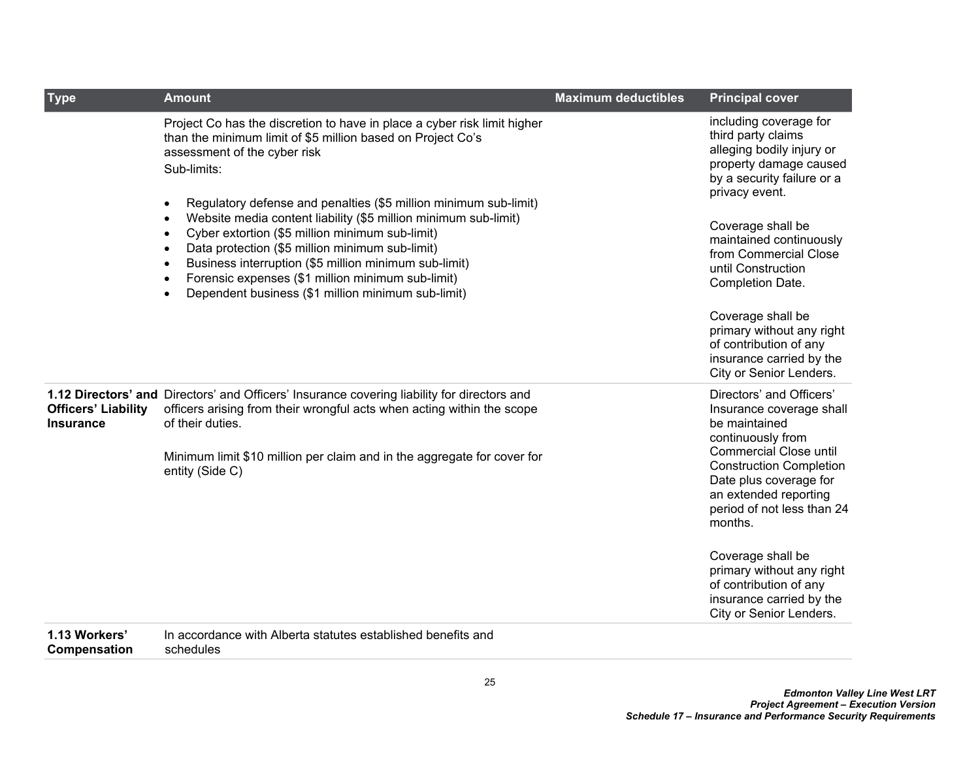| <b>Type</b>                                    | <b>Amount</b>                                                                                                                                                                                                                                                                                                                                                                                                                                                                                                                                                                                                                                  | <b>Maximum deductibles</b> | <b>Principal cover</b>                                                                                                                                                                                                                                                 |
|------------------------------------------------|------------------------------------------------------------------------------------------------------------------------------------------------------------------------------------------------------------------------------------------------------------------------------------------------------------------------------------------------------------------------------------------------------------------------------------------------------------------------------------------------------------------------------------------------------------------------------------------------------------------------------------------------|----------------------------|------------------------------------------------------------------------------------------------------------------------------------------------------------------------------------------------------------------------------------------------------------------------|
|                                                | Project Co has the discretion to have in place a cyber risk limit higher<br>than the minimum limit of \$5 million based on Project Co's<br>assessment of the cyber risk<br>Sub-limits:<br>Regulatory defense and penalties (\$5 million minimum sub-limit)<br>$\bullet$<br>Website media content liability (\$5 million minimum sub-limit)<br>Cyber extortion (\$5 million minimum sub-limit)<br>$\bullet$<br>Data protection (\$5 million minimum sub-limit)<br>$\bullet$<br>Business interruption (\$5 million minimum sub-limit)<br>Forensic expenses (\$1 million minimum sub-limit)<br>Dependent business (\$1 million minimum sub-limit) |                            | including coverage for<br>third party claims<br>alleging bodily injury or<br>property damage caused<br>by a security failure or a<br>privacy event.<br>Coverage shall be<br>maintained continuously<br>from Commercial Close<br>until Construction<br>Completion Date. |
|                                                |                                                                                                                                                                                                                                                                                                                                                                                                                                                                                                                                                                                                                                                |                            | Coverage shall be<br>primary without any right<br>of contribution of any<br>insurance carried by the<br>City or Senior Lenders.                                                                                                                                        |
| <b>Officers' Liability</b><br><b>Insurance</b> | 1.12 Directors' and Directors' and Officers' Insurance covering liability for directors and<br>officers arising from their wrongful acts when acting within the scope<br>of their duties.<br>Minimum limit \$10 million per claim and in the aggregate for cover for<br>entity (Side C)                                                                                                                                                                                                                                                                                                                                                        |                            | Directors' and Officers'<br>Insurance coverage shall<br>be maintained<br>continuously from<br><b>Commercial Close until</b><br><b>Construction Completion</b><br>Date plus coverage for<br>an extended reporting<br>period of not less than 24<br>months.              |
|                                                |                                                                                                                                                                                                                                                                                                                                                                                                                                                                                                                                                                                                                                                |                            | Coverage shall be<br>primary without any right<br>of contribution of any<br>insurance carried by the<br>City or Senior Lenders.                                                                                                                                        |
| 1.13 Workers'                                  | In accordance with Alberta statutes established benefits and                                                                                                                                                                                                                                                                                                                                                                                                                                                                                                                                                                                   |                            |                                                                                                                                                                                                                                                                        |

**Compensation** schedules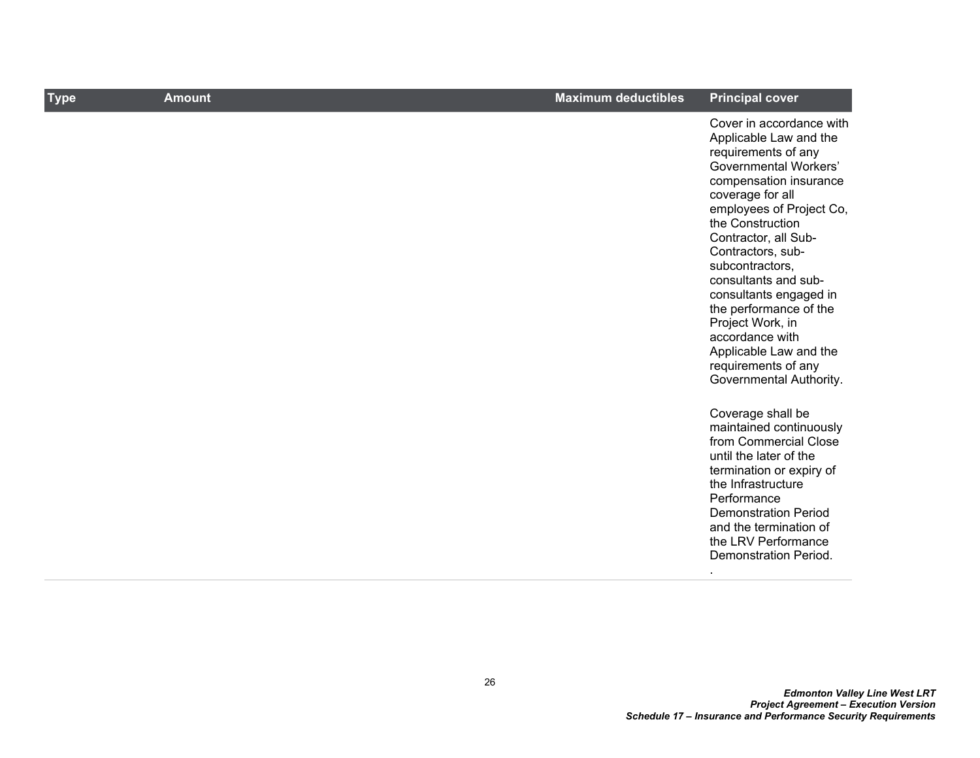| <b>Type</b> | <b>Amount</b> | <b>Maximum deductibles</b> | <b>Principal cover</b>                                                                                                                                                                                                                                                                                                                                                                                                                                                 |
|-------------|---------------|----------------------------|------------------------------------------------------------------------------------------------------------------------------------------------------------------------------------------------------------------------------------------------------------------------------------------------------------------------------------------------------------------------------------------------------------------------------------------------------------------------|
|             |               |                            | Cover in accordance with<br>Applicable Law and the<br>requirements of any<br><b>Governmental Workers'</b><br>compensation insurance<br>coverage for all<br>employees of Project Co,<br>the Construction<br>Contractor, all Sub-<br>Contractors, sub-<br>subcontractors,<br>consultants and sub-<br>consultants engaged in<br>the performance of the<br>Project Work, in<br>accordance with<br>Applicable Law and the<br>requirements of any<br>Governmental Authority. |
|             |               |                            | Coverage shall be<br>maintained continuously<br>from Commercial Close<br>until the later of the<br>termination or expiry of<br>the Infrastructure<br>Performance<br><b>Demonstration Period</b><br>and the termination of<br>the LRV Performance<br>Demonstration Period.                                                                                                                                                                                              |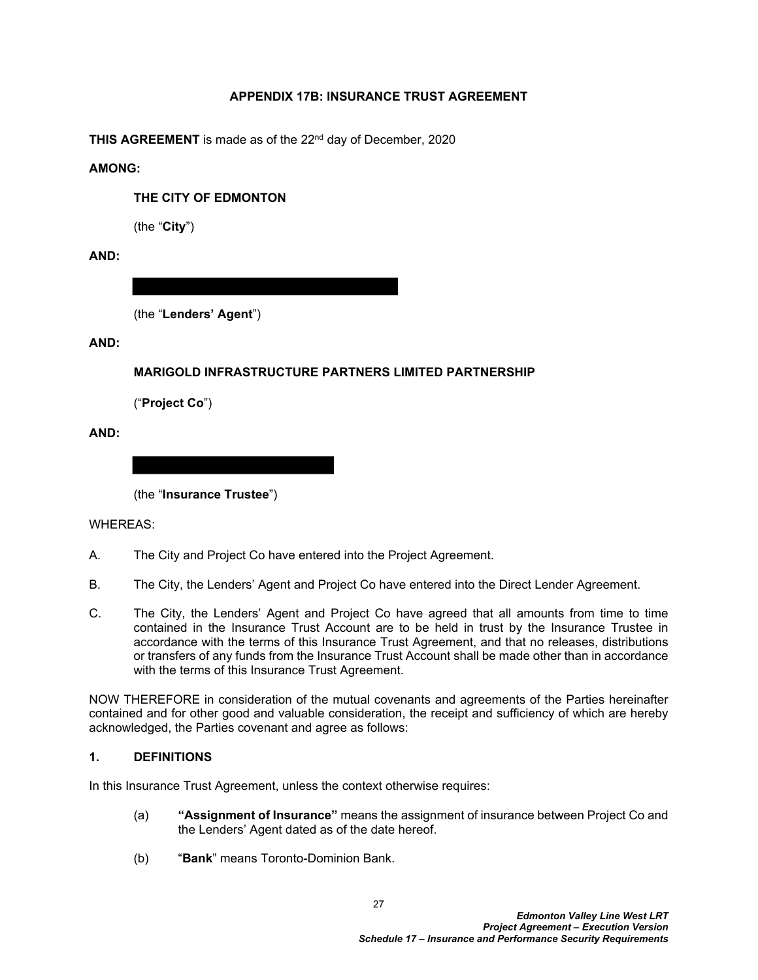### <span id="page-28-0"></span>**APPENDIX 17B: INSURANCE TRUST AGREEMENT**

**THIS AGREEMENT** is made as of the 22<sup>nd</sup> day of December, 2020

### **AMONG:**

**THE CITY OF EDMONTON**

(the "**City**")

### **AND:**

(the "**Lenders' Agent**")

### **AND:**

### **MARIGOLD INFRASTRUCTURE PARTNERS LIMITED PARTNERSHIP**

("**Project Co**")

### **AND:**

(the "**Insurance Trustee**")

### WHEREAS:

- A. The City and Project Co have entered into the Project Agreement.
- B. The City, the Lenders' Agent and Project Co have entered into the Direct Lender Agreement.
- C. The City, the Lenders' Agent and Project Co have agreed that all amounts from time to time contained in the Insurance Trust Account are to be held in trust by the Insurance Trustee in accordance with the terms of this Insurance Trust Agreement, and that no releases, distributions or transfers of any funds from the Insurance Trust Account shall be made other than in accordance with the terms of this Insurance Trust Agreement.

NOW THEREFORE in consideration of the mutual covenants and agreements of the Parties hereinafter contained and for other good and valuable consideration, the receipt and sufficiency of which are hereby acknowledged, the Parties covenant and agree as follows:

### **1. DEFINITIONS**

In this Insurance Trust Agreement, unless the context otherwise requires:

- (a) **"Assignment of Insurance"** means the assignment of insurance between Project Co and the Lenders' Agent dated as of the date hereof.
- (b) "**Bank**" means Toronto-Dominion Bank.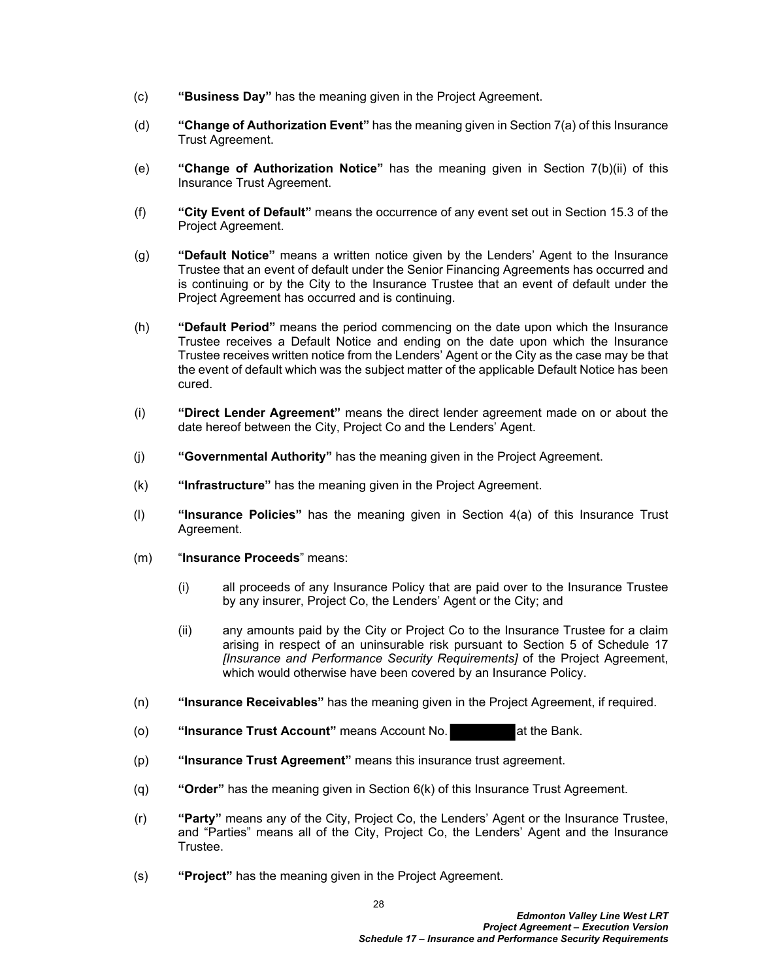- (c) **"Business Day"** has the meaning given in the Project Agreement.
- (d) **"Change of Authorization Event"** has the meaning given in Section 7(a) of this Insurance Trust Agreement.
- (e) **"Change of Authorization Notice"** has the meaning given in Section 7(b)(ii) of this Insurance Trust Agreement.
- (f) **"City Event of Default"** means the occurrence of any event set out in Section 15.3 of the Project Agreement.
- (g) **"Default Notice"** means a written notice given by the Lenders' Agent to the Insurance Trustee that an event of default under the Senior Financing Agreements has occurred and is continuing or by the City to the Insurance Trustee that an event of default under the Project Agreement has occurred and is continuing.
- (h) **"Default Period"** means the period commencing on the date upon which the Insurance Trustee receives a Default Notice and ending on the date upon which the Insurance Trustee receives written notice from the Lenders' Agent or the City as the case may be that the event of default which was the subject matter of the applicable Default Notice has been cured.
- (i) **"Direct Lender Agreement"** means the direct lender agreement made on or about the date hereof between the City, Project Co and the Lenders' Agent.
- (j) **"Governmental Authority"** has the meaning given in the Project Agreement.
- (k) **"Infrastructure"** has the meaning given in the Project Agreement.
- (l) **"Insurance Policies"** has the meaning given in Section 4(a) of this Insurance Trust Agreement.
- (m) "**Insurance Proceeds**" means:
	- (i) all proceeds of any Insurance Policy that are paid over to the Insurance Trustee by any insurer, Project Co, the Lenders' Agent or the City; and
	- (ii) any amounts paid by the City or Project Co to the Insurance Trustee for a claim arising in respect of an uninsurable risk pursuant to Section 5 of Schedule 17 *[Insurance and Performance Security Requirements]* of the Project Agreement, which would otherwise have been covered by an Insurance Policy.
- (n) **"Insurance Receivables"** has the meaning given in the Project Agreement, if required.
- (o) **"Insurance Trust Account"** means Account No. **Account Heanh**.
- (p) **"Insurance Trust Agreement"** means this insurance trust agreement.
- (q) **"Order"** has the meaning given in Section 6(k) of this Insurance Trust Agreement.
- (r) **"Party"** means any of the City, Project Co, the Lenders' Agent or the Insurance Trustee, and "Parties" means all of the City, Project Co, the Lenders' Agent and the Insurance Trustee.
- (s) **"Project"** has the meaning given in the Project Agreement.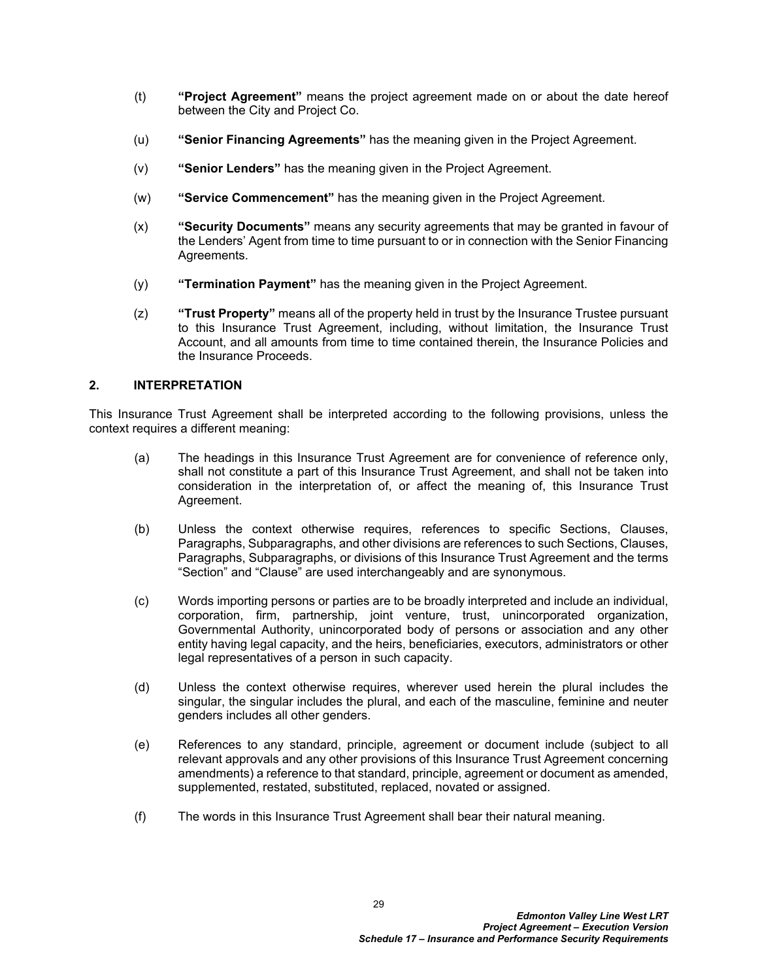- (t) **"Project Agreement"** means the project agreement made on or about the date hereof between the City and Project Co.
- (u) **"Senior Financing Agreements"** has the meaning given in the Project Agreement.
- (v) **"Senior Lenders"** has the meaning given in the Project Agreement.
- (w) **"Service Commencement"** has the meaning given in the Project Agreement.
- (x) **"Security Documents"** means any security agreements that may be granted in favour of the Lenders' Agent from time to time pursuant to or in connection with the Senior Financing Agreements.
- (y) **"Termination Payment"** has the meaning given in the Project Agreement.
- (z) **"Trust Property"** means all of the property held in trust by the Insurance Trustee pursuant to this Insurance Trust Agreement, including, without limitation, the Insurance Trust Account, and all amounts from time to time contained therein, the Insurance Policies and the Insurance Proceeds.

### **2. INTERPRETATION**

This Insurance Trust Agreement shall be interpreted according to the following provisions, unless the context requires a different meaning:

- (a) The headings in this Insurance Trust Agreement are for convenience of reference only, shall not constitute a part of this Insurance Trust Agreement, and shall not be taken into consideration in the interpretation of, or affect the meaning of, this Insurance Trust Agreement.
- (b) Unless the context otherwise requires, references to specific Sections, Clauses, Paragraphs, Subparagraphs, and other divisions are references to such Sections, Clauses, Paragraphs, Subparagraphs, or divisions of this Insurance Trust Agreement and the terms "Section" and "Clause" are used interchangeably and are synonymous.
- (c) Words importing persons or parties are to be broadly interpreted and include an individual, corporation, firm, partnership, joint venture, trust, unincorporated organization, Governmental Authority, unincorporated body of persons or association and any other entity having legal capacity, and the heirs, beneficiaries, executors, administrators or other legal representatives of a person in such capacity.
- (d) Unless the context otherwise requires, wherever used herein the plural includes the singular, the singular includes the plural, and each of the masculine, feminine and neuter genders includes all other genders.
- (e) References to any standard, principle, agreement or document include (subject to all relevant approvals and any other provisions of this Insurance Trust Agreement concerning amendments) a reference to that standard, principle, agreement or document as amended, supplemented, restated, substituted, replaced, novated or assigned.
- (f) The words in this Insurance Trust Agreement shall bear their natural meaning.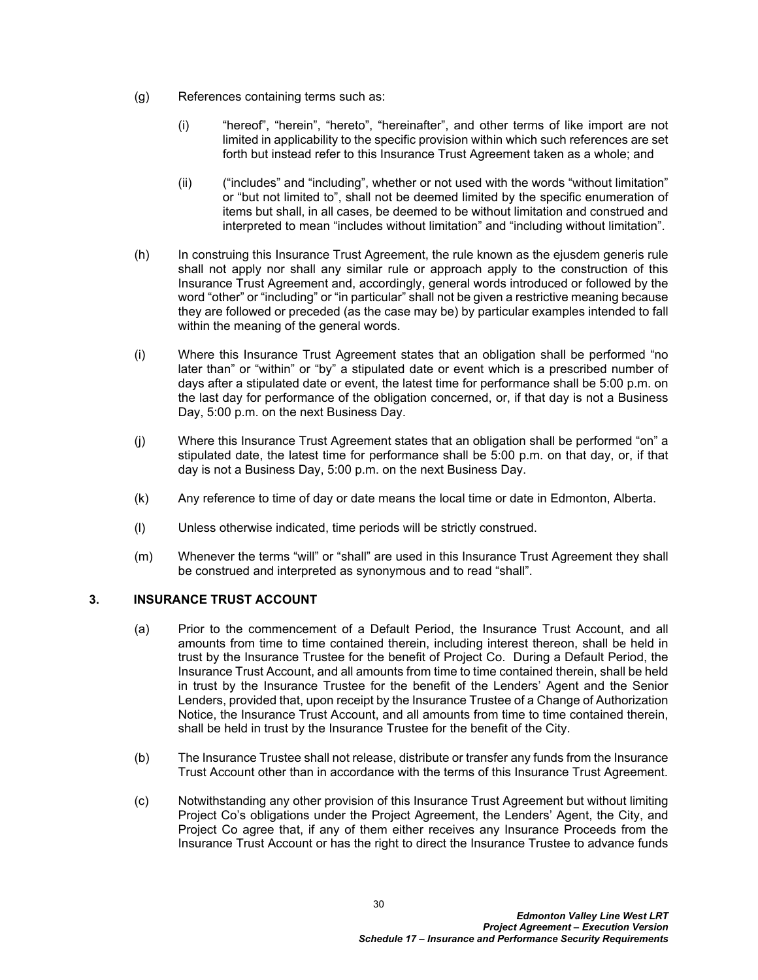- (g) References containing terms such as:
	- (i) "hereof", "herein", "hereto", "hereinafter", and other terms of like import are not limited in applicability to the specific provision within which such references are set forth but instead refer to this Insurance Trust Agreement taken as a whole; and
	- (ii) ("includes" and "including", whether or not used with the words "without limitation" or "but not limited to", shall not be deemed limited by the specific enumeration of items but shall, in all cases, be deemed to be without limitation and construed and interpreted to mean "includes without limitation" and "including without limitation".
- (h) In construing this Insurance Trust Agreement, the rule known as the ejusdem generis rule shall not apply nor shall any similar rule or approach apply to the construction of this Insurance Trust Agreement and, accordingly, general words introduced or followed by the word "other" or "including" or "in particular" shall not be given a restrictive meaning because they are followed or preceded (as the case may be) by particular examples intended to fall within the meaning of the general words.
- (i) Where this Insurance Trust Agreement states that an obligation shall be performed "no later than" or "within" or "by" a stipulated date or event which is a prescribed number of days after a stipulated date or event, the latest time for performance shall be 5:00 p.m. on the last day for performance of the obligation concerned, or, if that day is not a Business Day, 5:00 p.m. on the next Business Day.
- (j) Where this Insurance Trust Agreement states that an obligation shall be performed "on" a stipulated date, the latest time for performance shall be 5:00 p.m. on that day, or, if that day is not a Business Day, 5:00 p.m. on the next Business Day.
- (k) Any reference to time of day or date means the local time or date in Edmonton, Alberta.
- (l) Unless otherwise indicated, time periods will be strictly construed.
- (m) Whenever the terms "will" or "shall" are used in this Insurance Trust Agreement they shall be construed and interpreted as synonymous and to read "shall".

### **3. INSURANCE TRUST ACCOUNT**

- (a) Prior to the commencement of a Default Period, the Insurance Trust Account, and all amounts from time to time contained therein, including interest thereon, shall be held in trust by the Insurance Trustee for the benefit of Project Co. During a Default Period, the Insurance Trust Account, and all amounts from time to time contained therein, shall be held in trust by the Insurance Trustee for the benefit of the Lenders' Agent and the Senior Lenders, provided that, upon receipt by the Insurance Trustee of a Change of Authorization Notice, the Insurance Trust Account, and all amounts from time to time contained therein, shall be held in trust by the Insurance Trustee for the benefit of the City.
- (b) The Insurance Trustee shall not release, distribute or transfer any funds from the Insurance Trust Account other than in accordance with the terms of this Insurance Trust Agreement.
- (c) Notwithstanding any other provision of this Insurance Trust Agreement but without limiting Project Co's obligations under the Project Agreement, the Lenders' Agent, the City, and Project Co agree that, if any of them either receives any Insurance Proceeds from the Insurance Trust Account or has the right to direct the Insurance Trustee to advance funds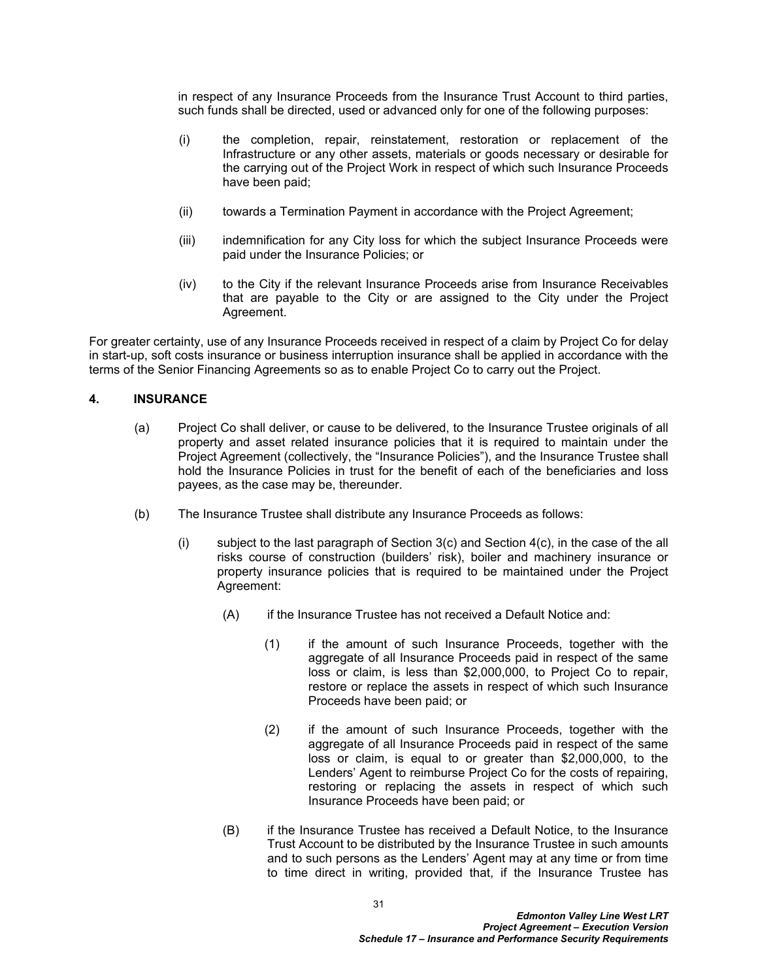in respect of any Insurance Proceeds from the Insurance Trust Account to third parties, such funds shall be directed, used or advanced only for one of the following purposes:

- (i) the completion, repair, reinstatement, restoration or replacement of the Infrastructure or any other assets, materials or goods necessary or desirable for the carrying out of the Project Work in respect of which such Insurance Proceeds have been paid;
- (ii) towards a Termination Payment in accordance with the Project Agreement;
- (iii) indemnification for any City loss for which the subject Insurance Proceeds were paid under the Insurance Policies; or
- (iv) to the City if the relevant Insurance Proceeds arise from Insurance Receivables that are payable to the City or are assigned to the City under the Project Agreement.

For greater certainty, use of any Insurance Proceeds received in respect of a claim by Project Co for delay in start-up, soft costs insurance or business interruption insurance shall be applied in accordance with the terms of the Senior Financing Agreements so as to enable Project Co to carry out the Project.

#### **4. INSURANCE**

- (a) Project Co shall deliver, or cause to be delivered, to the Insurance Trustee originals of all property and asset related insurance policies that it is required to maintain under the Project Agreement (collectively, the "Insurance Policies"), and the Insurance Trustee shall hold the Insurance Policies in trust for the benefit of each of the beneficiaries and loss payees, as the case may be, thereunder.
- (b) The Insurance Trustee shall distribute any Insurance Proceeds as follows:
	- (i) subject to the last paragraph of Section  $3(c)$  and Section  $4(c)$ , in the case of the all risks course of construction (builders' risk), boiler and machinery insurance or property insurance policies that is required to be maintained under the Project Agreement:
		- (A) if the Insurance Trustee has not received a Default Notice and:
			- (1) if the amount of such Insurance Proceeds, together with the aggregate of all Insurance Proceeds paid in respect of the same loss or claim, is less than \$2,000,000, to Project Co to repair, restore or replace the assets in respect of which such Insurance Proceeds have been paid; or
			- (2) if the amount of such Insurance Proceeds, together with the aggregate of all Insurance Proceeds paid in respect of the same loss or claim, is equal to or greater than \$2,000,000, to the Lenders' Agent to reimburse Project Co for the costs of repairing, restoring or replacing the assets in respect of which such Insurance Proceeds have been paid; or
		- (B) if the Insurance Trustee has received a Default Notice, to the Insurance Trust Account to be distributed by the Insurance Trustee in such amounts and to such persons as the Lenders' Agent may at any time or from time to time direct in writing, provided that, if the Insurance Trustee has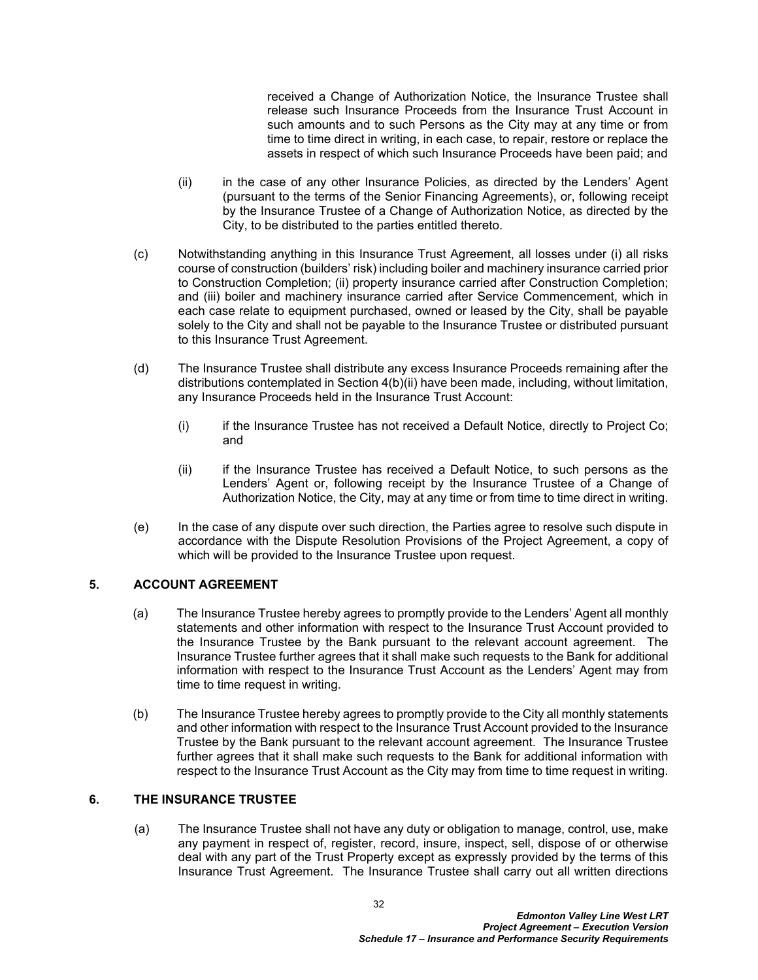received a Change of Authorization Notice, the Insurance Trustee shall release such Insurance Proceeds from the Insurance Trust Account in such amounts and to such Persons as the City may at any time or from time to time direct in writing, in each case, to repair, restore or replace the assets in respect of which such Insurance Proceeds have been paid; and

- (ii) in the case of any other Insurance Policies, as directed by the Lenders' Agent (pursuant to the terms of the Senior Financing Agreements), or, following receipt by the Insurance Trustee of a Change of Authorization Notice, as directed by the City, to be distributed to the parties entitled thereto.
- (c) Notwithstanding anything in this Insurance Trust Agreement, all losses under (i) all risks course of construction (builders' risk) including boiler and machinery insurance carried prior to Construction Completion; (ii) property insurance carried after Construction Completion; and (iii) boiler and machinery insurance carried after Service Commencement, which in each case relate to equipment purchased, owned or leased by the City, shall be payable solely to the City and shall not be payable to the Insurance Trustee or distributed pursuant to this Insurance Trust Agreement.
- (d) The Insurance Trustee shall distribute any excess Insurance Proceeds remaining after the distributions contemplated in Section 4(b)(ii) have been made, including, without limitation, any Insurance Proceeds held in the Insurance Trust Account:
	- (i) if the Insurance Trustee has not received a Default Notice, directly to Project Co; and
	- (ii) if the Insurance Trustee has received a Default Notice, to such persons as the Lenders' Agent or, following receipt by the Insurance Trustee of a Change of Authorization Notice, the City, may at any time or from time to time direct in writing.
- (e) In the case of any dispute over such direction, the Parties agree to resolve such dispute in accordance with the Dispute Resolution Provisions of the Project Agreement, a copy of which will be provided to the Insurance Trustee upon request.

#### **5. ACCOUNT AGREEMENT**

- (a) The Insurance Trustee hereby agrees to promptly provide to the Lenders' Agent all monthly statements and other information with respect to the Insurance Trust Account provided to the Insurance Trustee by the Bank pursuant to the relevant account agreement. The Insurance Trustee further agrees that it shall make such requests to the Bank for additional information with respect to the Insurance Trust Account as the Lenders' Agent may from time to time request in writing.
- (b) The Insurance Trustee hereby agrees to promptly provide to the City all monthly statements and other information with respect to the Insurance Trust Account provided to the Insurance Trustee by the Bank pursuant to the relevant account agreement. The Insurance Trustee further agrees that it shall make such requests to the Bank for additional information with respect to the Insurance Trust Account as the City may from time to time request in writing.

#### **6. THE INSURANCE TRUSTEE**

(a) The Insurance Trustee shall not have any duty or obligation to manage, control, use, make any payment in respect of, register, record, insure, inspect, sell, dispose of or otherwise deal with any part of the Trust Property except as expressly provided by the terms of this Insurance Trust Agreement. The Insurance Trustee shall carry out all written directions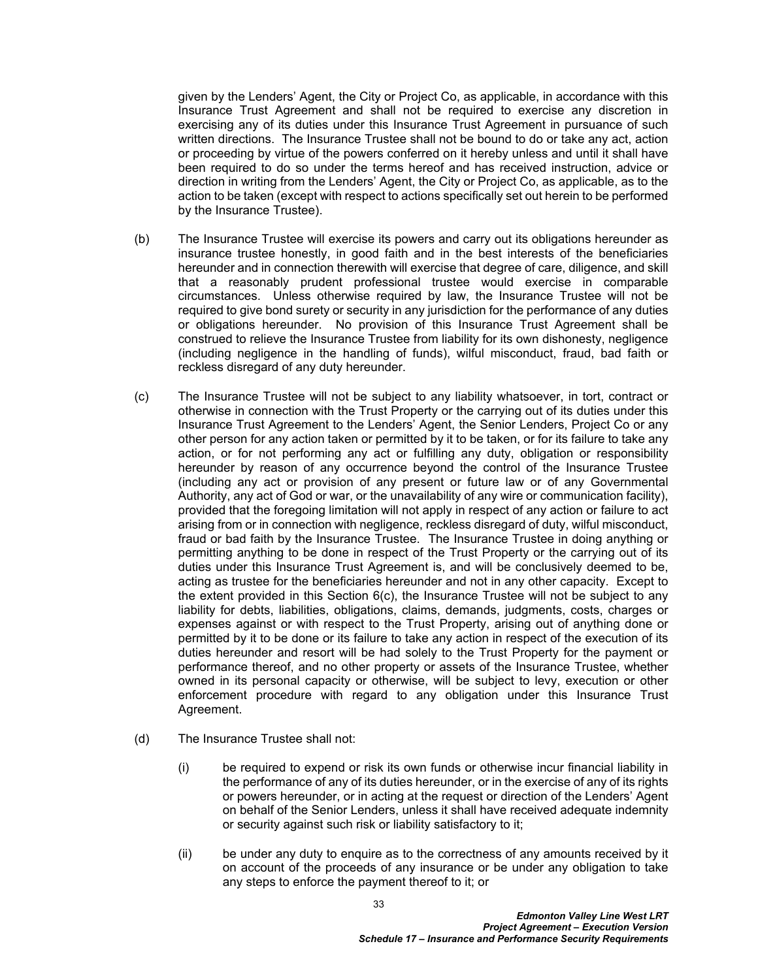given by the Lenders' Agent, the City or Project Co, as applicable, in accordance with this Insurance Trust Agreement and shall not be required to exercise any discretion in exercising any of its duties under this Insurance Trust Agreement in pursuance of such written directions. The Insurance Trustee shall not be bound to do or take any act, action or proceeding by virtue of the powers conferred on it hereby unless and until it shall have been required to do so under the terms hereof and has received instruction, advice or direction in writing from the Lenders' Agent, the City or Project Co, as applicable, as to the action to be taken (except with respect to actions specifically set out herein to be performed by the Insurance Trustee).

- (b) The Insurance Trustee will exercise its powers and carry out its obligations hereunder as insurance trustee honestly, in good faith and in the best interests of the beneficiaries hereunder and in connection therewith will exercise that degree of care, diligence, and skill that a reasonably prudent professional trustee would exercise in comparable circumstances. Unless otherwise required by law, the Insurance Trustee will not be required to give bond surety or security in any jurisdiction for the performance of any duties or obligations hereunder. No provision of this Insurance Trust Agreement shall be construed to relieve the Insurance Trustee from liability for its own dishonesty, negligence (including negligence in the handling of funds), wilful misconduct, fraud, bad faith or reckless disregard of any duty hereunder.
- (c) The Insurance Trustee will not be subject to any liability whatsoever, in tort, contract or otherwise in connection with the Trust Property or the carrying out of its duties under this Insurance Trust Agreement to the Lenders' Agent, the Senior Lenders, Project Co or any other person for any action taken or permitted by it to be taken, or for its failure to take any action, or for not performing any act or fulfilling any duty, obligation or responsibility hereunder by reason of any occurrence beyond the control of the Insurance Trustee (including any act or provision of any present or future law or of any Governmental Authority, any act of God or war, or the unavailability of any wire or communication facility), provided that the foregoing limitation will not apply in respect of any action or failure to act arising from or in connection with negligence, reckless disregard of duty, wilful misconduct, fraud or bad faith by the Insurance Trustee. The Insurance Trustee in doing anything or permitting anything to be done in respect of the Trust Property or the carrying out of its duties under this Insurance Trust Agreement is, and will be conclusively deemed to be, acting as trustee for the beneficiaries hereunder and not in any other capacity. Except to the extent provided in this Section 6(c), the Insurance Trustee will not be subject to any liability for debts, liabilities, obligations, claims, demands, judgments, costs, charges or expenses against or with respect to the Trust Property, arising out of anything done or permitted by it to be done or its failure to take any action in respect of the execution of its duties hereunder and resort will be had solely to the Trust Property for the payment or performance thereof, and no other property or assets of the Insurance Trustee, whether owned in its personal capacity or otherwise, will be subject to levy, execution or other enforcement procedure with regard to any obligation under this Insurance Trust Agreement.
- (d) The Insurance Trustee shall not:
	- (i) be required to expend or risk its own funds or otherwise incur financial liability in the performance of any of its duties hereunder, or in the exercise of any of its rights or powers hereunder, or in acting at the request or direction of the Lenders' Agent on behalf of the Senior Lenders, unless it shall have received adequate indemnity or security against such risk or liability satisfactory to it;
	- (ii) be under any duty to enquire as to the correctness of any amounts received by it on account of the proceeds of any insurance or be under any obligation to take any steps to enforce the payment thereof to it; or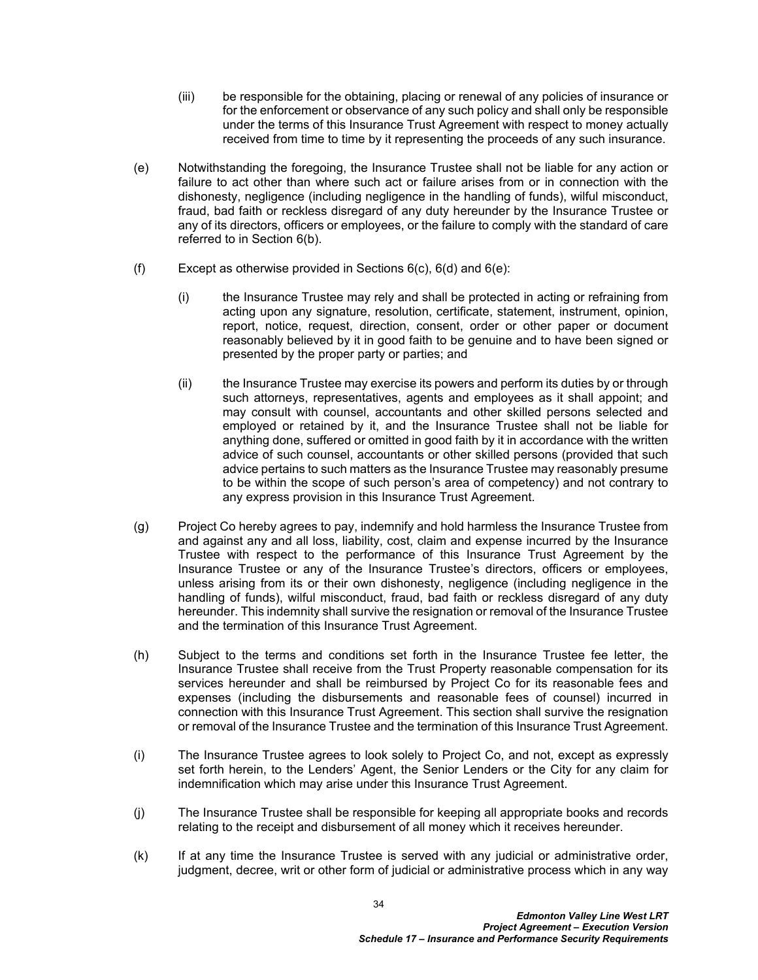- (iii) be responsible for the obtaining, placing or renewal of any policies of insurance or for the enforcement or observance of any such policy and shall only be responsible under the terms of this Insurance Trust Agreement with respect to money actually received from time to time by it representing the proceeds of any such insurance.
- (e) Notwithstanding the foregoing, the Insurance Trustee shall not be liable for any action or failure to act other than where such act or failure arises from or in connection with the dishonesty, negligence (including negligence in the handling of funds), wilful misconduct, fraud, bad faith or reckless disregard of any duty hereunder by the Insurance Trustee or any of its directors, officers or employees, or the failure to comply with the standard of care referred to in Section 6(b).
- (f) Except as otherwise provided in Sections  $6(c)$ ,  $6(d)$  and  $6(e)$ :
	- (i) the Insurance Trustee may rely and shall be protected in acting or refraining from acting upon any signature, resolution, certificate, statement, instrument, opinion, report, notice, request, direction, consent, order or other paper or document reasonably believed by it in good faith to be genuine and to have been signed or presented by the proper party or parties; and
	- (ii) the Insurance Trustee may exercise its powers and perform its duties by or through such attorneys, representatives, agents and employees as it shall appoint; and may consult with counsel, accountants and other skilled persons selected and employed or retained by it, and the Insurance Trustee shall not be liable for anything done, suffered or omitted in good faith by it in accordance with the written advice of such counsel, accountants or other skilled persons (provided that such advice pertains to such matters as the Insurance Trustee may reasonably presume to be within the scope of such person's area of competency) and not contrary to any express provision in this Insurance Trust Agreement.
- (g) Project Co hereby agrees to pay, indemnify and hold harmless the Insurance Trustee from and against any and all loss, liability, cost, claim and expense incurred by the Insurance Trustee with respect to the performance of this Insurance Trust Agreement by the Insurance Trustee or any of the Insurance Trustee's directors, officers or employees, unless arising from its or their own dishonesty, negligence (including negligence in the handling of funds), wilful misconduct, fraud, bad faith or reckless disregard of any duty hereunder. This indemnity shall survive the resignation or removal of the Insurance Trustee and the termination of this Insurance Trust Agreement.
- (h) Subject to the terms and conditions set forth in the Insurance Trustee fee letter, the Insurance Trustee shall receive from the Trust Property reasonable compensation for its services hereunder and shall be reimbursed by Project Co for its reasonable fees and expenses (including the disbursements and reasonable fees of counsel) incurred in connection with this Insurance Trust Agreement. This section shall survive the resignation or removal of the Insurance Trustee and the termination of this Insurance Trust Agreement.
- (i) The Insurance Trustee agrees to look solely to Project Co, and not, except as expressly set forth herein, to the Lenders' Agent, the Senior Lenders or the City for any claim for indemnification which may arise under this Insurance Trust Agreement.
- (j) The Insurance Trustee shall be responsible for keeping all appropriate books and records relating to the receipt and disbursement of all money which it receives hereunder.
- (k) If at any time the Insurance Trustee is served with any judicial or administrative order, judgment, decree, writ or other form of judicial or administrative process which in any way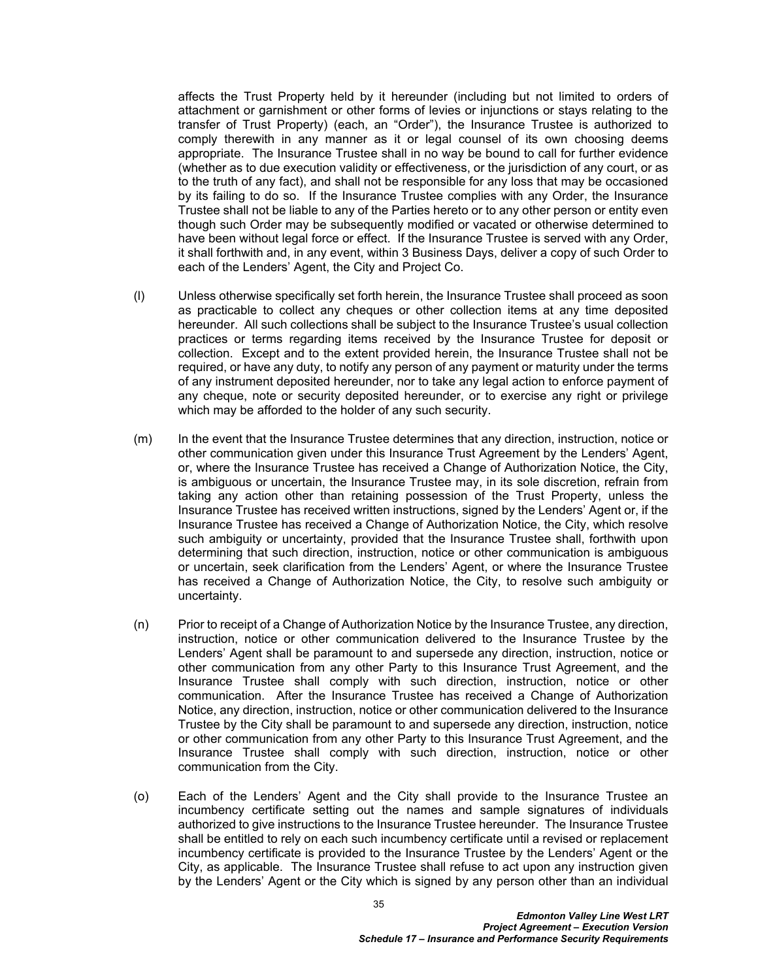affects the Trust Property held by it hereunder (including but not limited to orders of attachment or garnishment or other forms of levies or injunctions or stays relating to the transfer of Trust Property) (each, an "Order"), the Insurance Trustee is authorized to comply therewith in any manner as it or legal counsel of its own choosing deems appropriate. The Insurance Trustee shall in no way be bound to call for further evidence (whether as to due execution validity or effectiveness, or the jurisdiction of any court, or as to the truth of any fact), and shall not be responsible for any loss that may be occasioned by its failing to do so. If the Insurance Trustee complies with any Order, the Insurance Trustee shall not be liable to any of the Parties hereto or to any other person or entity even though such Order may be subsequently modified or vacated or otherwise determined to have been without legal force or effect. If the Insurance Trustee is served with any Order, it shall forthwith and, in any event, within 3 Business Days, deliver a copy of such Order to each of the Lenders' Agent, the City and Project Co.

- (l) Unless otherwise specifically set forth herein, the Insurance Trustee shall proceed as soon as practicable to collect any cheques or other collection items at any time deposited hereunder. All such collections shall be subject to the Insurance Trustee's usual collection practices or terms regarding items received by the Insurance Trustee for deposit or collection. Except and to the extent provided herein, the Insurance Trustee shall not be required, or have any duty, to notify any person of any payment or maturity under the terms of any instrument deposited hereunder, nor to take any legal action to enforce payment of any cheque, note or security deposited hereunder, or to exercise any right or privilege which may be afforded to the holder of any such security.
- (m) In the event that the Insurance Trustee determines that any direction, instruction, notice or other communication given under this Insurance Trust Agreement by the Lenders' Agent, or, where the Insurance Trustee has received a Change of Authorization Notice, the City, is ambiguous or uncertain, the Insurance Trustee may, in its sole discretion, refrain from taking any action other than retaining possession of the Trust Property, unless the Insurance Trustee has received written instructions, signed by the Lenders' Agent or, if the Insurance Trustee has received a Change of Authorization Notice, the City, which resolve such ambiguity or uncertainty, provided that the Insurance Trustee shall, forthwith upon determining that such direction, instruction, notice or other communication is ambiguous or uncertain, seek clarification from the Lenders' Agent, or where the Insurance Trustee has received a Change of Authorization Notice, the City, to resolve such ambiguity or uncertainty.
- (n) Prior to receipt of a Change of Authorization Notice by the Insurance Trustee, any direction, instruction, notice or other communication delivered to the Insurance Trustee by the Lenders' Agent shall be paramount to and supersede any direction, instruction, notice or other communication from any other Party to this Insurance Trust Agreement, and the Insurance Trustee shall comply with such direction, instruction, notice or other communication. After the Insurance Trustee has received a Change of Authorization Notice, any direction, instruction, notice or other communication delivered to the Insurance Trustee by the City shall be paramount to and supersede any direction, instruction, notice or other communication from any other Party to this Insurance Trust Agreement, and the Insurance Trustee shall comply with such direction, instruction, notice or other communication from the City.
- (o) Each of the Lenders' Agent and the City shall provide to the Insurance Trustee an incumbency certificate setting out the names and sample signatures of individuals authorized to give instructions to the Insurance Trustee hereunder. The Insurance Trustee shall be entitled to rely on each such incumbency certificate until a revised or replacement incumbency certificate is provided to the Insurance Trustee by the Lenders' Agent or the City, as applicable. The Insurance Trustee shall refuse to act upon any instruction given by the Lenders' Agent or the City which is signed by any person other than an individual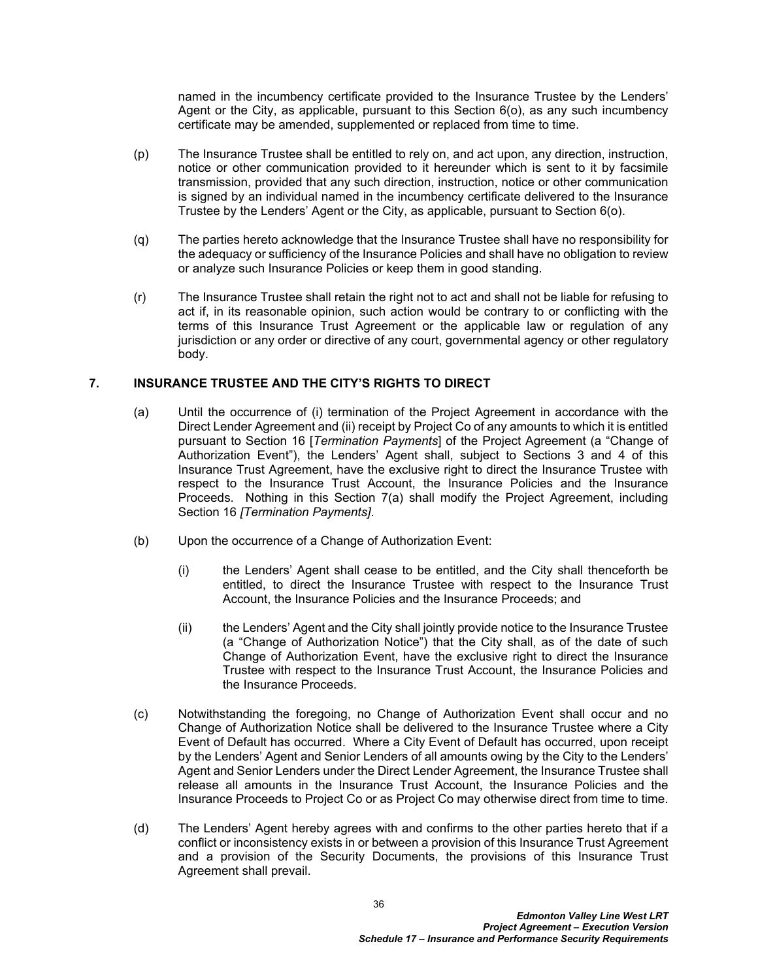named in the incumbency certificate provided to the Insurance Trustee by the Lenders' Agent or the City, as applicable, pursuant to this Section 6(o), as any such incumbency certificate may be amended, supplemented or replaced from time to time.

- (p) The Insurance Trustee shall be entitled to rely on, and act upon, any direction, instruction, notice or other communication provided to it hereunder which is sent to it by facsimile transmission, provided that any such direction, instruction, notice or other communication is signed by an individual named in the incumbency certificate delivered to the Insurance Trustee by the Lenders' Agent or the City, as applicable, pursuant to Section 6(o).
- (q) The parties hereto acknowledge that the Insurance Trustee shall have no responsibility for the adequacy or sufficiency of the Insurance Policies and shall have no obligation to review or analyze such Insurance Policies or keep them in good standing.
- (r) The Insurance Trustee shall retain the right not to act and shall not be liable for refusing to act if, in its reasonable opinion, such action would be contrary to or conflicting with the terms of this Insurance Trust Agreement or the applicable law or regulation of any jurisdiction or any order or directive of any court, governmental agency or other regulatory body.

## **7. INSURANCE TRUSTEE AND THE CITY'S RIGHTS TO DIRECT**

- (a) Until the occurrence of (i) termination of the Project Agreement in accordance with the Direct Lender Agreement and (ii) receipt by Project Co of any amounts to which it is entitled pursuant to Section 16 [*Termination Payments*] of the Project Agreement (a "Change of Authorization Event"), the Lenders' Agent shall, subject to Sections 3 and 4 of this Insurance Trust Agreement, have the exclusive right to direct the Insurance Trustee with respect to the Insurance Trust Account, the Insurance Policies and the Insurance Proceeds. Nothing in this Section 7(a) shall modify the Project Agreement, including Section 16 *[Termination Payments]*.
- (b) Upon the occurrence of a Change of Authorization Event:
	- (i) the Lenders' Agent shall cease to be entitled, and the City shall thenceforth be entitled, to direct the Insurance Trustee with respect to the Insurance Trust Account, the Insurance Policies and the Insurance Proceeds; and
	- (ii) the Lenders' Agent and the City shall jointly provide notice to the Insurance Trustee (a "Change of Authorization Notice") that the City shall, as of the date of such Change of Authorization Event, have the exclusive right to direct the Insurance Trustee with respect to the Insurance Trust Account, the Insurance Policies and the Insurance Proceeds.
- (c) Notwithstanding the foregoing, no Change of Authorization Event shall occur and no Change of Authorization Notice shall be delivered to the Insurance Trustee where a City Event of Default has occurred. Where a City Event of Default has occurred, upon receipt by the Lenders' Agent and Senior Lenders of all amounts owing by the City to the Lenders' Agent and Senior Lenders under the Direct Lender Agreement, the Insurance Trustee shall release all amounts in the Insurance Trust Account, the Insurance Policies and the Insurance Proceeds to Project Co or as Project Co may otherwise direct from time to time.
- (d) The Lenders' Agent hereby agrees with and confirms to the other parties hereto that if a conflict or inconsistency exists in or between a provision of this Insurance Trust Agreement and a provision of the Security Documents, the provisions of this Insurance Trust Agreement shall prevail.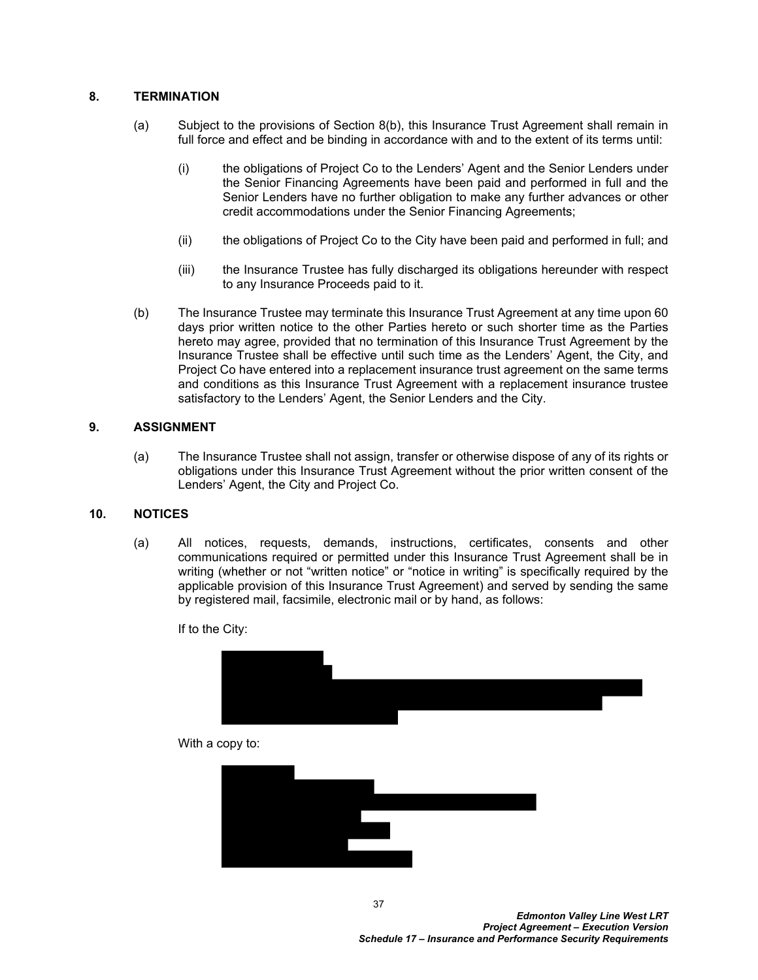### **8. TERMINATION**

- (a) Subject to the provisions of Section 8(b), this Insurance Trust Agreement shall remain in full force and effect and be binding in accordance with and to the extent of its terms until:
	- (i) the obligations of Project Co to the Lenders' Agent and the Senior Lenders under the Senior Financing Agreements have been paid and performed in full and the Senior Lenders have no further obligation to make any further advances or other credit accommodations under the Senior Financing Agreements;
	- (ii) the obligations of Project Co to the City have been paid and performed in full; and
	- (iii) the Insurance Trustee has fully discharged its obligations hereunder with respect to any Insurance Proceeds paid to it.
- (b) The Insurance Trustee may terminate this Insurance Trust Agreement at any time upon 60 days prior written notice to the other Parties hereto or such shorter time as the Parties hereto may agree, provided that no termination of this Insurance Trust Agreement by the Insurance Trustee shall be effective until such time as the Lenders' Agent, the City, and Project Co have entered into a replacement insurance trust agreement on the same terms and conditions as this Insurance Trust Agreement with a replacement insurance trustee satisfactory to the Lenders' Agent, the Senior Lenders and the City.

### **9. ASSIGNMENT**

(a) The Insurance Trustee shall not assign, transfer or otherwise dispose of any of its rights or obligations under this Insurance Trust Agreement without the prior written consent of the Lenders' Agent, the City and Project Co.

#### **10. NOTICES**

(a) All notices, requests, demands, instructions, certificates, consents and other communications required or permitted under this Insurance Trust Agreement shall be in writing (whether or not "written notice" or "notice in writing" is specifically required by the applicable provision of this Insurance Trust Agreement) and served by sending the same by registered mail, facsimile, electronic mail or by hand, as follows:

If to the City:



With a copy to:

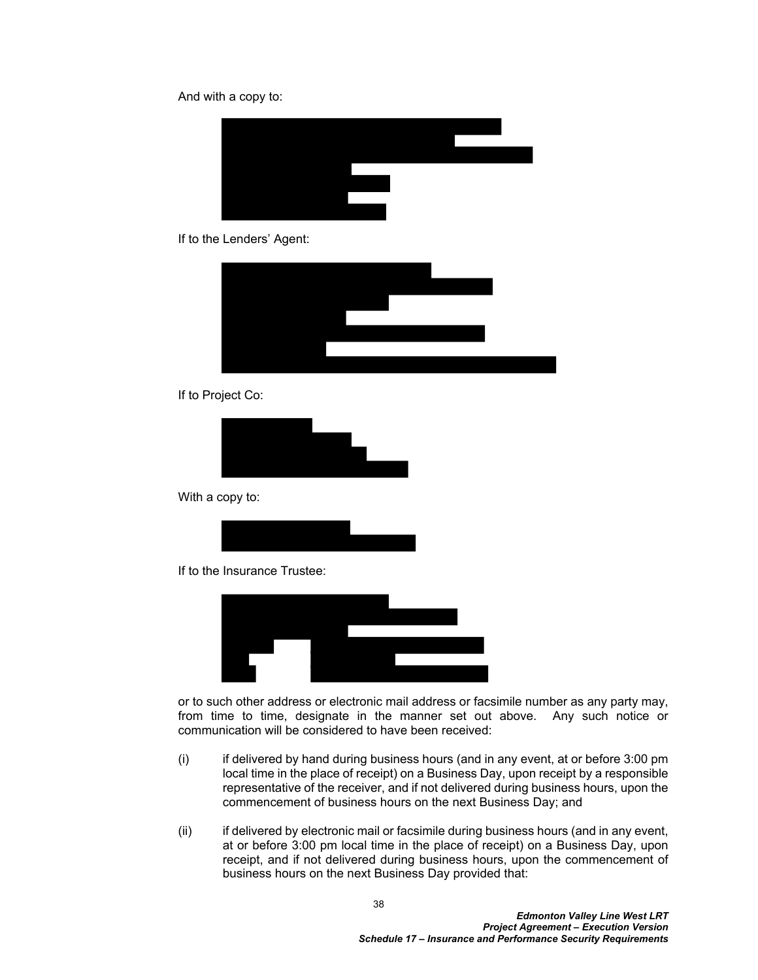And with a copy to:



If to the Lenders' Agent:



If to Project Co:



With a copy to:



If to the Insurance Trustee:



or to such other address or electronic mail address or facsimile number as any party may, from time to time, designate in the manner set out above. Any such notice or communication will be considered to have been received:

- (i) if delivered by hand during business hours (and in any event, at or before 3:00 pm local time in the place of receipt) on a Business Day, upon receipt by a responsible representative of the receiver, and if not delivered during business hours, upon the commencement of business hours on the next Business Day; and
- (ii) if delivered by electronic mail or facsimile during business hours (and in any event, at or before 3:00 pm local time in the place of receipt) on a Business Day, upon receipt, and if not delivered during business hours, upon the commencement of business hours on the next Business Day provided that: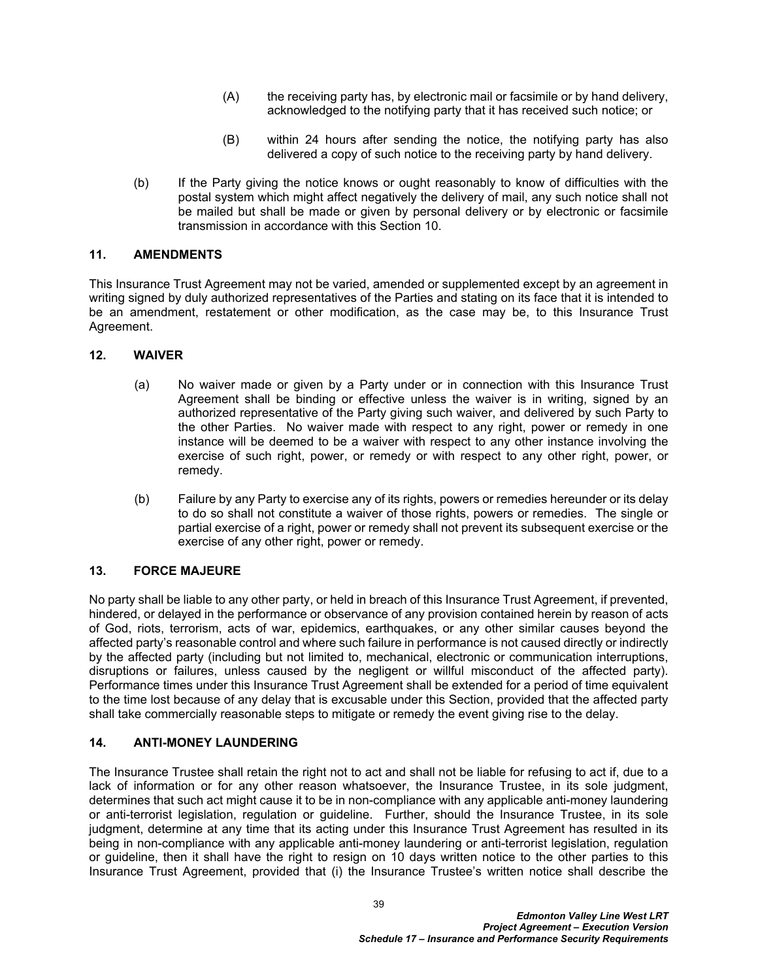- (A) the receiving party has, by electronic mail or facsimile or by hand delivery, acknowledged to the notifying party that it has received such notice; or
- (B) within 24 hours after sending the notice, the notifying party has also delivered a copy of such notice to the receiving party by hand delivery.
- (b) If the Party giving the notice knows or ought reasonably to know of difficulties with the postal system which might affect negatively the delivery of mail, any such notice shall not be mailed but shall be made or given by personal delivery or by electronic or facsimile transmission in accordance with this Section 10.

#### **11. AMENDMENTS**

This Insurance Trust Agreement may not be varied, amended or supplemented except by an agreement in writing signed by duly authorized representatives of the Parties and stating on its face that it is intended to be an amendment, restatement or other modification, as the case may be, to this Insurance Trust Agreement.

#### **12. WAIVER**

- (a) No waiver made or given by a Party under or in connection with this Insurance Trust Agreement shall be binding or effective unless the waiver is in writing, signed by an authorized representative of the Party giving such waiver, and delivered by such Party to the other Parties. No waiver made with respect to any right, power or remedy in one instance will be deemed to be a waiver with respect to any other instance involving the exercise of such right, power, or remedy or with respect to any other right, power, or remedy.
- (b) Failure by any Party to exercise any of its rights, powers or remedies hereunder or its delay to do so shall not constitute a waiver of those rights, powers or remedies. The single or partial exercise of a right, power or remedy shall not prevent its subsequent exercise or the exercise of any other right, power or remedy.

### **13. FORCE MAJEURE**

No party shall be liable to any other party, or held in breach of this Insurance Trust Agreement, if prevented, hindered, or delayed in the performance or observance of any provision contained herein by reason of acts of God, riots, terrorism, acts of war, epidemics, earthquakes, or any other similar causes beyond the affected party's reasonable control and where such failure in performance is not caused directly or indirectly by the affected party (including but not limited to, mechanical, electronic or communication interruptions, disruptions or failures, unless caused by the negligent or willful misconduct of the affected party). Performance times under this Insurance Trust Agreement shall be extended for a period of time equivalent to the time lost because of any delay that is excusable under this Section, provided that the affected party shall take commercially reasonable steps to mitigate or remedy the event giving rise to the delay.

### **14. ANTI-MONEY LAUNDERING**

The Insurance Trustee shall retain the right not to act and shall not be liable for refusing to act if, due to a lack of information or for any other reason whatsoever, the Insurance Trustee, in its sole judgment, determines that such act might cause it to be in non-compliance with any applicable anti-money laundering or anti-terrorist legislation, regulation or guideline. Further, should the Insurance Trustee, in its sole judgment, determine at any time that its acting under this Insurance Trust Agreement has resulted in its being in non-compliance with any applicable anti-money laundering or anti-terrorist legislation, regulation or guideline, then it shall have the right to resign on 10 days written notice to the other parties to this Insurance Trust Agreement, provided that (i) the Insurance Trustee's written notice shall describe the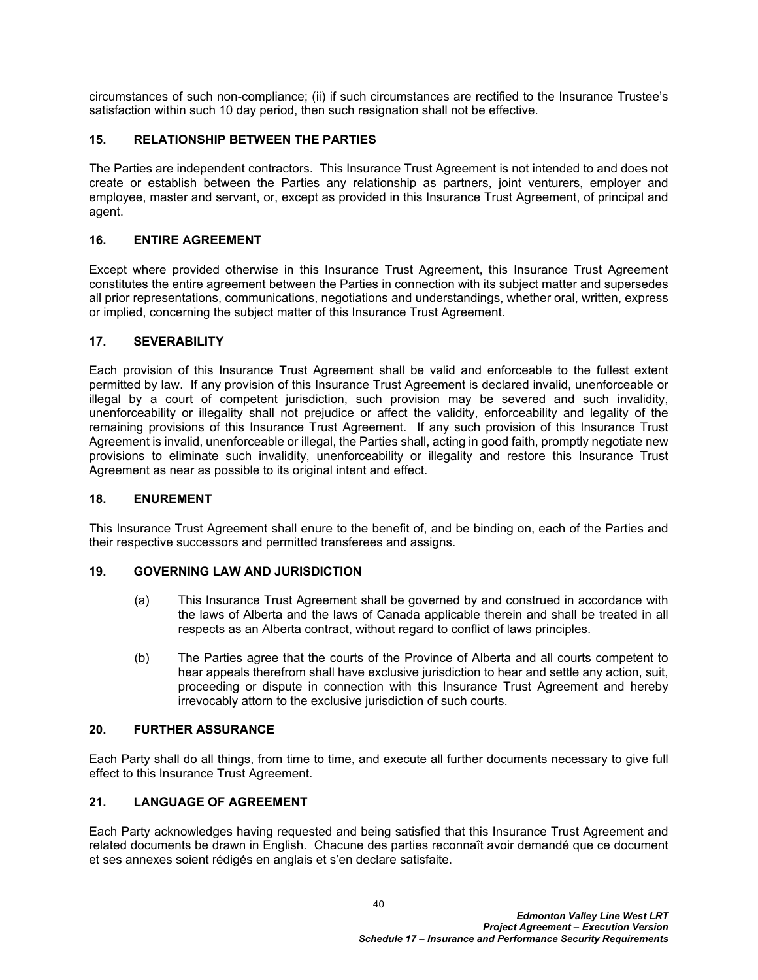circumstances of such non-compliance; (ii) if such circumstances are rectified to the Insurance Trustee's satisfaction within such 10 day period, then such resignation shall not be effective.

### **15. RELATIONSHIP BETWEEN THE PARTIES**

The Parties are independent contractors. This Insurance Trust Agreement is not intended to and does not create or establish between the Parties any relationship as partners, joint venturers, employer and employee, master and servant, or, except as provided in this Insurance Trust Agreement, of principal and agent.

### **16. ENTIRE AGREEMENT**

Except where provided otherwise in this Insurance Trust Agreement, this Insurance Trust Agreement constitutes the entire agreement between the Parties in connection with its subject matter and supersedes all prior representations, communications, negotiations and understandings, whether oral, written, express or implied, concerning the subject matter of this Insurance Trust Agreement.

#### **17. SEVERABILITY**

Each provision of this Insurance Trust Agreement shall be valid and enforceable to the fullest extent permitted by law. If any provision of this Insurance Trust Agreement is declared invalid, unenforceable or illegal by a court of competent jurisdiction, such provision may be severed and such invalidity, unenforceability or illegality shall not prejudice or affect the validity, enforceability and legality of the remaining provisions of this Insurance Trust Agreement. If any such provision of this Insurance Trust Agreement is invalid, unenforceable or illegal, the Parties shall, acting in good faith, promptly negotiate new provisions to eliminate such invalidity, unenforceability or illegality and restore this Insurance Trust Agreement as near as possible to its original intent and effect.

#### **18. ENUREMENT**

This Insurance Trust Agreement shall enure to the benefit of, and be binding on, each of the Parties and their respective successors and permitted transferees and assigns.

### **19. GOVERNING LAW AND JURISDICTION**

- (a) This Insurance Trust Agreement shall be governed by and construed in accordance with the laws of Alberta and the laws of Canada applicable therein and shall be treated in all respects as an Alberta contract, without regard to conflict of laws principles.
- (b) The Parties agree that the courts of the Province of Alberta and all courts competent to hear appeals therefrom shall have exclusive jurisdiction to hear and settle any action, suit, proceeding or dispute in connection with this Insurance Trust Agreement and hereby irrevocably attorn to the exclusive jurisdiction of such courts.

### **20. FURTHER ASSURANCE**

Each Party shall do all things, from time to time, and execute all further documents necessary to give full effect to this Insurance Trust Agreement.

#### **21. LANGUAGE OF AGREEMENT**

Each Party acknowledges having requested and being satisfied that this Insurance Trust Agreement and related documents be drawn in English. Chacune des parties reconnaît avoir demandé que ce document et ses annexes soient rédigés en anglais et s'en declare satisfaite.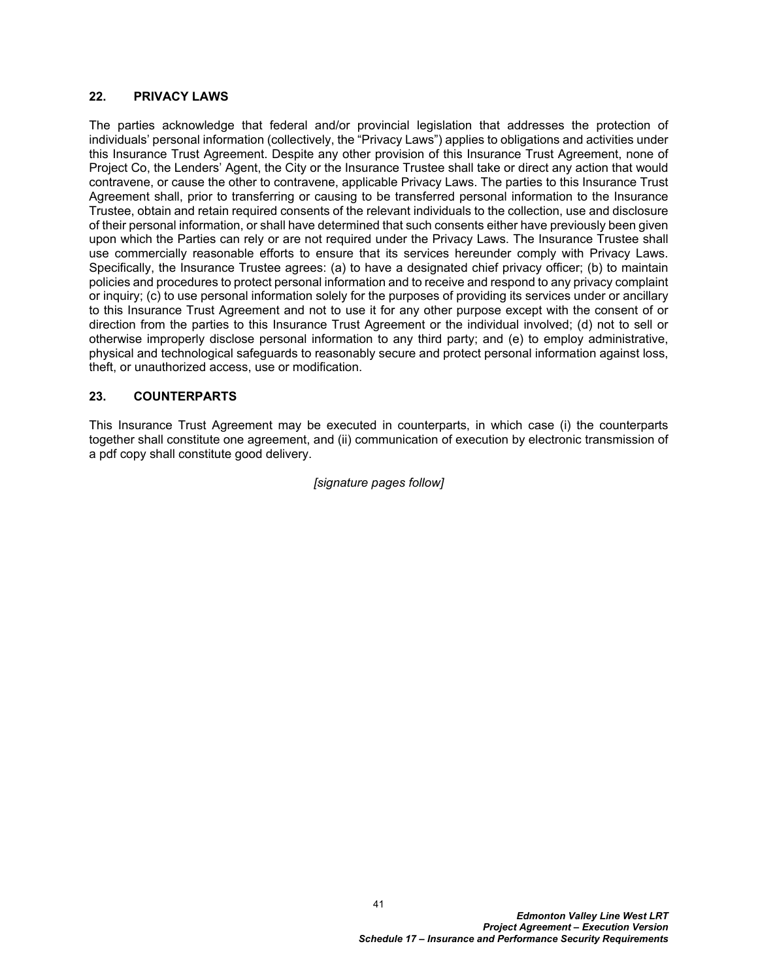#### **22. PRIVACY LAWS**

The parties acknowledge that federal and/or provincial legislation that addresses the protection of individuals' personal information (collectively, the "Privacy Laws") applies to obligations and activities under this Insurance Trust Agreement. Despite any other provision of this Insurance Trust Agreement, none of Project Co, the Lenders' Agent, the City or the Insurance Trustee shall take or direct any action that would contravene, or cause the other to contravene, applicable Privacy Laws. The parties to this Insurance Trust Agreement shall, prior to transferring or causing to be transferred personal information to the Insurance Trustee, obtain and retain required consents of the relevant individuals to the collection, use and disclosure of their personal information, or shall have determined that such consents either have previously been given upon which the Parties can rely or are not required under the Privacy Laws. The Insurance Trustee shall use commercially reasonable efforts to ensure that its services hereunder comply with Privacy Laws. Specifically, the Insurance Trustee agrees: (a) to have a designated chief privacy officer; (b) to maintain policies and procedures to protect personal information and to receive and respond to any privacy complaint or inquiry; (c) to use personal information solely for the purposes of providing its services under or ancillary to this Insurance Trust Agreement and not to use it for any other purpose except with the consent of or direction from the parties to this Insurance Trust Agreement or the individual involved; (d) not to sell or otherwise improperly disclose personal information to any third party; and (e) to employ administrative, physical and technological safeguards to reasonably secure and protect personal information against loss, theft, or unauthorized access, use or modification.

#### **23. COUNTERPARTS**

This Insurance Trust Agreement may be executed in counterparts, in which case (i) the counterparts together shall constitute one agreement, and (ii) communication of execution by electronic transmission of a pdf copy shall constitute good delivery.

#### *[signature pages follow]*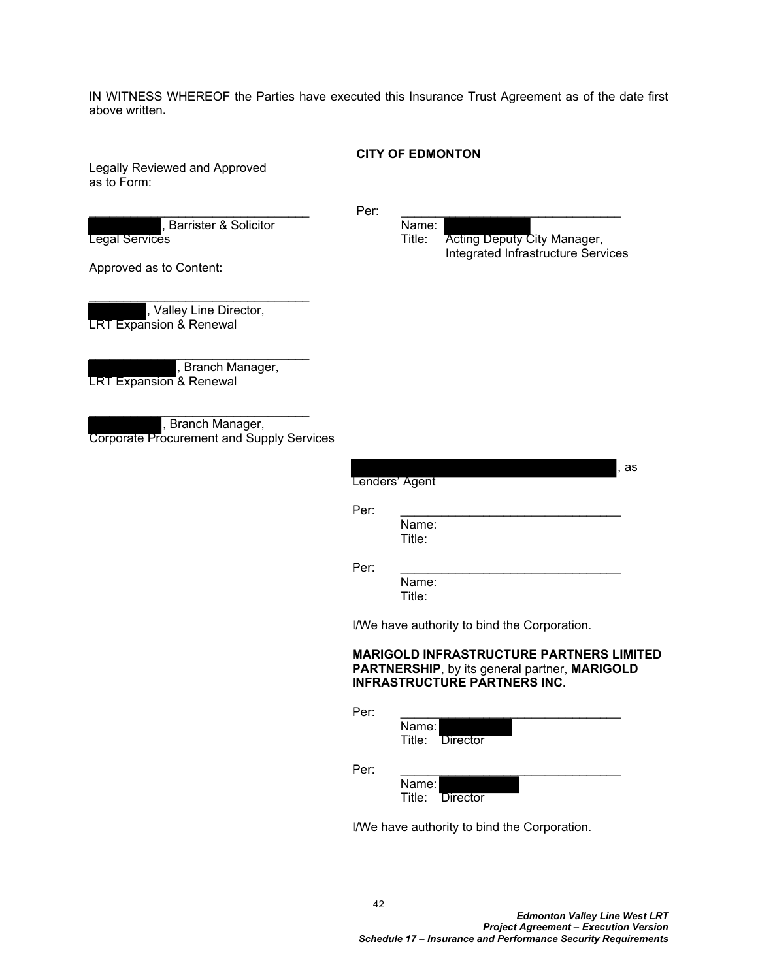IN WITNESS WHEREOF the Parties have executed this Insurance Trust Agreement as of the date first above written**.**

#### **CITY OF EDMONTON**

Integrated Infrastructure Services

Legally Reviewed and Approved as to Form:

 $\blacksquare$  Per:  $\blacksquare$  . The contract of the contract of the contract of the contract of the contract of the contract of the contract of the contract of the contract of the contract of the contract of the contract of the cont Barrister & Solicitor Name: Legal Services **Title:** Acting Deputy City Manager,

Approved as to Content:

, Valley Line Director, LRT Expansion & Renewal

, Branch Manager, LRT Expansion & Renewal

\_\_\_\_\_\_\_\_\_\_\_\_\_\_\_\_\_\_\_\_\_\_\_\_\_\_\_\_\_\_\_\_

\_\_\_\_\_\_\_\_\_\_\_\_\_\_\_\_\_\_\_\_\_\_\_\_\_\_\_\_\_\_\_\_

, Branch Manager, Corporate Procurement and Supply Services

|      | as<br>Lenders' Agent                                                                        |
|------|---------------------------------------------------------------------------------------------|
| Per: | Name:<br>Title:                                                                             |
| Per: | Name:<br>Title:                                                                             |
|      | I/We have authority to bind the Corporation.                                                |
|      |                                                                                             |
|      | <b>PARTNERSHIP, by its general partner, MARIGOLD</b><br><b>INFRASTRUCTURE PARTNERS INC.</b> |
| Per: | <b>MARIGOLD INFRASTRUCTURE PARTNERS LIMITED</b><br>Name:<br><b>Director</b><br>Title:       |

I/We have authority to bind the Corporation.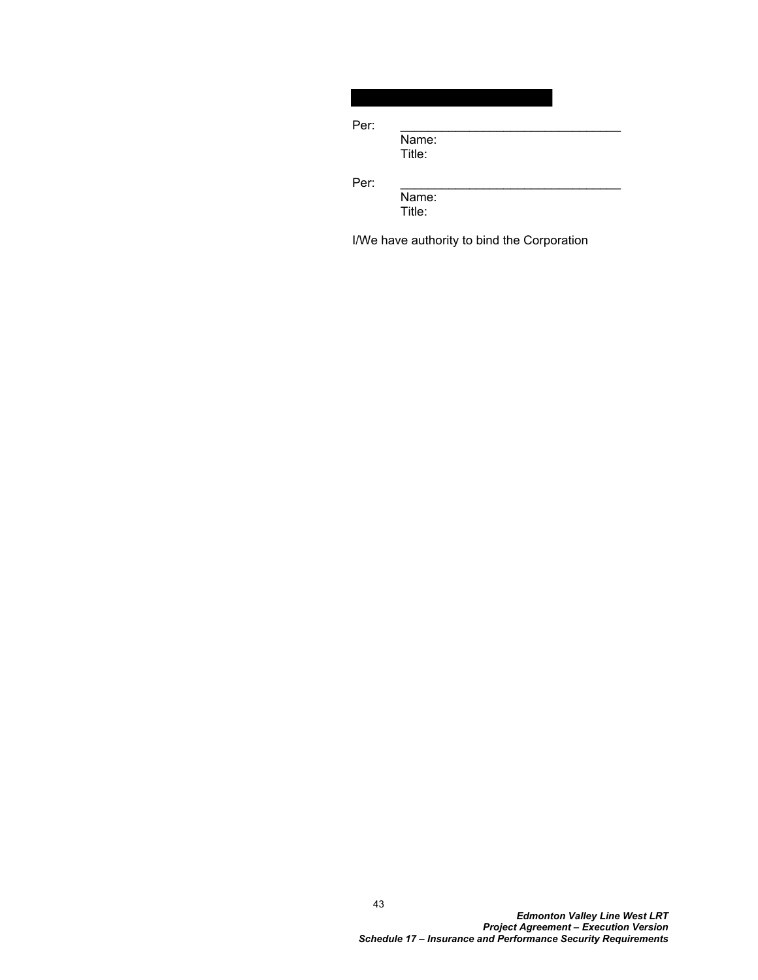| Per: |                 |  |  |
|------|-----------------|--|--|
|      | Name:<br>Title: |  |  |
| Per: |                 |  |  |
|      | Name:           |  |  |

Title:

I/We have authority to bind the Corporation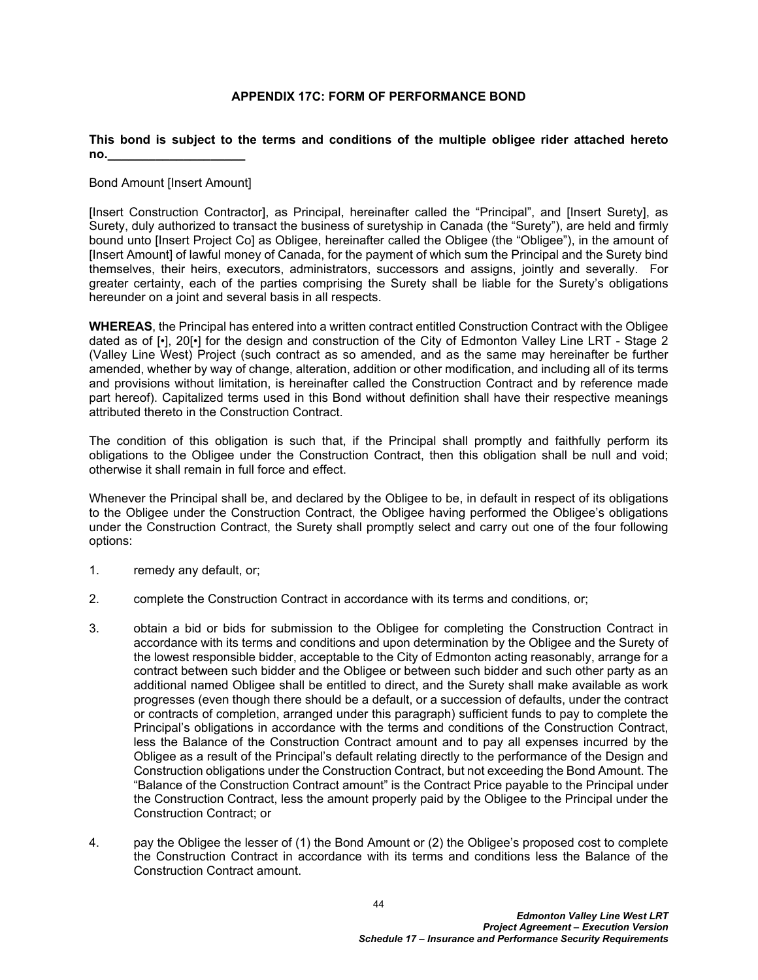#### <span id="page-45-0"></span>**APPENDIX 17C: FORM OF PERFORMANCE BOND**

#### **This bond is subject to the terms and conditions of the multiple obligee rider attached hereto no.\_\_\_\_\_\_\_\_\_\_\_\_\_\_\_\_\_\_\_\_**

#### Bond Amount [Insert Amount]

[Insert Construction Contractor], as Principal, hereinafter called the "Principal", and [Insert Surety], as Surety, duly authorized to transact the business of suretyship in Canada (the "Surety"), are held and firmly bound unto [Insert Project Co] as Obligee, hereinafter called the Obligee (the "Obligee"), in the amount of [Insert Amount] of lawful money of Canada, for the payment of which sum the Principal and the Surety bind themselves, their heirs, executors, administrators, successors and assigns, jointly and severally. For greater certainty, each of the parties comprising the Surety shall be liable for the Surety's obligations hereunder on a joint and several basis in all respects.

**WHEREAS**, the Principal has entered into a written contract entitled Construction Contract with the Obligee dated as of [•], 20[•] for the design and construction of the City of Edmonton Valley Line LRT - Stage 2 (Valley Line West) Project (such contract as so amended, and as the same may hereinafter be further amended, whether by way of change, alteration, addition or other modification, and including all of its terms and provisions without limitation, is hereinafter called the Construction Contract and by reference made part hereof). Capitalized terms used in this Bond without definition shall have their respective meanings attributed thereto in the Construction Contract.

The condition of this obligation is such that, if the Principal shall promptly and faithfully perform its obligations to the Obligee under the Construction Contract, then this obligation shall be null and void; otherwise it shall remain in full force and effect.

Whenever the Principal shall be, and declared by the Obligee to be, in default in respect of its obligations to the Obligee under the Construction Contract, the Obligee having performed the Obligee's obligations under the Construction Contract, the Surety shall promptly select and carry out one of the four following options:

- 1. remedy any default, or;
- 2. complete the Construction Contract in accordance with its terms and conditions, or;
- 3. obtain a bid or bids for submission to the Obligee for completing the Construction Contract in accordance with its terms and conditions and upon determination by the Obligee and the Surety of the lowest responsible bidder, acceptable to the City of Edmonton acting reasonably, arrange for a contract between such bidder and the Obligee or between such bidder and such other party as an additional named Obligee shall be entitled to direct, and the Surety shall make available as work progresses (even though there should be a default, or a succession of defaults, under the contract or contracts of completion, arranged under this paragraph) sufficient funds to pay to complete the Principal's obligations in accordance with the terms and conditions of the Construction Contract, less the Balance of the Construction Contract amount and to pay all expenses incurred by the Obligee as a result of the Principal's default relating directly to the performance of the Design and Construction obligations under the Construction Contract, but not exceeding the Bond Amount. The "Balance of the Construction Contract amount" is the Contract Price payable to the Principal under the Construction Contract, less the amount properly paid by the Obligee to the Principal under the Construction Contract; or
- 4. pay the Obligee the lesser of (1) the Bond Amount or (2) the Obligee's proposed cost to complete the Construction Contract in accordance with its terms and conditions less the Balance of the Construction Contract amount.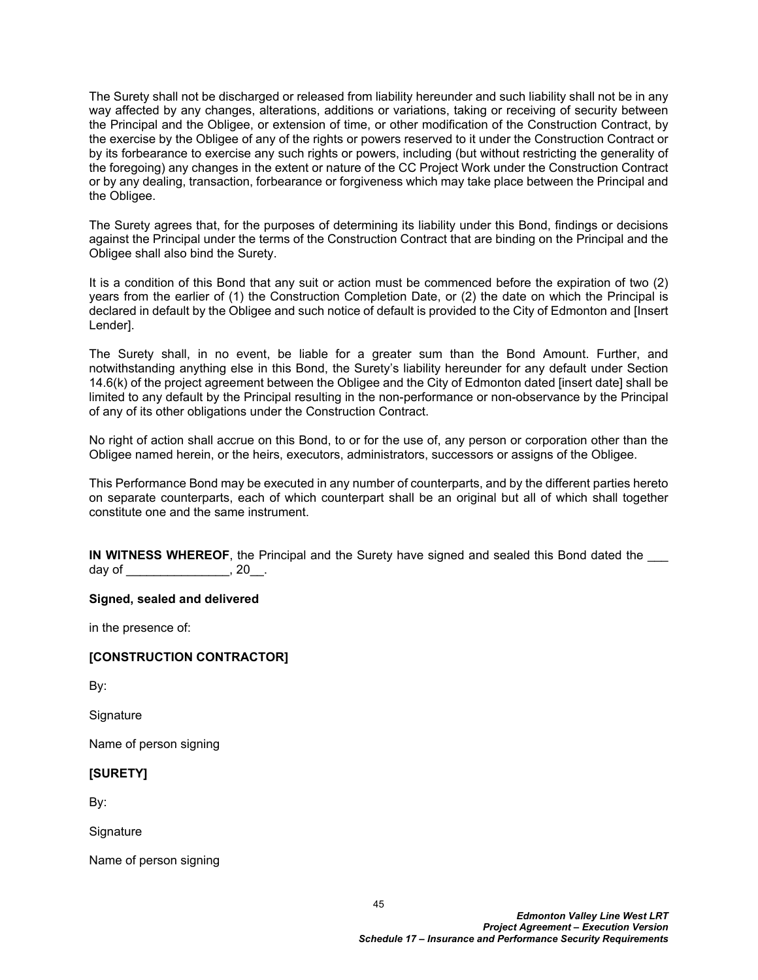The Surety shall not be discharged or released from liability hereunder and such liability shall not be in any way affected by any changes, alterations, additions or variations, taking or receiving of security between the Principal and the Obligee, or extension of time, or other modification of the Construction Contract, by the exercise by the Obligee of any of the rights or powers reserved to it under the Construction Contract or by its forbearance to exercise any such rights or powers, including (but without restricting the generality of the foregoing) any changes in the extent or nature of the CC Project Work under the Construction Contract or by any dealing, transaction, forbearance or forgiveness which may take place between the Principal and the Obligee.

The Surety agrees that, for the purposes of determining its liability under this Bond, findings or decisions against the Principal under the terms of the Construction Contract that are binding on the Principal and the Obligee shall also bind the Surety.

It is a condition of this Bond that any suit or action must be commenced before the expiration of two (2) years from the earlier of (1) the Construction Completion Date, or (2) the date on which the Principal is declared in default by the Obligee and such notice of default is provided to the City of Edmonton and [Insert Lender].

The Surety shall, in no event, be liable for a greater sum than the Bond Amount. Further, and notwithstanding anything else in this Bond, the Surety's liability hereunder for any default under Section 14.6(k) of the project agreement between the Obligee and the City of Edmonton dated [insert date] shall be limited to any default by the Principal resulting in the non-performance or non-observance by the Principal of any of its other obligations under the Construction Contract.

No right of action shall accrue on this Bond, to or for the use of, any person or corporation other than the Obligee named herein, or the heirs, executors, administrators, successors or assigns of the Obligee.

This Performance Bond may be executed in any number of counterparts, and by the different parties hereto on separate counterparts, each of which counterpart shall be an original but all of which shall together constitute one and the same instrument.

**IN WITNESS WHEREOF**, the Principal and the Surety have signed and sealed this Bond dated the day of \_\_\_\_\_\_\_\_\_\_\_\_\_\_\_, 20\_\_.

#### **Signed, sealed and delivered**

in the presence of:

### **[CONSTRUCTION CONTRACTOR]**

By:

**Signature** 

Name of person signing

#### **[SURETY]**

By:

**Signature** 

Name of person signing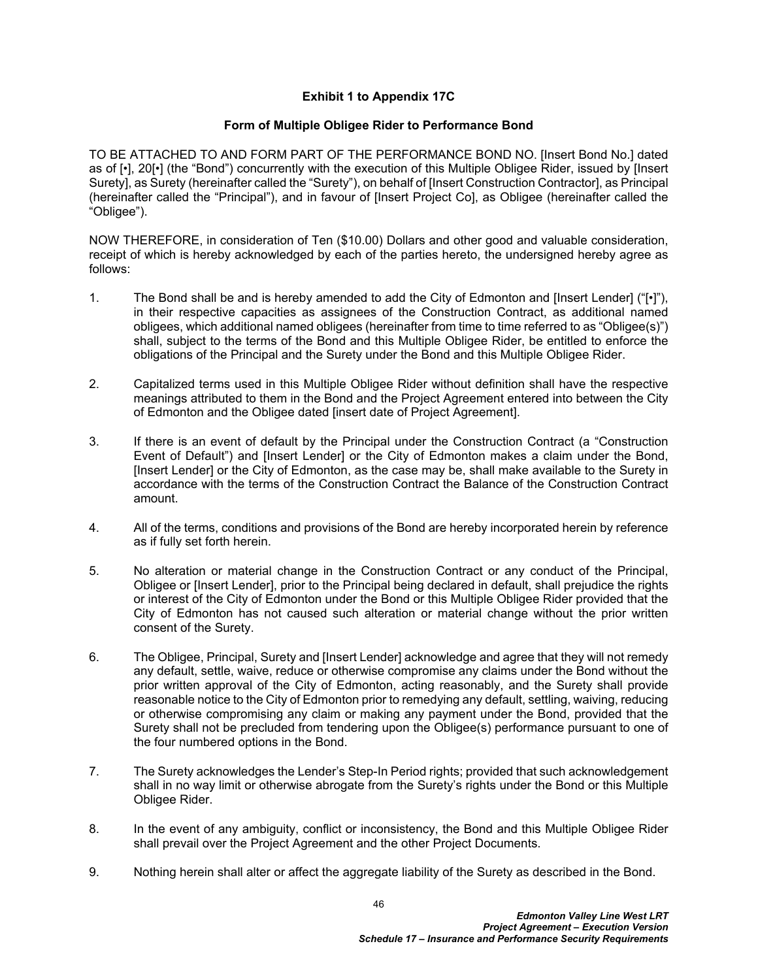### **Exhibit 1 to Appendix 17C**

#### **Form of Multiple Obligee Rider to Performance Bond**

TO BE ATTACHED TO AND FORM PART OF THE PERFORMANCE BOND NO. [Insert Bond No.] dated as of [•], 20[•] (the "Bond") concurrently with the execution of this Multiple Obligee Rider, issued by [Insert Surety], as Surety (hereinafter called the "Surety"), on behalf of [Insert Construction Contractor], as Principal (hereinafter called the "Principal"), and in favour of [Insert Project Co], as Obligee (hereinafter called the "Obligee").

NOW THEREFORE, in consideration of Ten (\$10.00) Dollars and other good and valuable consideration, receipt of which is hereby acknowledged by each of the parties hereto, the undersigned hereby agree as follows:

- 1. The Bond shall be and is hereby amended to add the City of Edmonton and [Insert Lender] ("[•]"), in their respective capacities as assignees of the Construction Contract, as additional named obligees, which additional named obligees (hereinafter from time to time referred to as "Obligee(s)") shall, subject to the terms of the Bond and this Multiple Obligee Rider, be entitled to enforce the obligations of the Principal and the Surety under the Bond and this Multiple Obligee Rider.
- 2. Capitalized terms used in this Multiple Obligee Rider without definition shall have the respective meanings attributed to them in the Bond and the Project Agreement entered into between the City of Edmonton and the Obligee dated [insert date of Project Agreement].
- 3. If there is an event of default by the Principal under the Construction Contract (a "Construction Event of Default") and [Insert Lender] or the City of Edmonton makes a claim under the Bond, [Insert Lender] or the City of Edmonton, as the case may be, shall make available to the Surety in accordance with the terms of the Construction Contract the Balance of the Construction Contract amount.
- 4. All of the terms, conditions and provisions of the Bond are hereby incorporated herein by reference as if fully set forth herein.
- 5. No alteration or material change in the Construction Contract or any conduct of the Principal, Obligee or [Insert Lender], prior to the Principal being declared in default, shall prejudice the rights or interest of the City of Edmonton under the Bond or this Multiple Obligee Rider provided that the City of Edmonton has not caused such alteration or material change without the prior written consent of the Surety.
- 6. The Obligee, Principal, Surety and [Insert Lender] acknowledge and agree that they will not remedy any default, settle, waive, reduce or otherwise compromise any claims under the Bond without the prior written approval of the City of Edmonton, acting reasonably, and the Surety shall provide reasonable notice to the City of Edmonton prior to remedying any default, settling, waiving, reducing or otherwise compromising any claim or making any payment under the Bond, provided that the Surety shall not be precluded from tendering upon the Obligee(s) performance pursuant to one of the four numbered options in the Bond.
- 7. The Surety acknowledges the Lender's Step-In Period rights; provided that such acknowledgement shall in no way limit or otherwise abrogate from the Surety's rights under the Bond or this Multiple Obligee Rider.
- 8. In the event of any ambiguity, conflict or inconsistency, the Bond and this Multiple Obligee Rider shall prevail over the Project Agreement and the other Project Documents.
- 9. Nothing herein shall alter or affect the aggregate liability of the Surety as described in the Bond.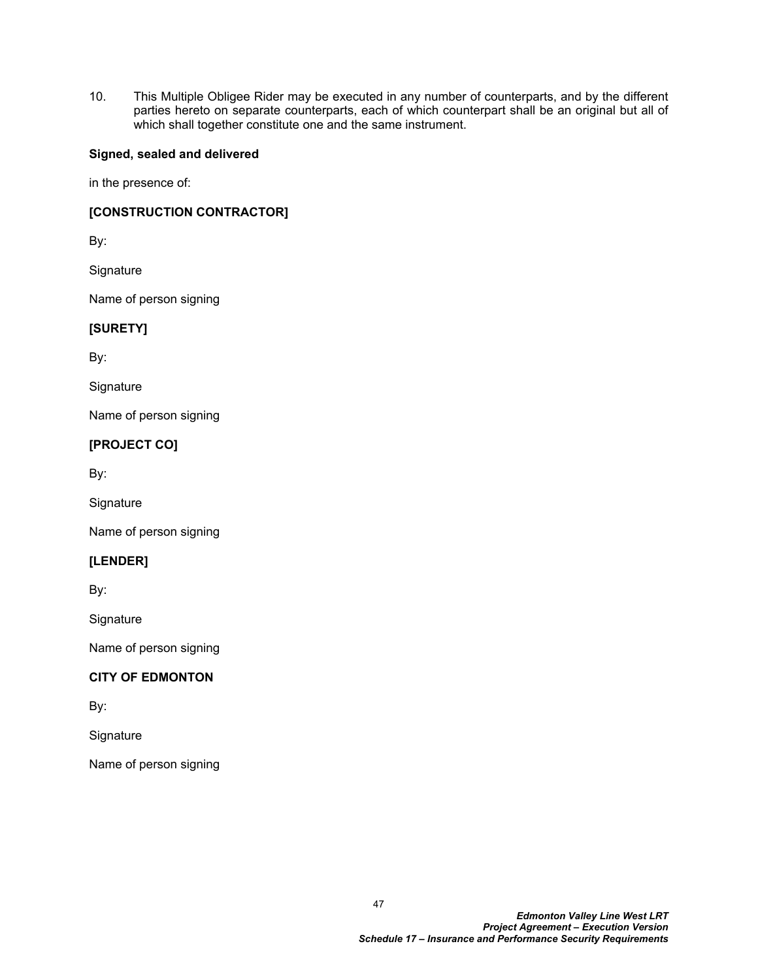10. This Multiple Obligee Rider may be executed in any number of counterparts, and by the different parties hereto on separate counterparts, each of which counterpart shall be an original but all of which shall together constitute one and the same instrument.

#### **Signed, sealed and delivered**

in the presence of:

### **[CONSTRUCTION CONTRACTOR]**

By:

**Signature** 

Name of person signing

### **[SURETY]**

By:

**Signature** 

Name of person signing

### **[PROJECT CO]**

By:

**Signature** 

Name of person signing

### **[LENDER]**

By:

**Signature** 

Name of person signing

### **CITY OF EDMONTON**

By:

**Signature** 

Name of person signing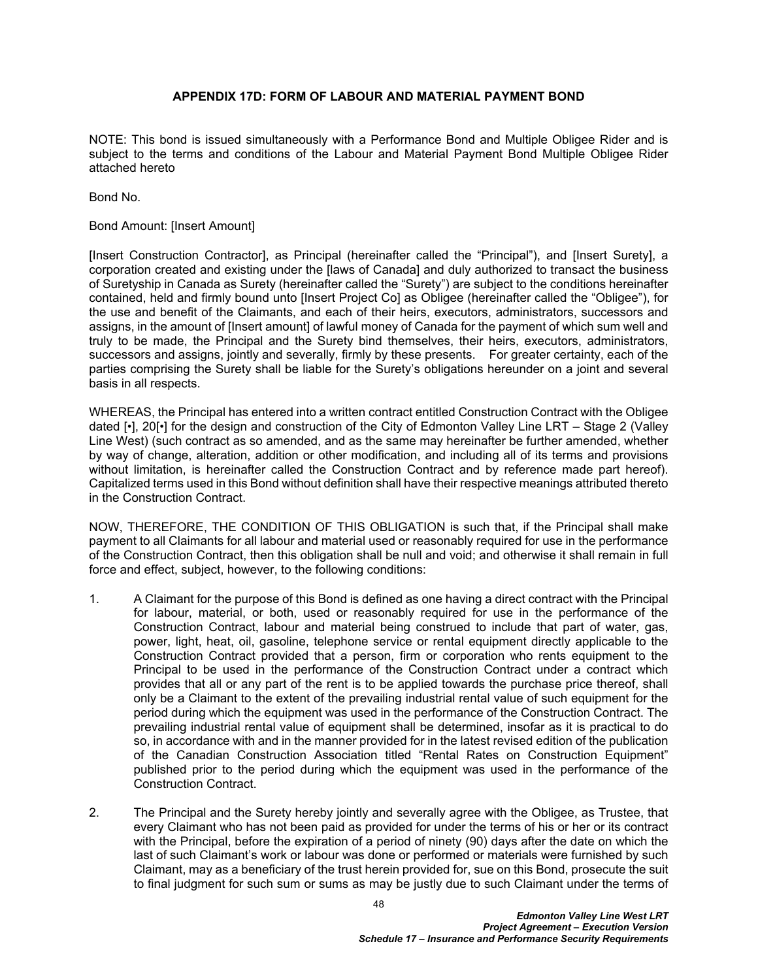### <span id="page-49-0"></span>**APPENDIX 17D: FORM OF LABOUR AND MATERIAL PAYMENT BOND**

NOTE: This bond is issued simultaneously with a Performance Bond and Multiple Obligee Rider and is subject to the terms and conditions of the Labour and Material Payment Bond Multiple Obligee Rider attached hereto

Bond No.

### Bond Amount: [Insert Amount]

[Insert Construction Contractor], as Principal (hereinafter called the "Principal"), and [Insert Surety], a corporation created and existing under the [laws of Canada] and duly authorized to transact the business of Suretyship in Canada as Surety (hereinafter called the "Surety") are subject to the conditions hereinafter contained, held and firmly bound unto [Insert Project Co] as Obligee (hereinafter called the "Obligee"), for the use and benefit of the Claimants, and each of their heirs, executors, administrators, successors and assigns, in the amount of [Insert amount] of lawful money of Canada for the payment of which sum well and truly to be made, the Principal and the Surety bind themselves, their heirs, executors, administrators, successors and assigns, jointly and severally, firmly by these presents. For greater certainty, each of the parties comprising the Surety shall be liable for the Surety's obligations hereunder on a joint and several basis in all respects.

WHEREAS, the Principal has entered into a written contract entitled Construction Contract with the Obligee dated [•], 20[•] for the design and construction of the City of Edmonton Valley Line LRT – Stage 2 (Valley Line West) (such contract as so amended, and as the same may hereinafter be further amended, whether by way of change, alteration, addition or other modification, and including all of its terms and provisions without limitation, is hereinafter called the Construction Contract and by reference made part hereof). Capitalized terms used in this Bond without definition shall have their respective meanings attributed thereto in the Construction Contract.

NOW, THEREFORE, THE CONDITION OF THIS OBLIGATION is such that, if the Principal shall make payment to all Claimants for all labour and material used or reasonably required for use in the performance of the Construction Contract, then this obligation shall be null and void; and otherwise it shall remain in full force and effect, subject, however, to the following conditions:

- 1. A Claimant for the purpose of this Bond is defined as one having a direct contract with the Principal for labour, material, or both, used or reasonably required for use in the performance of the Construction Contract, labour and material being construed to include that part of water, gas, power, light, heat, oil, gasoline, telephone service or rental equipment directly applicable to the Construction Contract provided that a person, firm or corporation who rents equipment to the Principal to be used in the performance of the Construction Contract under a contract which provides that all or any part of the rent is to be applied towards the purchase price thereof, shall only be a Claimant to the extent of the prevailing industrial rental value of such equipment for the period during which the equipment was used in the performance of the Construction Contract. The prevailing industrial rental value of equipment shall be determined, insofar as it is practical to do so, in accordance with and in the manner provided for in the latest revised edition of the publication of the Canadian Construction Association titled "Rental Rates on Construction Equipment" published prior to the period during which the equipment was used in the performance of the Construction Contract.
- 2. The Principal and the Surety hereby jointly and severally agree with the Obligee, as Trustee, that every Claimant who has not been paid as provided for under the terms of his or her or its contract with the Principal, before the expiration of a period of ninety (90) days after the date on which the last of such Claimant's work or labour was done or performed or materials were furnished by such Claimant, may as a beneficiary of the trust herein provided for, sue on this Bond, prosecute the suit to final judgment for such sum or sums as may be justly due to such Claimant under the terms of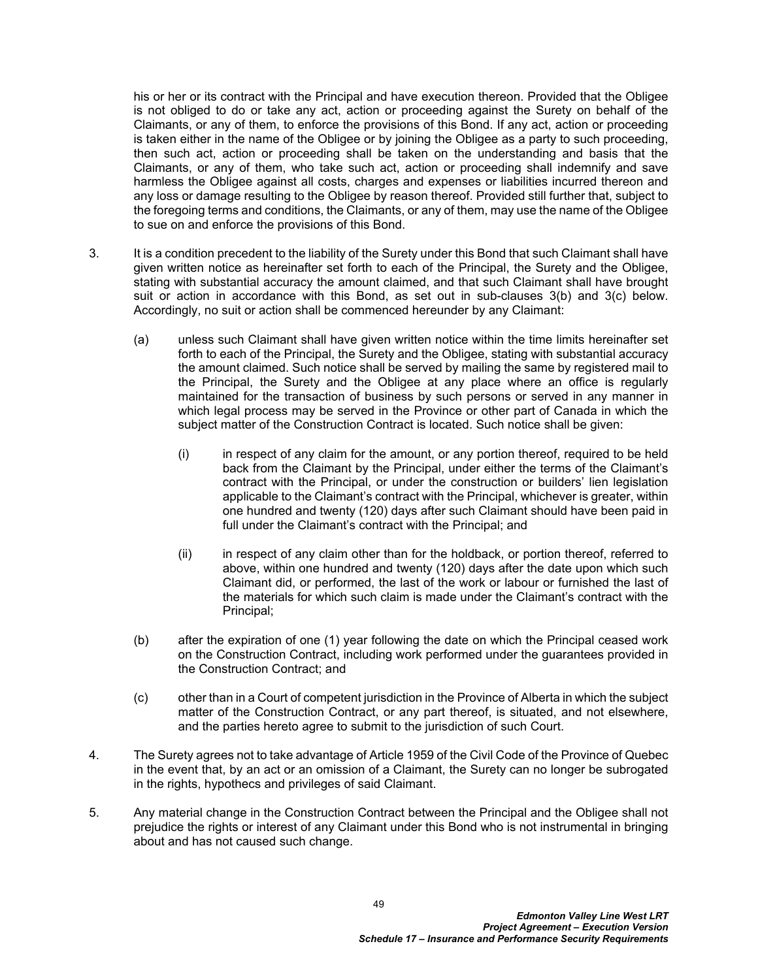his or her or its contract with the Principal and have execution thereon. Provided that the Obligee is not obliged to do or take any act, action or proceeding against the Surety on behalf of the Claimants, or any of them, to enforce the provisions of this Bond. If any act, action or proceeding is taken either in the name of the Obligee or by joining the Obligee as a party to such proceeding, then such act, action or proceeding shall be taken on the understanding and basis that the Claimants, or any of them, who take such act, action or proceeding shall indemnify and save harmless the Obligee against all costs, charges and expenses or liabilities incurred thereon and any loss or damage resulting to the Obligee by reason thereof. Provided still further that, subject to the foregoing terms and conditions, the Claimants, or any of them, may use the name of the Obligee to sue on and enforce the provisions of this Bond.

- 3. It is a condition precedent to the liability of the Surety under this Bond that such Claimant shall have given written notice as hereinafter set forth to each of the Principal, the Surety and the Obligee, stating with substantial accuracy the amount claimed, and that such Claimant shall have brought suit or action in accordance with this Bond, as set out in sub-clauses 3(b) and 3(c) below. Accordingly, no suit or action shall be commenced hereunder by any Claimant:
	- (a) unless such Claimant shall have given written notice within the time limits hereinafter set forth to each of the Principal, the Surety and the Obligee, stating with substantial accuracy the amount claimed. Such notice shall be served by mailing the same by registered mail to the Principal, the Surety and the Obligee at any place where an office is regularly maintained for the transaction of business by such persons or served in any manner in which legal process may be served in the Province or other part of Canada in which the subject matter of the Construction Contract is located. Such notice shall be given:
		- (i) in respect of any claim for the amount, or any portion thereof, required to be held back from the Claimant by the Principal, under either the terms of the Claimant's contract with the Principal, or under the construction or builders' lien legislation applicable to the Claimant's contract with the Principal, whichever is greater, within one hundred and twenty (120) days after such Claimant should have been paid in full under the Claimant's contract with the Principal; and
		- (ii) in respect of any claim other than for the holdback, or portion thereof, referred to above, within one hundred and twenty (120) days after the date upon which such Claimant did, or performed, the last of the work or labour or furnished the last of the materials for which such claim is made under the Claimant's contract with the Principal;
	- (b) after the expiration of one (1) year following the date on which the Principal ceased work on the Construction Contract, including work performed under the guarantees provided in the Construction Contract; and
	- (c) other than in a Court of competent jurisdiction in the Province of Alberta in which the subject matter of the Construction Contract, or any part thereof, is situated, and not elsewhere, and the parties hereto agree to submit to the jurisdiction of such Court.
- 4. The Surety agrees not to take advantage of Article 1959 of the Civil Code of the Province of Quebec in the event that, by an act or an omission of a Claimant, the Surety can no longer be subrogated in the rights, hypothecs and privileges of said Claimant.
- 5. Any material change in the Construction Contract between the Principal and the Obligee shall not prejudice the rights or interest of any Claimant under this Bond who is not instrumental in bringing about and has not caused such change.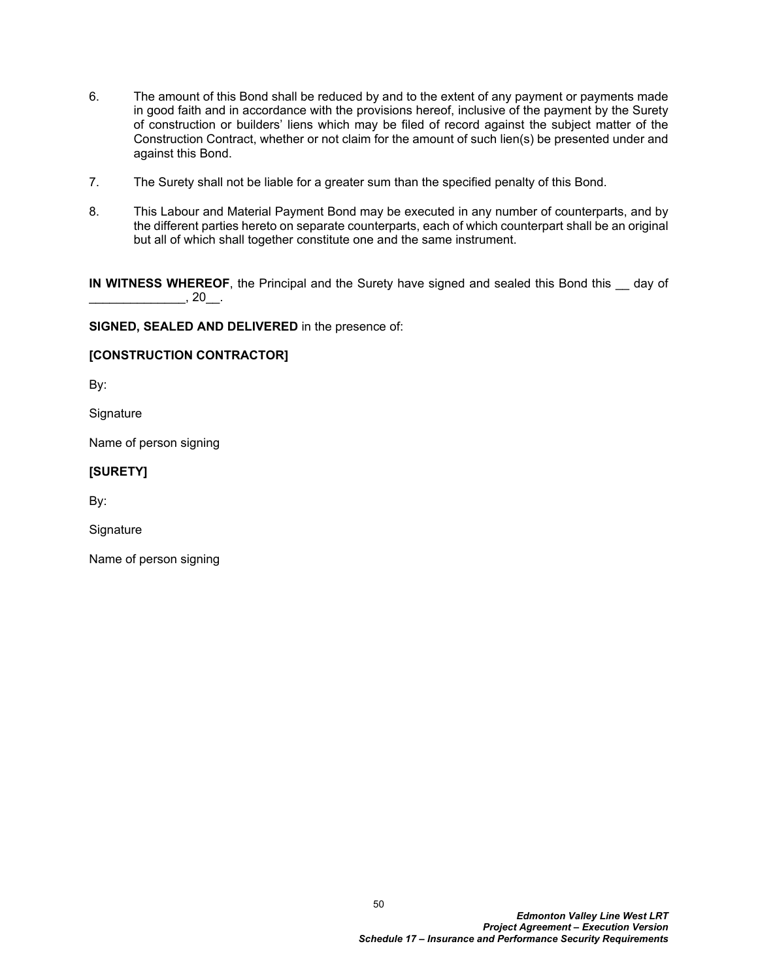- 6. The amount of this Bond shall be reduced by and to the extent of any payment or payments made in good faith and in accordance with the provisions hereof, inclusive of the payment by the Surety of construction or builders' liens which may be filed of record against the subject matter of the Construction Contract, whether or not claim for the amount of such lien(s) be presented under and against this Bond.
- 7. The Surety shall not be liable for a greater sum than the specified penalty of this Bond.
- 8. This Labour and Material Payment Bond may be executed in any number of counterparts, and by the different parties hereto on separate counterparts, each of which counterpart shall be an original but all of which shall together constitute one and the same instrument.

**IN WITNESS WHEREOF**, the Principal and the Surety have signed and sealed this Bond this \_\_ day of  $\overline{\phantom{a}}$ , 20 $\overline{\phantom{a}}$ , 20 $\overline{\phantom{a}}$ .

**SIGNED, SEALED AND DELIVERED** in the presence of:

### **[CONSTRUCTION CONTRACTOR]**

By:

**Signature** 

Name of person signing

### **[SURETY]**

By:

**Signature** 

Name of person signing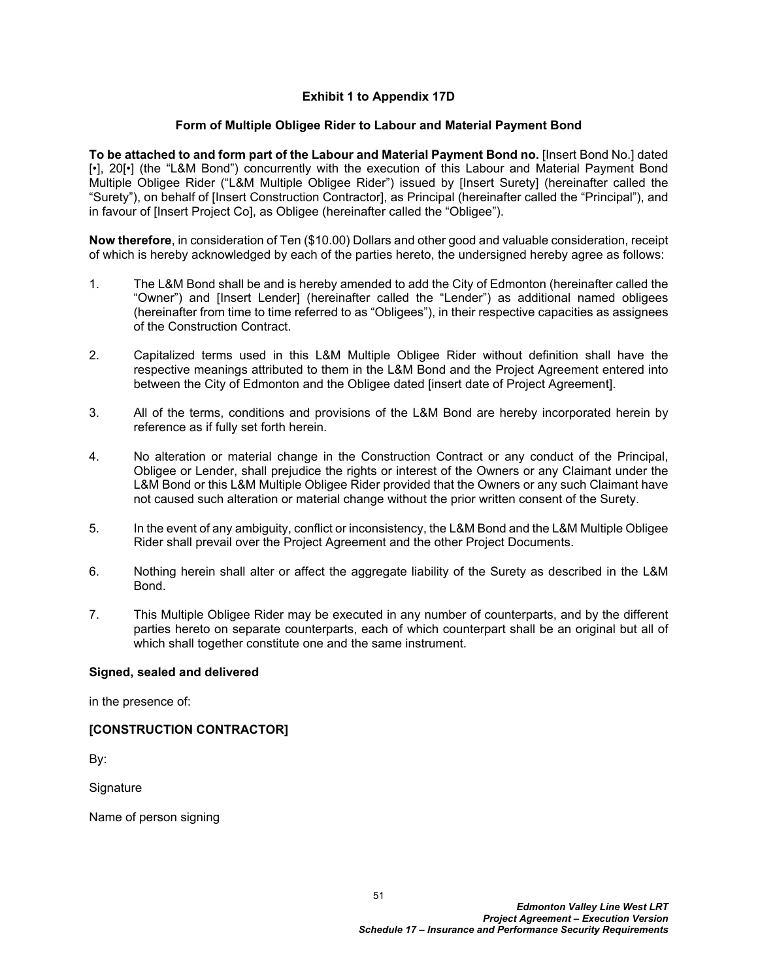### **Exhibit 1 to Appendix 17D**

### **Form of Multiple Obligee Rider to Labour and Material Payment Bond**

**To be attached to and form part of the Labour and Material Payment Bond no.** [Insert Bond No.] dated [•], 20[•] (the "L&M Bond") concurrently with the execution of this Labour and Material Payment Bond Multiple Obligee Rider ("L&M Multiple Obligee Rider") issued by [Insert Surety] (hereinafter called the "Surety"), on behalf of [Insert Construction Contractor], as Principal (hereinafter called the "Principal"), and in favour of [Insert Project Co], as Obligee (hereinafter called the "Obligee").

**Now therefore**, in consideration of Ten (\$10.00) Dollars and other good and valuable consideration, receipt of which is hereby acknowledged by each of the parties hereto, the undersigned hereby agree as follows:

- 1. The L&M Bond shall be and is hereby amended to add the City of Edmonton (hereinafter called the "Owner") and [Insert Lender] (hereinafter called the "Lender") as additional named obligees (hereinafter from time to time referred to as "Obligees"), in their respective capacities as assignees of the Construction Contract.
- 2. Capitalized terms used in this L&M Multiple Obligee Rider without definition shall have the respective meanings attributed to them in the L&M Bond and the Project Agreement entered into between the City of Edmonton and the Obligee dated [insert date of Project Agreement].
- 3. All of the terms, conditions and provisions of the L&M Bond are hereby incorporated herein by reference as if fully set forth herein.
- 4. No alteration or material change in the Construction Contract or any conduct of the Principal, Obligee or Lender, shall prejudice the rights or interest of the Owners or any Claimant under the L&M Bond or this L&M Multiple Obligee Rider provided that the Owners or any such Claimant have not caused such alteration or material change without the prior written consent of the Surety.
- 5. In the event of any ambiguity, conflict or inconsistency, the L&M Bond and the L&M Multiple Obligee Rider shall prevail over the Project Agreement and the other Project Documents.
- 6. Nothing herein shall alter or affect the aggregate liability of the Surety as described in the L&M Bond.
- 7. This Multiple Obligee Rider may be executed in any number of counterparts, and by the different parties hereto on separate counterparts, each of which counterpart shall be an original but all of which shall together constitute one and the same instrument.

51

#### **Signed, sealed and delivered**

in the presence of:

### **[CONSTRUCTION CONTRACTOR]**

By:

**Signature** 

Name of person signing